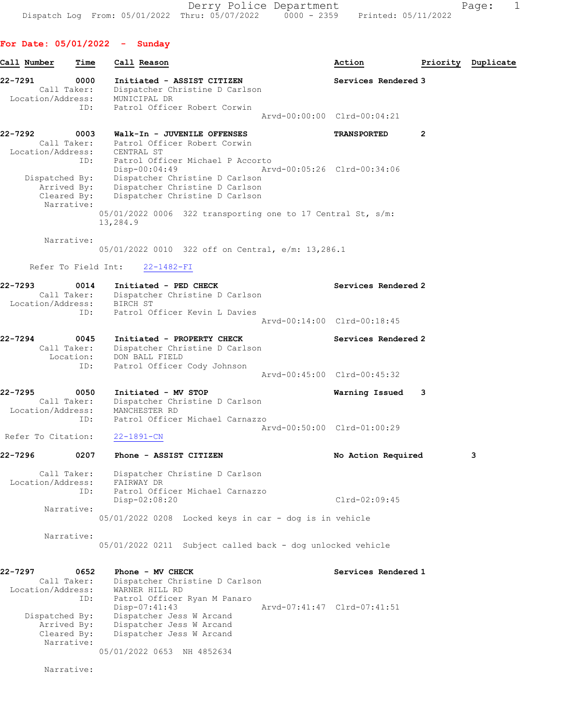For Date: 05/01/2022 - Sunday Call Number Time Call Reason Action Priority Duplicate 22-7291 0000 Initiated - ASSIST CITIZEN Services Rendered 3 Call Taker: Dispatcher Christine D Carlson Location/Address: MUNICIPAL DR ID: Patrol Officer Robert Corwin Arvd-00:00:00 Clrd-00:04:21 22-7292 0003 Walk-In - JUVENILE OFFENSES TRANSPORTED 2 Call Taker: Patrol Officer Robert Corwin Location/Address: CENTRAL ST ID: Patrol Officer Michael P Accorto<br>Disp-00:04:49 Arvd-00:05:26 Clrd-00:34:06 Disp-00:04:49 Arvd-00:05:26 Clrd-00:34:06 Dispatched By: Dispatcher Christine D Carlson Arrived By: Dispatcher Christine D Carlson Cleared By: Dispatcher Christine D Carlson Narrative: 05/01/2022 0006 322 transporting one to 17 Central St, s/m: 13,284.9 Narrative: 05/01/2022 0010 322 off on Central, e/m: 13,286.1 Refer To Field Int: 22-1482-FI 22-7293 0014 Initiated - PED CHECK Services Rendered 2 Call Taker: Dispatcher Christine D Carlson Location/Address: BIRCH ST ID: Patrol Officer Kevin L Davies Arvd-00:14:00 Clrd-00:18:45 22-7294 0045 Initiated - PROPERTY CHECK Services Rendered 2 Call Taker: Dispatcher Christine D Carlson Location: DON BALL FIELD ID: Patrol Officer Cody Johnson Arvd-00:45:00 Clrd-00:45:32 22-7295 0050 Initiated - MV STOP Warning Issued 3 Call Taker: Dispatcher Christine D Carlson Location/Address: MANCHESTER RD ID: Patrol Officer Michael Carnazzo Arvd-00:50:00 Clrd-01:00:29 Refer To Citation: 22-1891-CN 22-7296 0207 Phone - ASSIST CITIZEN No Action Required 3 Call Taker: Dispatcher Christine D Carlson Location/Address: FAIRWAY DR ID: Patrol Officer Michael Carnazzo Disp-02:08:20 Clrd-02:09:45 Narrative: 05/01/2022 0208 Locked keys in car - dog is in vehicle Narrative: 05/01/2022 0211 Subject called back - dog unlocked vehicle 22-7297 0652 Phone - MV CHECK Services Rendered 1 Call Taker: Dispatcher Christine D Carlson Location/Address: WARNER HILL RD

 ID: Patrol Officer Ryan M Panaro Disp-07:41:43 Arvd-07:41:47 Clrd-07:41:51 Dispatched By: Dispatcher Jess W Arcand Arrived By: Dispatcher Jess W Arcand<br>Cleared By: Dispatcher Jess W Arcand Dispatcher Jess W Arcand Narrative:

05/01/2022 0653 NH 4852634

Narrative: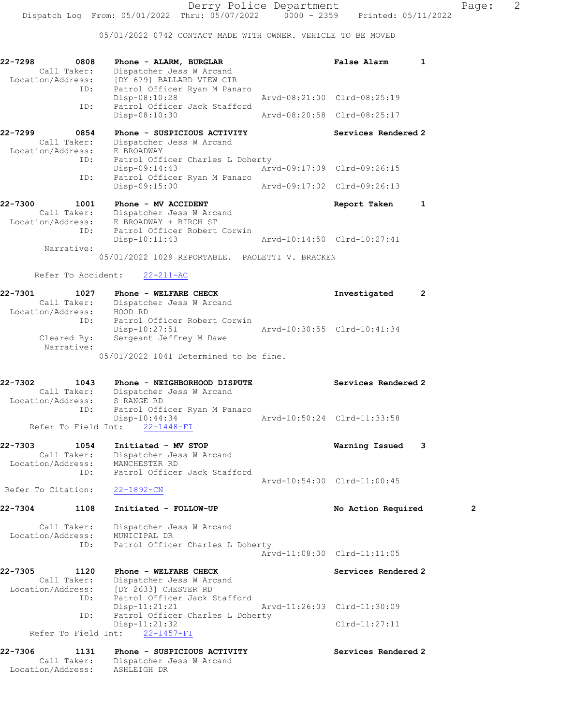05/01/2022 0742 CONTACT MADE WITH OWNER. VEHICLE TO BE MOVED

| 22-7298                   | 0808<br>Call Taker:       | Phone - ALARM, BURGLAR<br>Dispatcher Jess W Arcand                                        | False Alarm                 | 1 |
|---------------------------|---------------------------|-------------------------------------------------------------------------------------------|-----------------------------|---|
| Location/Address:         | ID:                       | [DY 679] BALLARD VIEW CIR<br>Patrol Officer Ryan M Panaro                                 |                             |   |
|                           | ID:                       | $Disp-08:10:28$<br>Patrol Officer Jack Stafford                                           | Arvd-08:21:00 Clrd-08:25:19 |   |
|                           |                           | Disp-08:10:30                                                                             | Arvd-08:20:58 Clrd-08:25:17 |   |
| 22-7299                   | 0854<br>Call Taker:       | Phone - SUSPICIOUS ACTIVITY<br>Dispatcher Jess W Arcand                                   | Services Rendered 2         |   |
| Location/Address:         |                           | E BROADWAY                                                                                |                             |   |
|                           | ID:                       | Patrol Officer Charles L Doherty<br>$Disp-09:14:43$                                       | Arvd-09:17:09 Clrd-09:26:15 |   |
|                           | ID:                       | Patrol Officer Ryan M Panaro<br>$Disp-09:15:00$                                           | Arvd-09:17:02 Clrd-09:26:13 |   |
| 22-7300                   | 1001                      | Phone - MV ACCIDENT                                                                       | Report Taken                | 1 |
| Location/Address:         | Call Taker:               | Dispatcher Jess W Arcand<br>E BROADWAY + BIRCH ST<br>E BROADWAY + BIRCH ST<br>Patrol Off' |                             |   |
|                           | ID:                       | Patrol Officer Robert Corwin<br>$Disp-10:11:43$                                           | Arvd-10:14:50 Clrd-10:27:41 |   |
|                           | Narrative:                | 05/01/2022 1029 REPORTABLE. PAOLETTI V. BRACKEN                                           |                             |   |
|                           | Refer To Accident:        | $22 - 211 - AC$                                                                           |                             |   |
| 22-7301                   | 1027                      | Phone - WELFARE CHECK                                                                     | Investigated                | 2 |
| Location/Address: HOOD RD | Call Taker:               | Dispatcher Jess W Arcand                                                                  |                             |   |
|                           | ID:                       | Patrol Officer Robert Corwin<br>Disp-10:27:51                                             | Arvd-10:30:55 Clrd-10:41:34 |   |
|                           | Cleared By:<br>Narrative: | Sergeant Jeffrey M Dawe                                                                   |                             |   |
|                           |                           | 05/01/2022 1041 Determined to be fine.                                                    |                             |   |
| 22-7302                   | 1043                      | Phone - NEIGHBORHOOD DISPUTE                                                              | Services Rendered 2         |   |
| Location/Address:         |                           | Dispatcher Jess W Arcand<br>S RANGE RD                                                    |                             |   |
|                           | ID:                       | Patrol Officer Ryan M Panaro<br>Disp-10:44:34                                             | Arvd-10:50:24 Clrd-11:33:58 |   |
|                           | Refer To Field Int:       | $22 - 1448 - FI$                                                                          |                             |   |
| 22-7303                   | 1054<br>Call Taker:       | Initiated - MV STOP<br>Dispatcher Jess W Arcand                                           | Warning Issued              | 3 |
| Location/Address:         | ID:                       | MANCHESTER RD<br>Patrol Officer Jack Stafford                                             |                             |   |
| Refer To Citation:        |                           | $22 - 1892 - CN$                                                                          | Arvd-10:54:00 Clrd-11:00:45 |   |
| 22-7304                   | 1108                      | Initiated - FOLLOW-UP                                                                     | No Action Required          | 2 |
|                           | Call Taker:               | Dispatcher Jess W Arcand                                                                  |                             |   |
|                           | ID:                       | Location/Address: MUNICIPAL DR<br>Patrol Officer Charles L Doherty                        |                             |   |
|                           |                           |                                                                                           | Arvd-11:08:00 Clrd-11:11:05 |   |
| 22-7305                   | 1120<br>Call Taker:       | Phone - WELFARE CHECK<br>Dispatcher Jess W Arcand                                         | Services Rendered 2         |   |
| Location/Address:         | ID:                       | [DY 2633] CHESTER RD<br>Patrol Officer Jack Stafford                                      |                             |   |
|                           |                           | $Disp-11:21:21$                                                                           | Arvd-11:26:03 Clrd-11:30:09 |   |
|                           | ID:                       | Patrol Officer Charles L Doherty<br>$Disp-11:21:32$                                       | $Clrd-11:27:11$             |   |
|                           | Refer To Field Int:       | $22 - 1457 - FI$                                                                          |                             |   |
| 22-7306                   | 1131<br>Call Taker:       | Phone - SUSPICIOUS ACTIVITY<br>Dispatcher Jess W Arcand                                   | Services Rendered 2         |   |
| Location/Address:         |                           | ASHLEIGH DR                                                                               |                             |   |
|                           |                           |                                                                                           |                             |   |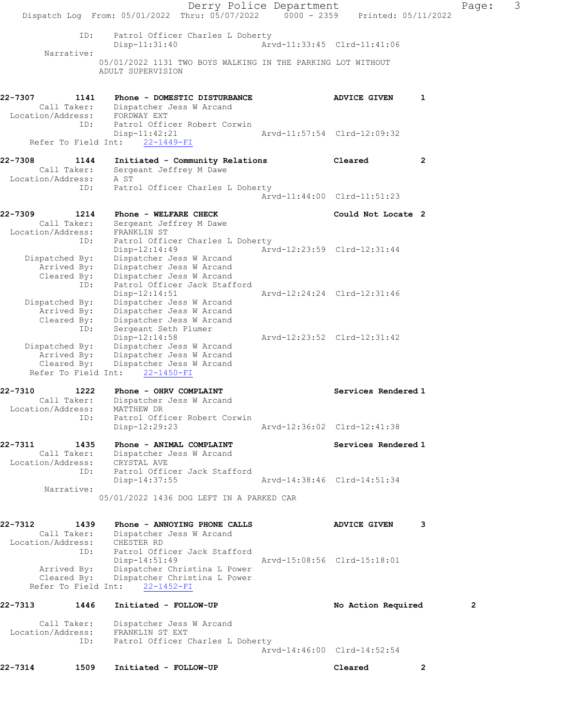Derry Police Department Fage: 3 Dispatch Log From: 05/01/2022 Thru: 05/07/2022 0000 - 2359 Printed: 05/11/2022 ID: Patrol Officer Charles L Doherty Disp-11:31:40 Arvd-11:33:45 Clrd-11:41:06 Narrative: 05/01/2022 1131 TWO BOYS WALKING IN THE PARKING LOT WITHOUT ADULT SUPERVISION 22-7307 1141 Phone - DOMESTIC DISTURBANCE ADVICE GIVEN 1 Call Taker: Dispatcher Jess W Arcand Location/Address: FORDWAY EXT ID: Patrol Officer Robert Corwin Disp-11:42:21 Arvd-11:57:54 Clrd-12:09:32 Refer To Field Int: 22-1449-FI 22-7308 1144 Initiated - Community Relations Cleared 2 Call Taker: Sergeant Jeffrey M Dawe Location/Address: A ST ID: Patrol Officer Charles L Doherty Arvd-11:44:00 Clrd-11:51:23 22-7309 1214 Phone - WELFARE CHECK COUL Could Not Locate 2 Call Taker: Sergeant Jeffrey M Dawe Location/Address: FRANKLIN ST ID: Patrol Officer Charles L Doherty Disp-12:14:49 Arvd-12:23:59 Clrd-12:31:44 Dispatched By: Dispatcher Jess W Arcand Arrived By: Dispatcher Jess W Arcand Cleared By: Dispatcher Jess W Arcand ID: Patrol Officer Jack Stafford Disp-12:14:51 Arvd-12:24:24 Clrd-12:31:46 Dispatched By: Dispatcher Jess W Arcand Arrived By: Dispatcher Jess W Arcand Cleared By: Dispatcher Jess W Arcand ID: Sergeant Seth Plumer Dispatcher COD & History<br>Sergeant Seth Plumer<br>Disp-12:14:58 Arvd-12:23:52 Clrd-12:31:42 Dispatched By: Dispatcher Jess W Arcand Arrived By: Dispatcher Jess W Arcand Cleared By: Dispatcher Jess W Arcand Refer To Field Int: 22-1450-FI 22-7310 1222 Phone - OHRV COMPLAINT Services Rendered 1 Call Taker: Dispatcher Jess W Arcand Location/Address: MATTHEW DR ID: Patrol Officer Robert Corwin<br>Disp-12:29:23 Disp-12:29:23 Arvd-12:36:02 Clrd-12:41:38 22-7311 1435 Phone - ANIMAL COMPLAINT Number of Services Rendered 1 Call Taker: Dispatcher Jess W Arcand Location/Address: CRYSTAL AVE ID: Patrol Officer Jack Stafford<br>Disp-14:37:55 Arvd-14:38:46 Clrd-14:51:34 Narrative: 05/01/2022 1436 DOG LEFT IN A PARKED CAR 22-7312 1439 Phone - ANNOYING PHONE CALLS **ADVICE GIVEN** 3 Call Taker: Dispatcher Jess W Arcand Location/Address: CHESTER RD ID: Patrol Officer Jack Stafford Disp-14:51:49 Arvd-15:08:56 Clrd-15:18:01 Arrived By: Dispatcher Christina L Power Cleared By: Dispatcher Christina L Power Refer To Field Int: 22-1452-FI 22-7313 1446 Initiated - FOLLOW-UP No Action Required 2 Call Taker: Dispatcher Jess W Arcand Location/Address: FRANKLIN ST EXT ID: Patrol Officer Charles L Doherty Arvd-14:46:00 Clrd-14:52:54 22-7314 1509 Initiated - FOLLOW-UP Cleared 2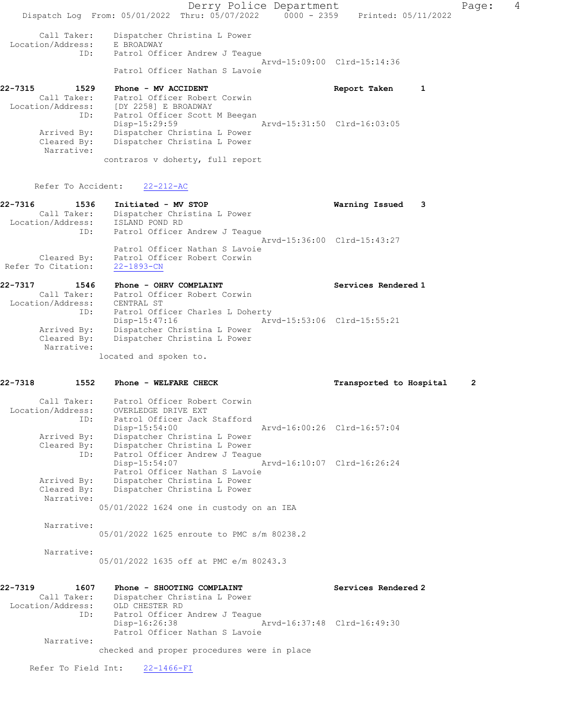Call Taker: Dispatcher Christina L Power Location/Address: E BROADWAY<br>ID: Patrol Off: Patrol Officer Andrew J Teague Arvd-15:09:00 Clrd-15:14:36 Patrol Officer Nathan S Lavoie 22-7315 1529 Phone - MV ACCIDENT Report Taken 1 Call Taker: Patrol Officer Robert Corwin Location/Address: [DY 2258] E BROADWAY ID: Patrol Officer Scott M Beegan Disp-15:29:59 Arvd-15:31:50 Clrd-16:03:05 Arrived By: Dispatcher Christina L Power Cleared By: Dispatcher Christina L Power Narrative: contraros v doherty, full report

Dispatch Log From: 05/01/2022 Thru: 05/07/2022 0000 - 2359 Printed: 05/11/2022

#### Refer To Accident: 22-212-AC

| Initiated - MV STOP            | Warning Issued 3 |                             |
|--------------------------------|------------------|-----------------------------|
| Dispatcher Christina L Power   |                  |                             |
| ISLAND POND RD                 |                  |                             |
| Patrol Officer Andrew J Teaque |                  |                             |
|                                |                  |                             |
| Patrol Officer Nathan S Lavoie |                  |                             |
| Patrol Officer Robert Corwin   |                  |                             |
| $22 - 1893 - CN$               |                  |                             |
|                                |                  |                             |
|                                |                  | Arvd-15:36:00 Clrd-15:43:27 |

| 22-7317           | 1546       | Phone - OHRV COMPLAINT           |                             | Services Rendered 1 |
|-------------------|------------|----------------------------------|-----------------------------|---------------------|
| Call Taker:       |            | Patrol Officer Robert Corwin     |                             |                     |
| Location/Address: |            | CENTRAL ST                       |                             |                     |
|                   | ID:        | Patrol Officer Charles L Doherty |                             |                     |
|                   |            | Disp-15:47:16                    | Arvd-15:53:06 Clrd-15:55:21 |                     |
| Arrived By:       |            | Dispatcher Christina L Power     |                             |                     |
| Cleared By:       |            | Dispatcher Christina L Power     |                             |                     |
|                   | Narrative: |                                  |                             |                     |
|                   |            |                                  |                             |                     |

located and spoken to.

# 22-7318 1552 Phone - WELFARE CHECK 1988 Transported to Hospital 2 Call Taker: Patrol Officer Robert Corwin Location/Address: OVERLEDGE DRIVE EXT ID: Patrol Officer Jack Stafford Disp-15:54:00 Arvd-16:00:26 Clrd-16:57:04 Arrived By: Dispatcher Christina L Power Cleared By: Dispatcher Christina L Power ID: Patrol Officer Andrew J Teague Disp-15:54:07 Arvd-16:10:07 Clrd-16:26:24 Patrol Officer Nathan S Lavoie Arrived By: Dispatcher Christina L Power<br>Cleared By: Dispatcher Christina L Power Dispatcher Christina L Power Narrative: 05/01/2022 1624 one in custody on an IEA Narrative: 05/01/2022 1625 enroute to PMC s/m 80238.2 Narrative: 05/01/2022 1635 off at PMC e/m 80243.3 22-7319 1607 Phone - SHOOTING COMPLAINT Services Rendered 2 Call Taker: Dispatcher Christina L Power Location/Address: OLD CHESTER RD<br>TD: Patrol Officer Patrol Officer Andrew J Teague<br>Disp-16:26:38 Disp-16:26:38 Arvd-16:37:48 Clrd-16:49:30 Patrol Officer Nathan S Lavoie Narrative: checked and proper procedures were in place

Refer To Field Int: 22-1466-FI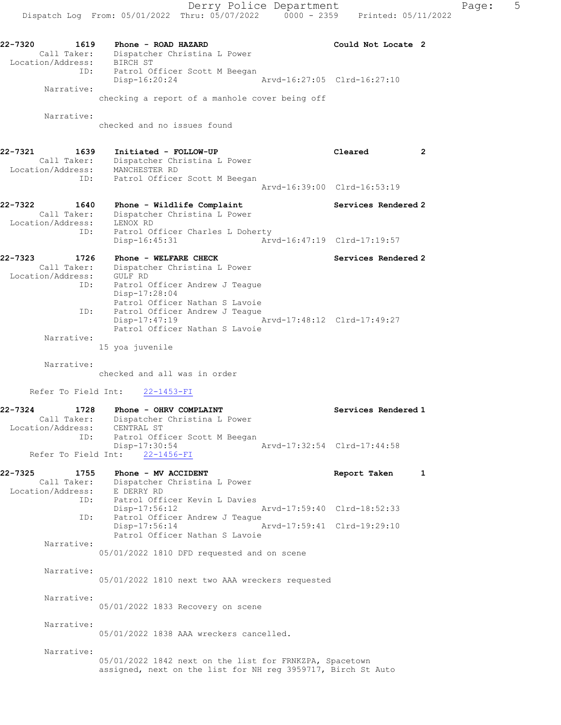22-7320 1619 Phone - ROAD HAZARD Could Not Locate 2 Call Taker: Dispatcher Christina L Power Location/Address: BIRCH ST ID: Patrol Officer Scott M Beegan Disp-16:20:24 Arvd-16:27:05 Clrd-16:27:10 Narrative:

checking a report of a manhole cover being off

Narrative:

Narrative:

checked and no issues found

### 22-7321 1639 Initiated - FOLLOW-UP Cleared 2 Call Taker: Dispatcher Christina L Power Location/Address: MANCHESTER RD ID: Patrol Officer Scott M Beegan Arvd-16:39:00 Clrd-16:53:19

## 22-7322 1640 Phone - Wildlife Complaint Number 20 Services Rendered 2 Call Taker: Dispatcher Christina L Power Location/Address: LENOX RD ID: Patrol Officer Charles L Doherty Disp-16:45:31 Arvd-16:47:19 Clrd-17:19:57

## 22-7323 1726 Phone - WELFARE CHECK Services Rendered 2 Call Taker: Dispatcher Christina L Power Location/Address: GULF RD<br>ID: Patrol ( Patrol Officer Andrew J Teague Disp-17:28:04 Patrol Officer Nathan S Lavoie ID: Patrol Officer Andrew J Teague Disp-17:47:19 Arvd-17:48:12 Clrd-17:49:27 Patrol Officer Nathan S Lavoie

15 yoa juvenile

 Narrative: checked and all was in order

Refer To Field Int: 22-1453-FI

### 22-7324 1728 Phone - OHRV COMPLAINT Services Rendered 1 Call Taker: Dispatcher Christina L Power Location/Address: CENTRAL ST ID: Patrol Officer Scott M Beegan Disp-17:30:54 Arvd-17:32:54 Clrd-17:44:58 Refer To Field Int: 22-1456-FI

| 22-7325           | 1755        | Phone - MV ACCIDENT            |                             | Report Taken                |  |
|-------------------|-------------|--------------------------------|-----------------------------|-----------------------------|--|
|                   | Call Taker: | Dispatcher Christina L Power   |                             |                             |  |
| Location/Address: |             | E DERRY RD                     |                             |                             |  |
|                   | ID:         | Patrol Officer Kevin L Davies  |                             |                             |  |
|                   |             | Disp-17:56:12                  | Arvd-17:59:40 Clrd-18:52:33 |                             |  |
|                   | ID:         | Patrol Officer Andrew J Teaque |                             |                             |  |
|                   |             | Disp-17:56:14                  |                             | Arvd-17:59:41 Clrd-19:29:10 |  |
|                   |             | Patrol Officer Nathan S Lavoie |                             |                             |  |
|                   | Narrative:  |                                |                             |                             |  |

05/01/2022 1810 DFD requested and on scene

Narrative:

05/01/2022 1810 next two AAA wreckers requested

Narrative:

05/01/2022 1833 Recovery on scene

Narrative:

05/01/2022 1838 AAA wreckers cancelled.

Narrative:

05/01/2022 1842 next on the list for FRNKZPA, Spacetown assigned, next on the list for NH reg 3959717, Birch St Auto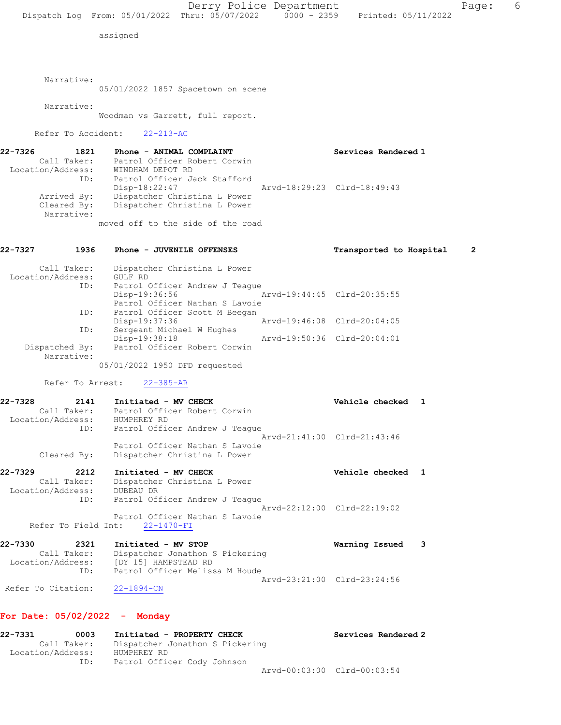Derry Police Department Fage: 6 Dispatch Log From: 05/01/2022 Thru: 05/07/2022 0000 - 2359 Printed: 05/11/2022

assigned

Narrative:

05/01/2022 1857 Spacetown on scene

Narrative:

Woodman vs Garrett, full report.

Refer To Accident: 22-213-AC

| 22-7326<br>1821   | Phone - ANIMAL COMPLAINT          |                             | Services Rendered 1 |
|-------------------|-----------------------------------|-----------------------------|---------------------|
| Call Taker:       | Patrol Officer Robert Corwin      |                             |                     |
| Location/Address: | WINDHAM DEPOT RD                  |                             |                     |
| ID:               | Patrol Officer Jack Stafford      |                             |                     |
|                   | $Disp-18:22:47$                   | Arvd-18:29:23 Clrd-18:49:43 |                     |
| Arrived By:       | Dispatcher Christina L Power      |                             |                     |
| Cleared By:       | Dispatcher Christina L Power      |                             |                     |
| Narrative:        |                                   |                             |                     |
|                   | moved off to the side of the road |                             |                     |

| 22-7327<br>1936              | Phone - JUVENILE OFFENSES      | Transported to Hospital     | $\overline{2}$ |
|------------------------------|--------------------------------|-----------------------------|----------------|
| Call Taker:                  | Dispatcher Christina L Power   |                             |                |
| Location/Address:            | GULF RD                        |                             |                |
| ID:                          | Patrol Officer Andrew J Teaque |                             |                |
|                              | Disp-19:36:56                  | Arvd-19:44:45 Clrd-20:35:55 |                |
|                              | Patrol Officer Nathan S Lavoie |                             |                |
| ID:                          | Patrol Officer Scott M Beegan  |                             |                |
|                              | Disp-19:37:36                  | Arvd-19:46:08 Clrd-20:04:05 |                |
| ID:                          | Sergeant Michael W Hughes      |                             |                |
|                              | Disp-19:38:18                  | Arvd-19:50:36 Clrd-20:04:01 |                |
| Dispatched By:<br>Narrative: | Patrol Officer Robert Corwin   |                             |                |
|                              | 05/01/2022 1950 DFD requested  |                             |                |

Refer To Arrest: 22-385-AR

| 22-7328<br>2141                  | Initiated - MV CHECK                                           | Vehicle checked 1           |  |
|----------------------------------|----------------------------------------------------------------|-----------------------------|--|
| Call Taker:<br>Location/Address: | Patrol Officer Robert Corwin<br>HUMPHREY RD                    |                             |  |
| ID:                              | Patrol Officer Andrew J Teaque                                 |                             |  |
|                                  |                                                                | Aryd-21:41:00 Clrd-21:43:46 |  |
| Cleared By:                      | Patrol Officer Nathan S Lavoie<br>Dispatcher Christina L Power |                             |  |

| 22-7329 | 2212              | Initiated - MV CHECK               | Vehicle checked             | $\overline{\mathbf{1}}$ |
|---------|-------------------|------------------------------------|-----------------------------|-------------------------|
|         | Call Taker:       | Dispatcher Christina L Power       |                             |                         |
|         | Location/Address: | DUBEAU DR                          |                             |                         |
|         |                   | ID: Patrol Officer Andrew J Teaque |                             |                         |
|         |                   |                                    | Aryd-22:12:00 Clrd-22:19:02 |                         |
|         |                   | Patrol Officer Nathan S Lavoie     |                             |                         |
|         |                   | Refer To Field Int: 22-1470-FI     |                             |                         |

| 22-7330            | 2321              | Initiated - MV STOP             | Warning Issued              | $\overline{\mathbf{3}}$ |
|--------------------|-------------------|---------------------------------|-----------------------------|-------------------------|
|                    | Call Taker:       | Dispatcher Jonathon S Pickering |                             |                         |
|                    | Location/Address: | TDY 151 HAMPSTEAD RD            |                             |                         |
|                    | TD:               | Patrol Officer Melissa M Houde  |                             |                         |
|                    |                   |                                 | Aryd-23:21:00 Clrd-23:24:56 |                         |
| Refer To Citation: |                   | 22-1894-CN                      |                             |                         |

# For Date: 05/02/2022 - Monday

| 22-7331           | 0003        | Initiated - PROPERTY CHECK      | Services Rendered 2         |
|-------------------|-------------|---------------------------------|-----------------------------|
|                   | Call Taker: | Dispatcher Jonathon S Pickering |                             |
| Location/Address: |             | HUMPHREY RD                     |                             |
|                   | ID:         | Patrol Officer Cody Johnson     |                             |
|                   |             |                                 | Arvd-00:03:00 Clrd-00:03:54 |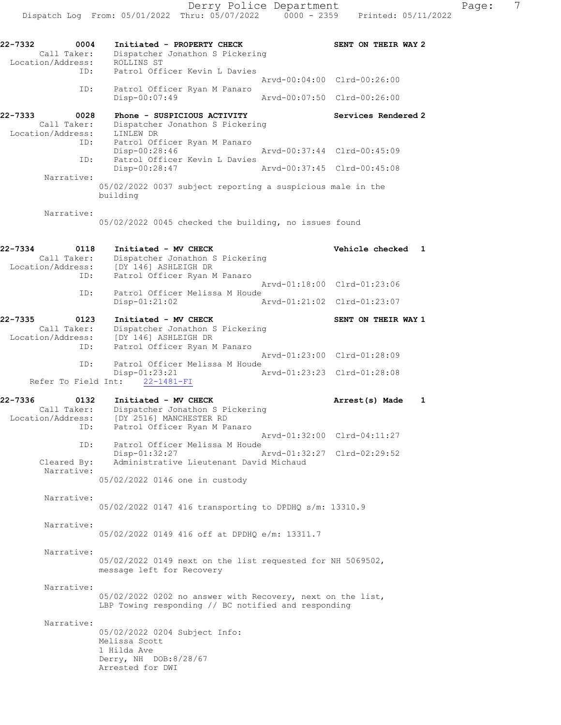22-7332 0004 Initiated - PROPERTY CHECK SENT ON THEIR WAY 2 Call Taker: Dispatcher Jonathon S Pickering Location/Address: ROLLINS ST ID: Patrol Officer Kevin L Davies Arvd-00:04:00 Clrd-00:26:00 ID: Patrol Officer Ryan M Panaro Disp-00:07:49 Arvd-00:07:50 Clrd-00:26:00 22-7333 0028 Phone - SUSPICIOUS ACTIVITY Services Rendered 2 Call Taker: Dispatcher Jonathon S Pickering Location/Address: LINLEW DR ID: Patrol Officer Ryan M Panaro Disp-00:28:46 Arvd-00:37:44 Clrd-00:45:09<br>TD: Patrol Officer Kevin L Davies Patrol Officer Kevin L Davies<br>Disp-00:28:47 Disp-00:28:47 Arvd-00:37:45 Clrd-00:45:08 Narrative: 05/02/2022 0037 subject reporting a suspicious male in the building Narrative: 05/02/2022 0045 checked the building, no issues found 22-7334 0118 Initiated - MV CHECK Vehicle checked 1 Call Taker: Dispatcher Jonathon S Pickering Location/Address: [DY 146] ASHLEIGH DR ID: Patrol Officer Ryan M Panaro Arvd-01:18:00 Clrd-01:23:06 ID: Patrol Officer Melissa M Houde Disp-01:21:02 Arvd-01:21:02 Clrd-01:23:07 22-7335 0123 Initiated - MV CHECK SENT ON THEIR WAY 1 Call Taker: Dispatcher Jonathon S Pickering Location/Address: [DY 146] ASHLEIGH DR ID: Patrol Officer Ryan M Panaro Arvd-01:23:00 Clrd-01:28:09 ID: Patrol Officer Melissa M Houde<br>Disp-01:23:21 A Disp-01:23:21 Arvd-01:23:23 Clrd-01:28:08 Refer To Field Int: 22-1481-FI 22-7336 0132 Initiated - MV CHECK Arrest(s) Made 1 Call Taker: Dispatcher Jonathon S Pickering Location/Address: [DY 2516] MANCHESTER RD ID: Patrol Officer Ryan M Panaro Arvd-01:32:00 Clrd-04:11:27 ID: Patrol Officer Melissa M Houde Disp-01:32:27 Arvd-01:32:27 Clrd-02:29:52 Cleared By: Administrative Lieutenant David Michaud Narrative: 05/02/2022 0146 one in custody Narrative: 05/02/2022 0147 416 transporting to DPDHQ s/m: 13310.9 Narrative: 05/02/2022 0149 416 off at DPDHQ e/m: 13311.7 Narrative: 05/02/2022 0149 next on the list requested for NH 5069502, message left for Recovery Narrative: 05/02/2022 0202 no answer with Recovery, next on the list, LBP Towing responding // BC notified and responding Narrative: 05/02/2022 0204 Subject Info: Melissa Scott 1 Hilda Ave Derry, NH DOB:8/28/67 Arrested for DWI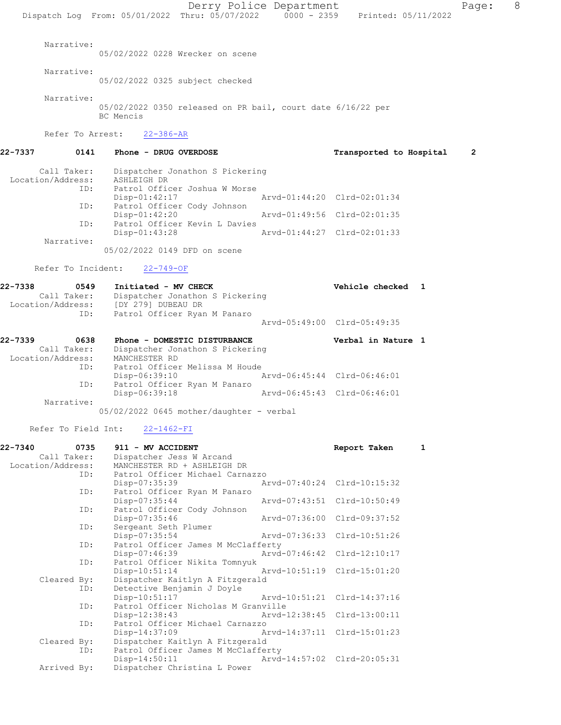|                                                     | Dispatch Log From: 05/01/2022 Thru: 05/07/2022 0000 - 2359 Printed: 05/11/2022         | Derry Police Department     |                         | 8<br>Page: |
|-----------------------------------------------------|----------------------------------------------------------------------------------------|-----------------------------|-------------------------|------------|
| Narrative:                                          | 05/02/2022 0228 Wrecker on scene                                                       |                             |                         |            |
| Narrative:                                          | 05/02/2022 0325 subject checked                                                        |                             |                         |            |
| Narrative:                                          | $05/02/2022$ 0350 released on PR bail, court date $6/16/22$ per<br>BC Mencis           |                             |                         |            |
| Refer To Arrest:                                    | $22 - 386 - AR$                                                                        |                             |                         |            |
| 22-7337<br>0141                                     | Phone - DRUG OVERDOSE                                                                  |                             | Transported to Hospital | 2          |
| Call Taker:<br>Location/Address:<br>ID:             | Dispatcher Jonathon S Pickering<br>ASHLEIGH DR<br>Patrol Officer Joshua W Morse        |                             |                         |            |
|                                                     | $Disp-01:42:17$<br>Patrol Officer Cody Johnson<br>ID:                                  | Arvd-01:44:20 Clrd-02:01:34 |                         |            |
| ID:                                                 | Disp-01:42:20<br>Patrol Officer Kevin L Davies                                         | Arvd-01:49:56 Clrd-02:01:35 |                         |            |
| Narrative:                                          | Disp-01:43:28                                                                          | Arvd-01:44:27 Clrd-02:01:33 |                         |            |
|                                                     | 05/02/2022 0149 DFD on scene                                                           |                             |                         |            |
| Refer To Incident:                                  | $22 - 749 - OF$                                                                        |                             |                         |            |
| 22-7338<br>0549<br>Call Taker:<br>Location/Address: | Initiated - MV CHECK<br>Dispatcher Jonathon S Pickering<br>[DY 279] DUBEAU DR          |                             | Vehicle checked 1       |            |
| ID:                                                 | Patrol Officer Ryan M Panaro                                                           | Arvd-05:49:00 Clrd-05:49:35 |                         |            |
| 22-7339<br>0638<br>Call Taker:<br>Location/Address: | Phone - DOMESTIC DISTURBANCE<br>Dispatcher Jonathon S Pickering<br>MANCHESTER RD       |                             | Verbal in Nature 1      |            |
| ID:<br>ID:                                          | Patrol Officer Melissa M Houde<br>Disp-06:39:10<br>Patrol Officer Ryan M Panaro        | Arvd-06:45:44 Clrd-06:46:01 |                         |            |
| Narrative:                                          | Disp-06:39:18                                                                          | Arvd-06:45:43 Clrd-06:46:01 |                         |            |
|                                                     | 05/02/2022 0645 mother/daughter - verbal                                               |                             |                         |            |
| Refer To Field Int:                                 | $22 - 1462 - FI$                                                                       |                             |                         |            |
| 22-7340<br>0735<br>Call Taker:<br>Location/Address: | 911 - MV ACCIDENT<br>Dispatcher Jess W Arcand<br>MANCHESTER RD + ASHLEIGH DR           |                             | Report Taken<br>1       |            |
| ID:                                                 | Patrol Officer Michael Carnazzo<br>Disp-07:35:39                                       | Arvd-07:40:24 Clrd-10:15:32 |                         |            |
| ID:                                                 | Patrol Officer Ryan M Panaro<br>Disp-07:35:44                                          | Arvd-07:43:51 Clrd-10:50:49 |                         |            |
| ID:                                                 | Patrol Officer Cody Johnson<br>Disp-07:35:46                                           | Arvd-07:36:00 Clrd-09:37:52 |                         |            |
| ID:                                                 | Sergeant Seth Plumer<br>$Disp-07:35:54$                                                | Arvd-07:36:33 Clrd-10:51:26 |                         |            |
| ID:                                                 | Patrol Officer James M McClafferty<br>Disp-07:46:39                                    | Arvd-07:46:42 Clrd-12:10:17 |                         |            |
| ID:                                                 | Patrol Officer Nikita Tomnyuk<br>Disp-10:51:14                                         | Arvd-10:51:19 Clrd-15:01:20 |                         |            |
| Cleared By:<br>ID:                                  | Dispatcher Kaitlyn A Fitzgerald<br>Detective Benjamin J Doyle                          |                             |                         |            |
| ID:                                                 | Disp-10:51:17<br>Patrol Officer Nicholas M Granville                                   | Arvd-10:51:21 Clrd-14:37:16 |                         |            |
| ID:                                                 | Disp-12:38:43<br>Patrol Officer Michael Carnazzo                                       | Arvd-12:38:45 Clrd-13:00:11 |                         |            |
| Cleared By:<br>ID:                                  | Disp-14:37:09<br>Dispatcher Kaitlyn A Fitzgerald<br>Patrol Officer James M McClafferty | Arvd-14:37:11 Clrd-15:01:23 |                         |            |
| Arrived By:                                         | Disp-14:50:11<br>Dispatcher Christina L Power                                          | Arvd-14:57:02 Clrd-20:05:31 |                         |            |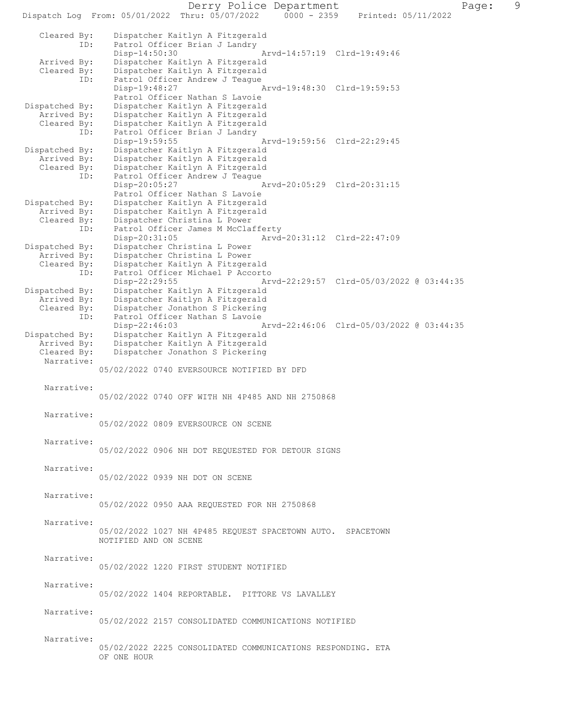Derry Police Department Page: 9 Dispatch Log From:  $05/01/2022$  Thru:  $05/07/2022$  0000 - 2359 Cleared By: Dispatcher Kaitlyn A Fitzgerald<br>TD: Patrol Officer Brian J Landry Patrol Officer Brian J Landry<br>Disp-14:50:30 Disp-14:50:30 Arvd-14:57:19 Clrd-19:49:46 Arrived By: Dispatcher Kaitlyn A Fitzgerald<br>Cleared By: Dispatcher Kaitlyn A Fitzgerald Dispatcher Kaitlyn A Fitzgerald ID: Patrol Officer Andrew J Teague<br>Disp-19:48:27 Disp-19:48:27 Arvd-19:48:30 Clrd-19:59:53 Patrol Officer Nathan S Lavoie<br>Dispatched By: Dispatcher Kaitlyn A Fitzgerald patched By: Dispatcher Kaitlyn A Fitzgerald<br>Arrived By: Dispatcher Kaitlyn A Fitzgerald Dispatcher Kaitlyn A Fitzgerald Cleared By: Dispatcher Kaitlyn A Fitzgerald ID: Patrol Officer Brian J Landry Disp-19:59:55 <br>Dispatched By: Dispatcher Kaitlyn A Fitzgerald Dispatcher Kaitlyn A Fitzgerald Arrived By: Dispatcher Kaitlyn A Fitzgerald Cleared By: Dispatcher Kaitlyn A Fitzgerald<br>ID: Patrol Officer Andrew J Teague Patrol Officer Andrew J Teague<br>Disp-20:05:27 Disp-20:05:27 Arvd-20:05:29 Clrd-20:31:15 Patrol Officer Nathan S Lavoie<br>Dispatched By: Dispatcher Kaitlyn A Fitzgerald Dispatcher Kaitlyn A Fitzgerald Arrived By: Dispatcher Kaitlyn A Fitzgerald<br>Cleared By: Dispatcher Christina L Power Dispatcher Christina L Power ID: Patrol Officer James M McClafferty<br>Disp-20:31:05 Arvd Disp-20:31:05 Arvd-20:31:12 Clrd-22:47:09<br>Dispatched By: Dispatcher Christina L Power Dispatcher Christina L Power Arrived By: Dispatcher Christina L Power<br>Cleared By: Dispatcher Kaitlyn A Fitzgera .<br>Dispatcher Kaitlyn A Fitzgerald ID: Patrol Officer Michael P Accorto<br>Disp-22:29:55 Ar Disp-22:29:55 Arvd-22:29:57 Clrd-05/03/2022 @ 03:44:35<br>Dispatched By: Dispatcher Kaitlyn A Fitzgerald Dispatcher Kaitlyn A Fitzgerald Arrived By: Dispatcher Kaitlyn A Fitzgerald<br>Cleared Bv: Dispatcher Jonathon S Pickering -y:<br>By: Dispatcher Jonathon S Pickering<br>ID: Patrol Officer Nathan S Lavoie Patrol Officer Nathan S Lavoie<br>Disp-22:46:03 Disp-22:46:03 Arvd-22:46:06 Clrd-05/03/2022 @ 03:44:35 Dispatched By: Dispatcher Kaitlyn A Fitzgerald Arrived By: Dispatcher Kaitlyn A Fitzgerald<br>Cleared By: Dispatcher Jonathon S Pickering Dispatcher Jonathon S Pickering Narrative: 05/02/2022 0740 EVERSOURCE NOTIFIED BY DFD Narrative: 05/02/2022 0740 OFF WITH NH 4P485 AND NH 2750868 Narrative: 05/02/2022 0809 EVERSOURCE ON SCENE Narrative: 05/02/2022 0906 NH DOT REQUESTED FOR DETOUR SIGNS Narrative: 05/02/2022 0939 NH DOT ON SCENE Narrative: 05/02/2022 0950 AAA REQUESTED FOR NH 2750868 Narrative: 05/02/2022 1027 NH 4P485 REQUEST SPACETOWN AUTO. SPACETOWN NOTIFIED AND ON SCENE Narrative: 05/02/2022 1220 FIRST STUDENT NOTIFIED Narrative: 05/02/2022 1404 REPORTABLE. PITTORE VS LAVALLEY Narrative: 05/02/2022 2157 CONSOLIDATED COMMUNICATIONS NOTIFIED Narrative: 05/02/2022 2225 CONSOLIDATED COMMUNICATIONS RESPONDING. ETA OF ONE HOUR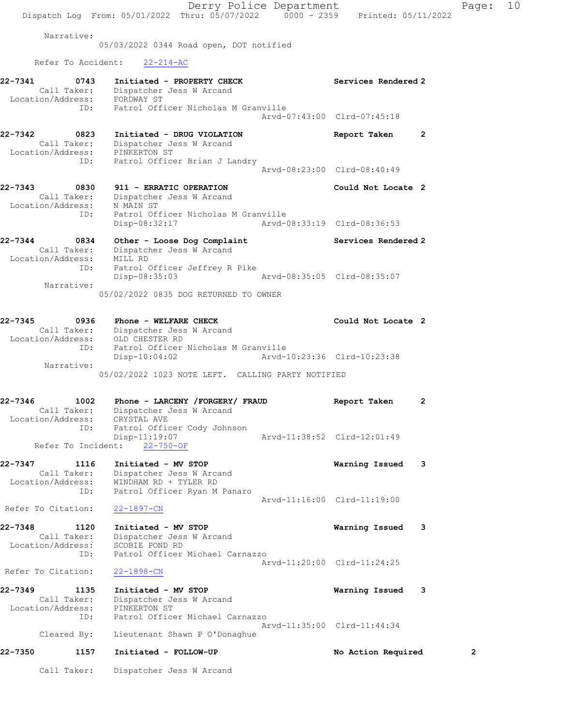Derry Police Department Page: 10 Dispatch Log From: 05/01/2022 Thru: 05/07/2022 0000 - 2359 Printed: 05/11/2022 Narrative: 05/03/2022 0344 Road open, DOT notified Refer To Accident: 22-214-AC 22-7341 0743 Initiated - PROPERTY CHECK Services Rendered 2 Call Taker: Dispatcher Jess W Arcand Location/Address: FORDWAY ST ID: Patrol Officer Nicholas M Granville Arvd-07:43:00 Clrd-07:45:18 22-7342 0823 Initiated - DRUG VIOLATION Report Taken 2 Call Taker: Dispatcher Jess W Arcand Location/Address: PINKERTON ST ID: Patrol Officer Brian J Landry Arvd-08:23:00 Clrd-08:40:49 22-7343 0830 911 - ERRATIC OPERATION Could Not Locate 2 Call Taker: Dispatcher Jess W Arcand Location/Address: N MAIN ST ID: Patrol Officer Nicholas M Granville Disp-08:32:17 Arvd-08:33:19 Clrd-08:36:53 22-7344 0834 Other - Loose Dog Complaint Services Rendered 2 Call Taker: Dispatcher Jess W Arcand Location/Address: MILL RD ID: Patrol Officer Jeffrey R Pike Disp-08:35:03 Arvd-08:35:05 Clrd-08:35:07 Narrative: 05/02/2022 0835 DOG RETURNED TO OWNER 22-7345 0936 Phone - WELFARE CHECK COULD Could Not Locate 2 Call Taker: Dispatcher Jess W Arcand Location/Address: OLD CHESTER RD ID: Patrol Officer Nicholas M Granville Disp-10:04:02 Arvd-10:23:36 Clrd-10:23:38 Narrative: 05/02/2022 1023 NOTE LEFT. CALLING PARTY NOTIFIED 22-7346 1002 Phone - LARCENY /FORGERY/ FRAUD Report Taken 2 Call Taker: Dispatcher Jess W Arcand Location/Address: CRYSTAL AVE ID: Patrol Officer Cody Johnson Disp-11:19:07 Arvd-11:38:52 Clrd-12:01:49 Refer To Incident: 22-750-OF 22-7347 1116 Initiated - MV STOP Warning Issued 3 Call Taker: Dispatcher Jess W Arcand Location/Address: WINDHAM RD + TYLER RD ID: Patrol Officer Ryan M Panaro Arvd-11:16:00 Clrd-11:19:00 Refer To Citation: 22-1897-CN 22-7348 1120 Initiated - MV STOP Warning Issued 3 Call Taker: Dispatcher Jess W Arcand Location/Address: SCOBIE POND RD ID: Patrol Officer Michael Carnazzo Arvd-11:20:00 Clrd-11:24:25 Refer To Citation: 22-1898-CN 22-7349 1135 Initiated - MV STOP Warning Issued 3 Call Taker: Dispatcher Jess W Arcand Location/Address: PINKERTON ST ID: Patrol Officer Michael Carnazzo Arvd-11:35:00 Clrd-11:44:34 Cleared By: Lieutenant Shawn P O'Donaghue 22-7350 1157 Initiated - FOLLOW-UP No Action Required 2

Call Taker: Dispatcher Jess W Arcand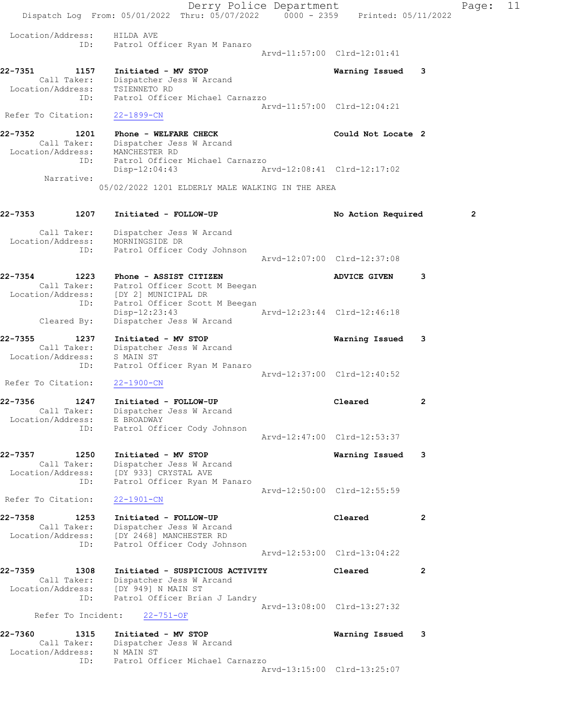Derry Police Department Fage: 11 Dispatch Log From:  $05/01/2022$  Thru:  $05/07/2022$  0000 - 2359 Printed: 05/11/2022 Location/Address: HILDA AVE ID: Patrol Officer Ryan M Panaro Arvd-11:57:00 Clrd-12:01:41 22-7351 1157 Initiated - MV STOP Warning Issued 3 Call Taker: Dispatcher Jess W Arcand Location/Address: TSIENNETO RD ID: Patrol Officer Michael Carnazzo Arvd-11:57:00 Clrd-12:04:21 Refer To Citation: 22-1899-CN 22-7352 1201 Phone - WELFARE CHECK COUL Could Not Locate 2 Call Taker: Dispatcher Jess W Arcand Location/Address: MANCHESTER RD ID: Patrol Officer Michael Carnazzo Disp-12:04:43 Arvd-12:08:41 Clrd-12:17:02 Narrative: 05/02/2022 1201 ELDERLY MALE WALKING IN THE AREA 22-7353 1207 Initiated - FOLLOW-UP 120 No Action Required 2 Call Taker: Dispatcher Jess W Arcand Location/Address: MORNINGSIDE DR ID: Patrol Officer Cody Johnson Arvd-12:07:00 Clrd-12:37:08 22-7354 1223 Phone - ASSIST CITIZEN ADVICE GIVEN 3 Call Taker: Patrol Officer Scott M Beegan Location/Address: [DY 2] MUNICIPAL DR ID: Patrol Officer Scott M Beegan Disp-12:23:43 Arvd-12:23:44 Clrd-12:46:18 Cleared By: Dispatcher Jess W Arcand 22-7355 1237 Initiated - MV STOP Warning Issued 3 Call Taker: Dispatcher Jess W Arcand Location/Address: S MAIN ST ID: Patrol Officer Ryan M Panaro Arvd-12:37:00 Clrd-12:40:52 Refer To Citation: 22-1900-CN 22-7356 1247 Initiated - FOLLOW-UP Cleared 2 Call Taker: Dispatcher Jess W Arcand Location/Address: E BROADWAY ID: Patrol Officer Cody Johnson Arvd-12:47:00 Clrd-12:53:37 22-7357 1250 Initiated - MV STOP Warning Issued 3 Call Taker: Dispatcher Jess W Arcand Location/Address: [DY 933] CRYSTAL AVE ID: Patrol Officer Ryan M Panaro Arvd-12:50:00 Clrd-12:55:59 Refer To Citation: 22-1901-CN 22-7358 1253 Initiated - FOLLOW-UP Cleared 2 Call Taker: Dispatcher Jess W Arcand Location/Address: [DY 2468] MANCHESTER RD ID: Patrol Officer Cody Johnson Arvd-12:53:00 Clrd-13:04:22 22-7359 1308 Initiated - SUSPICIOUS ACTIVITY Cleared 2 Call Taker: Dispatcher Jess W Arcand Location/Address: [DY 949] N MAIN ST ID: Patrol Officer Brian J Landry Arvd-13:08:00 Clrd-13:27:32 Refer To Incident: 22-751-OF 22-7360 1315 Initiated - MV STOP Warning Issued 3 Call Taker: Dispatcher Jess W Arcand Location/Address: N MAIN ST ID: Patrol Officer Michael Carnazzo Arvd-13:15:00 Clrd-13:25:07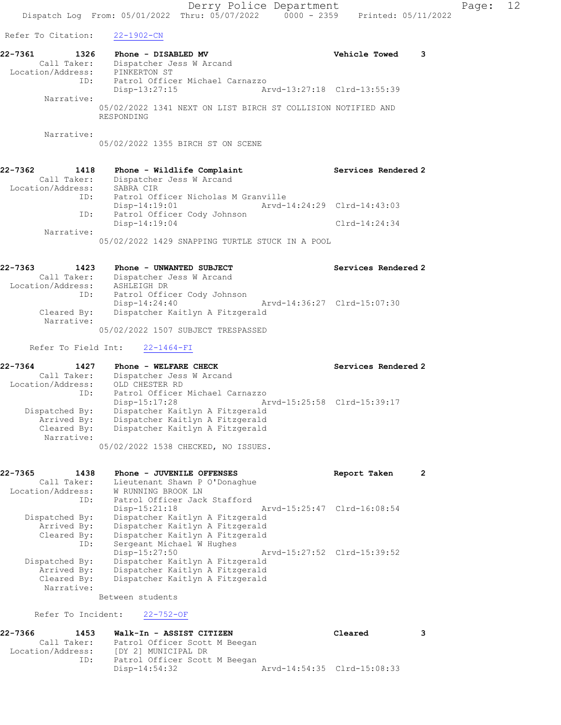Refer To Citation: 22-1902-CN

| 22-7361 | 1326              | Phone - DISABLED MV                                          |  |  |  |                             | Vehicle Towed |  |
|---------|-------------------|--------------------------------------------------------------|--|--|--|-----------------------------|---------------|--|
|         | Call Taker:       | Dispatcher Jess W Arcand                                     |  |  |  |                             |               |  |
|         | Location/Address: | PINKERTON ST                                                 |  |  |  |                             |               |  |
|         | ID:               | Patrol Officer Michael Carnazzo                              |  |  |  |                             |               |  |
|         |                   | Disp-13:27:15                                                |  |  |  | Arvd-13:27:18 Clrd-13:55:39 |               |  |
|         | Narrative:        |                                                              |  |  |  |                             |               |  |
|         |                   | 05/02/2022 1341 NEXT ON LIST BIRCH ST COLLISION NOTIFIED AND |  |  |  |                             |               |  |
|         |                   | RESPONDING                                                   |  |  |  |                             |               |  |
|         | Narrative:        |                                                              |  |  |  |                             |               |  |

05/02/2022 1355 BIRCH ST ON SCENE

| 22-7362           | 1418        | Phone - Wildlife Complaint                      |                             | Services Rendered 2 |
|-------------------|-------------|-------------------------------------------------|-----------------------------|---------------------|
|                   | Call Taker: | Dispatcher Jess W Arcand                        |                             |                     |
| Location/Address: |             | SABRA CIR                                       |                             |                     |
|                   | ID:         | Patrol Officer Nicholas M Granville             |                             |                     |
|                   |             | Disp-14:19:01                                   | Arvd-14:24:29 Clrd-14:43:03 |                     |
|                   | ID:         | Patrol Officer Cody Johnson                     |                             |                     |
|                   |             | $Disp-14:19:04$                                 |                             | Clrd-14:24:34       |
|                   | Narrative:  |                                                 |                             |                     |
|                   |             | 05/02/2022 1429 SNAPPING TURTLE STUCK IN A POOL |                             |                     |

| 22-7363 | 1423                      | Phone - UNWANTED SUBJECT           | Services Rendered 2         |
|---------|---------------------------|------------------------------------|-----------------------------|
|         | Call Taker:               | Dispatcher Jess W Arcand           |                             |
|         | Location/Address:         | ASHLEIGH DR                        |                             |
|         | ID:                       | Patrol Officer Cody Johnson        |                             |
|         |                           | $Disp-14:24:40$                    | Arvd-14:36:27 Clrd-15:07:30 |
|         | Cleared By:<br>Narrative: | Dispatcher Kaitlyn A Fitzgerald    |                             |
|         |                           | 05/02/2022 1507 SUBJECT TRESPASSED |                             |

Refer To Field Int:  $22-1464-FI$ 

| 22-7364           | 1427 | Phone - WELFARE CHECK           |                             | Services Rendered 2 |
|-------------------|------|---------------------------------|-----------------------------|---------------------|
| Call Taker:       |      | Dispatcher Jess W Arcand        |                             |                     |
| Location/Address: |      | OLD CHESTER RD                  |                             |                     |
|                   | ID:  | Patrol Officer Michael Carnazzo |                             |                     |
|                   |      | $Disp-15:17:28$                 | Arvd-15:25:58 Clrd-15:39:17 |                     |
| Dispatched By:    |      | Dispatcher Kaitlyn A Fitzgerald |                             |                     |
| Arrived By:       |      | Dispatcher Kaitlyn A Fitzgerald |                             |                     |
| Cleared By:       |      | Dispatcher Kaitlyn A Fitzgerald |                             |                     |
| Narrative:        |      |                                 |                             |                     |

05/02/2022 1538 CHECKED, NO ISSUES.

| 22-7365           | 1438           | Phone - JUVENILE OFFENSES       | Report Taken                | 2 |
|-------------------|----------------|---------------------------------|-----------------------------|---|
|                   | Call Taker:    | Lieutenant Shawn P O'Donaghue   |                             |   |
| Location/Address: |                | W RUNNING BROOK LN              |                             |   |
|                   | ID:            | Patrol Officer Jack Stafford    |                             |   |
|                   |                | $Disp-15:21:18$                 | Arvd-15:25:47 Clrd-16:08:54 |   |
|                   | Dispatched By: | Dispatcher Kaitlyn A Fitzgerald |                             |   |
|                   | Arrived By:    | Dispatcher Kaitlyn A Fitzgerald |                             |   |
|                   | Cleared By:    | Dispatcher Kaitlyn A Fitzgerald |                             |   |
|                   | ID:            | Sergeant Michael W Hughes       |                             |   |
|                   |                | Disp-15:27:50                   | Arvd-15:27:52 Clrd-15:39:52 |   |
|                   | Dispatched By: | Dispatcher Kaitlyn A Fitzgerald |                             |   |
|                   | Arrived By:    | Dispatcher Kaitlyn A Fitzgerald |                             |   |
|                   | Cleared By:    | Dispatcher Kaitlyn A Fitzgerald |                             |   |
|                   | Narrative:     |                                 |                             |   |
|                   |                | Between students                |                             |   |

Refer To Incident: 22-752-OF

| 22-7366<br>1453   | Walk-In - ASSIST CITIZEN      |                             | Cleared |
|-------------------|-------------------------------|-----------------------------|---------|
| Call Taker:       | Patrol Officer Scott M Beegan |                             |         |
| Location/Address: | [DY 2] MUNICIPAL DR           |                             |         |
| ID:               | Patrol Officer Scott M Beegan |                             |         |
|                   | Disp-14:54:32                 | Arvd-14:54:35 Clrd-15:08:33 |         |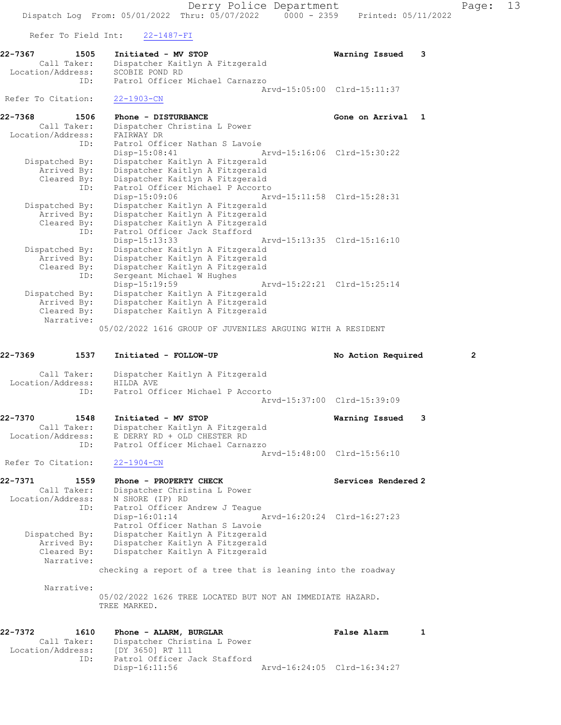Derry Police Department Fage: 13 Dispatch Log From: 05/01/2022 Thru: 05/07/2022 0000 - 2359 Printed: 05/11/2022 Refer To Field Int: 22-1487-FI 22-7367 1505 Initiated - MV STOP Warning Issued 3 Call Taker: Dispatcher Kaitlyn A Fitzgerald Location/Address: SCOBIE POND RD ID: Patrol Officer Michael Carnazzo Arvd-15:05:00 Clrd-15:11:37 Refer To Citation: 22-1903-CN 22-7368 1506 Phone - DISTURBANCE 1 1 Cone on Arrival 1 Call Taker: Dispatcher Christina L Power Location/Address: FAIRWAY DR ID: Patrol Officer Nathan S Lavoie Disp-15:08:41 Arvd-15:16:06 Clrd-15:30:22 Dispatched By: Dispatcher Kaitlyn A Fitzgerald Arrived By: Dispatcher Kaitlyn A Fitzgerald Cleared By: Dispatcher Kaitlyn A Fitzgerald ID: Patrol Officer Michael P Accorto Disp-15:09:06 Arvd-15:11:58 Clrd-15:28:31 Dispatched By: Dispatcher Kaitlyn A Fitzgerald Arrived By: Dispatcher Kaitlyn A Fitzgerald Cleared By: Dispatcher Kaitlyn A Fitzgerald ID: Patrol Officer Jack Stafford Disp-15:13:33 Arvd-15:13:35 Clrd-15:16:10 Dispatched By: Dispatcher Kaitlyn A Fitzgerald Arrived By: Dispatcher Kaitlyn A Fitzgerald Cleared By: Dispatcher Kaitlyn A Fitzgerald ID: Sergeant Michael W Hughes Disp-15:19:59 Arvd-15:22:21 Clrd-15:25:14 Dispatched By: Dispatcher Kaitlyn A Fitzgerald Arrived By: Dispatcher Kaitlyn A Fitzgerald Cleared By: Dispatcher Kaitlyn A Fitzgerald Narrative: 05/02/2022 1616 GROUP OF JUVENILES ARGUING WITH A RESIDENT 22-7369 1537 Initiated - FOLLOW-UP 120 No Action Required 2 Call Taker: Dispatcher Kaitlyn A Fitzgerald Location/Address: HILDA AVE ID: Patrol Officer Michael P Accorto Arvd-15:37:00 Clrd-15:39:09 22-7370 1548 Initiated - MV STOP Warning Issued 3 Call Taker: Dispatcher Kaitlyn A Fitzgerald Location/Address: E DERRY RD + OLD CHESTER RD ID: Patrol Officer Michael Carnazzo Arvd-15:48:00 Clrd-15:56:10 Refer To Citation: 22-1904-CN 22-7371 1559 Phone - PROPERTY CHECK 1988 Services Rendered 2 Call Taker: Dispatcher Christina L Power Location/Address: N SHORE (IP) RD ID: Patrol Officer Andrew J Teague Disp-16:01:14 Arvd-16:20:24 Clrd-16:27:23 Patrol Officer Nathan S Lavoie Dispatched By: Dispatcher Kaitlyn A Fitzgerald Arrived By: Dispatcher Kaitlyn A Fitzgerald<br>Cleared By: Dispatcher Kaitlyn A Fitzgerald Dispatcher Kaitlyn A Fitzgerald Narrative: checking a report of a tree that is leaning into the roadway Narrative: 05/02/2022 1626 TREE LOCATED BUT NOT AN IMMEDIATE HAZARD. TREE MARKED. 22-7372 1610 Phone - ALARM, BURGLAR False Alarm 1 Call Taker: Dispatcher Christina L Power Location/Address: [DY 3650] RT 111<br>ID: Patrol Officer Ja Patrol Officer Jack Stafford<br>Disp-16:11:56

Disp-16:11:56 Arvd-16:24:05 Clrd-16:34:27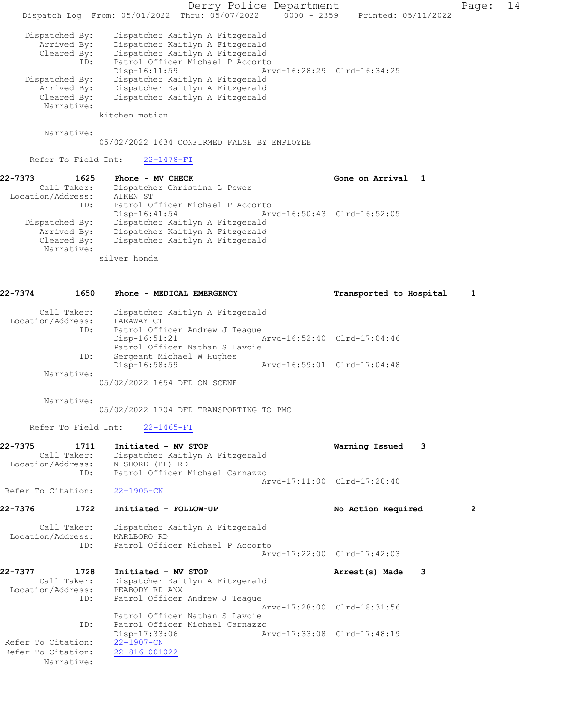Derry Police Department Page: 14 Dispatch Log From: 05/01/2022 Thru: 05/07/2022 0000 - 2359 Printed: 05/11/2022 Dispatched By: Dispatcher Kaitlyn A Fitzgerald Arrived By: Dispatcher Kaitlyn A Fitzgerald Cleared By: Dispatcher Kaitlyn A Fitzgerald ID: Patrol Officer Michael P Accorto Disp-16:11:59 Arvd-16:28:29 Clrd-16:34:25 Dispatched By: Dispatcher Kaitlyn A Fitzgerald Arrived By: Dispatcher Kaitlyn A Fitzgerald Cleared By: Dispatcher Kaitlyn A Fitzgerald Narrative: kitchen motion Narrative: 05/02/2022 1634 CONFIRMED FALSE BY EMPLOYEE

Refer To Field Int: 22-1478-FI

22-7373 1625 Phone - MV CHECK 1988 1989 Sole on Arrival 1 Call Taker: Dispatcher Christina L Power Location/Address: AIKEN ST ID: Patrol Officer Michael P Accorto<br>Disp-16:41:54 Ar Disp-16:41:54 Arvd-16:50:43 Clrd-16:52:05 Dispatched By: Dispatcher Kaitlyn A Fitzgerald Arrived By: Dispatcher Kaitlyn A Fitzgerald Cleared By: Dispatcher Kaitlyn A Fitzgerald Narrative: silver honda

| 22-7374<br>1650   | Phone - MEDICAL EMERGENCY       |                             | Transported to Hospital     | 1 |
|-------------------|---------------------------------|-----------------------------|-----------------------------|---|
| Call Taker:       | Dispatcher Kaitlyn A Fitzgerald |                             |                             |   |
| Location/Address: | LARAWAY CT                      |                             |                             |   |
| ID:               | Patrol Officer Andrew J Teaque  |                             |                             |   |
|                   | $Disp-16:51:21$                 | Arvd-16:52:40 Clrd-17:04:46 |                             |   |
|                   | Patrol Officer Nathan S Lavoie  |                             |                             |   |
| ID:               | Sergeant Michael W Hughes       |                             |                             |   |
|                   | Disp-16:58:59                   |                             | Arvd-16:59:01 Clrd-17:04:48 |   |
| Narrative:        |                                 |                             |                             |   |
|                   | 05/02/2022 1654 DFD ON SCENE    |                             |                             |   |

Narrative:

05/02/2022 1704 DFD TRANSPORTING TO PMC

Refer To Field Int: 22-1465-FI

| 22-7375 | 1711              | Initiated - MV STOP             | Warning Issued 3            |  |
|---------|-------------------|---------------------------------|-----------------------------|--|
|         | Call Taker:       | Dispatcher Kaitlyn A Fitzgerald |                             |  |
|         | Location/Address: | N SHORE (BL) RD                 |                             |  |
|         | ID:               | Patrol Officer Michael Carnazzo |                             |  |
|         |                   |                                 | Aryd-17:11:00 Clrd-17:20:40 |  |

Refer To Citation: 22-1905-CN

# 22-7376 1722 Initiated - FOLLOW-UP 12 No Action Required 2

 Call Taker: Dispatcher Kaitlyn A Fitzgerald Location/Address: MARLBORO RD

 ID: Patrol Officer Michael P Accorto Arvd-17:22:00 Clrd-17:42:03

# 22-7377 1728 Initiated - MV STOP 128 1728 1728 1728 1728 1

 Call Taker: Dispatcher Kaitlyn A Fitzgerald Location/Address: PEABODY RD ANX ID: Patrol Officer Andrew J Teague Arvd-17:28:00 Clrd-18:31:56 Patrol Officer Nathan S Lavoie ID: Patrol Officer Michael Carnazzo<br>Disp-17:33:06 A: Disp-17:33:06 Arvd-17:33:08 Clrd-17:48:19 Refer To Citation:  $\frac{22-1907-CN}{22-816-001022}$ Refer To Citation: Narrative: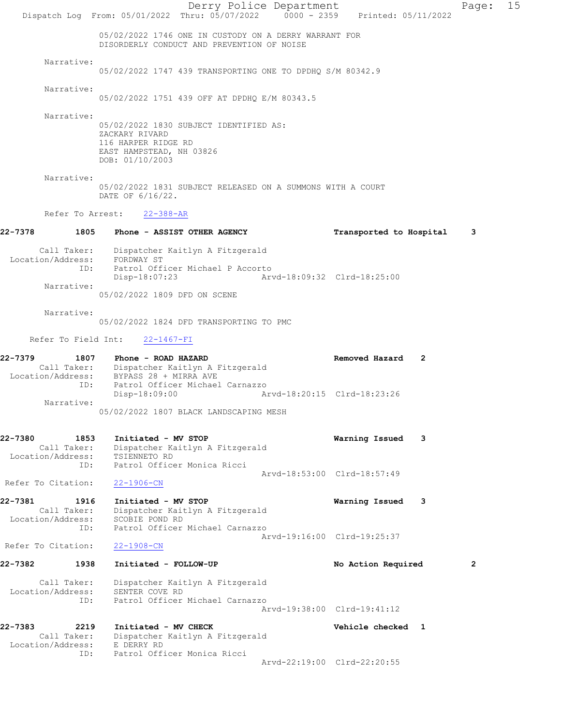Derry Police Department Fage: 15 Dispatch Log From: 05/01/2022 Thru: 05/07/2022 0000 - 2359 Printed: 05/11/2022 05/02/2022 1746 ONE IN CUSTODY ON A DERRY WARRANT FOR DISORDERLY CONDUCT AND PREVENTION OF NOISE Narrative: 05/02/2022 1747 439 TRANSPORTING ONE TO DPDHQ S/M 80342.9 Narrative: 05/02/2022 1751 439 OFF AT DPDHQ E/M 80343.5 Narrative: 05/02/2022 1830 SUBJECT IDENTIFIED AS: ZACKARY RIVARD 116 HARPER RIDGE RD EAST HAMPSTEAD, NH 03826 DOB: 01/10/2003 Narrative: 05/02/2022 1831 SUBJECT RELEASED ON A SUMMONS WITH A COURT DATE OF 6/16/22. Refer To Arrest: 22-388-AR 22-7378 1805 Phone - ASSIST OTHER AGENCY Transported to Hospital 3 Call Taker: Dispatcher Kaitlyn A Fitzgerald Location/Address: FORDWAY ST ID: Patrol Officer Michael P Accorto Disp-18:07:23 Arvd-18:09:32 Clrd-18:25:00 Narrative: 05/02/2022 1809 DFD ON SCENE Narrative: 05/02/2022 1824 DFD TRANSPORTING TO PMC Refer To Field Int: 22-1467-FI 22-7379 1807 Phone - ROAD HAZARD Removed Hazard 2 Call Taker: Dispatcher Kaitlyn A Fitzgerald Location/Address: BYPASS 28 + MIRRA AVE ID: Patrol Officer Michael Carnazzo Disp-18:09:00 Arvd-18:20:15 Clrd-18:23:26 Narrative: 05/02/2022 1807 BLACK LANDSCAPING MESH 22-7380 1853 Initiated - MV STOP Warning Issued 3 Call Taker: Dispatcher Kaitlyn A Fitzgerald Location/Address: TSIENNETO RD ID: Patrol Officer Monica Ricci Arvd-18:53:00 Clrd-18:57:49 Refer To Citation: 22-1906-CN 22-7381 1916 Initiated - MV STOP Warning Issued 3 Call Taker: Dispatcher Kaitlyn A Fitzgerald Location/Address: SCOBIE POND RD ID: Patrol Officer Michael Carnazzo Arvd-19:16:00 Clrd-19:25:37 Refer To Citation: 22-1908-CN 22-7382 1938 Initiated - FOLLOW-UP No Action Required 2 Call Taker: Dispatcher Kaitlyn A Fitzgerald Location/Address: SENTER COVE RD ID: Patrol Officer Michael Carnazzo Arvd-19:38:00 Clrd-19:41:12 22-7383 2219 Initiated - MV CHECK Vehicle checked 1 Call Taker: Dispatcher Kaitlyn A Fitzgerald Location/Address: E DERRY RD ID: Patrol Officer Monica Ricci Arvd-22:19:00 Clrd-22:20:55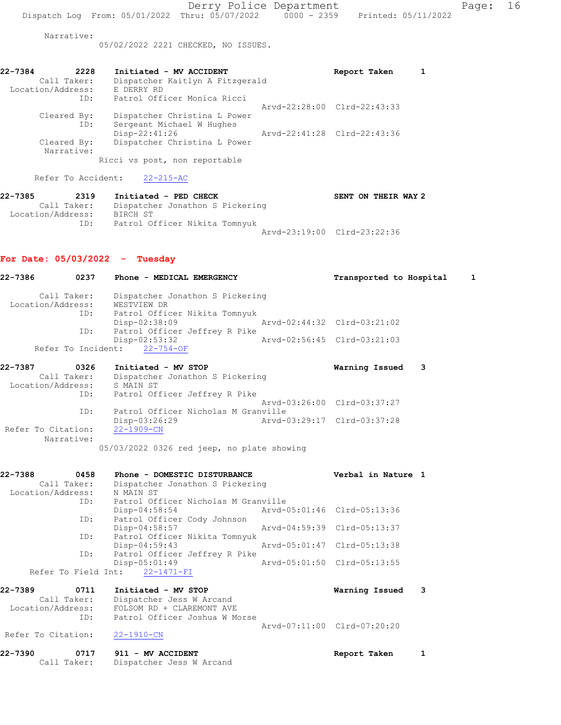05/02/2022 2221 CHECKED, NO ISSUES.

| 22-7384           | 2228        | Initiated - MV ACCIDENT         | Report Taken                |  |
|-------------------|-------------|---------------------------------|-----------------------------|--|
|                   | Call Taker: | Dispatcher Kaitlyn A Fitzgerald |                             |  |
| Location/Address: |             | E DERRY RD                      |                             |  |
|                   | ID:         | Patrol Officer Monica Ricci     |                             |  |
|                   |             |                                 | Aryd-22:28:00 Clrd-22:43:33 |  |
|                   | Cleared By: | Dispatcher Christina L Power    |                             |  |
|                   | ID:         | Sergeant Michael W Hughes       |                             |  |
|                   |             | Disp-22:41:26                   | Aryd-22:41:28 Clrd-22:43:36 |  |
|                   | Cleared By: | Dispatcher Christina L Power    |                             |  |
|                   | Narrative:  |                                 |                             |  |
|                   |             | Ricci vs post, non reportable   |                             |  |
|                   |             |                                 |                             |  |

Refer To Accident: 22-215-AC

| 22-7385           | 2319        | Initiated - PED CHECK           | SENT ON THEIR WAY 2 |  |
|-------------------|-------------|---------------------------------|---------------------|--|
|                   | Call Taker: | Dispatcher Jonathon S Pickering |                     |  |
| Location/Address: |             | BIRCH ST                        |                     |  |
|                   | ID:         | Patrol Officer Nikita Tomnyuk   |                     |  |
|                   |             | Arvd-23:19:00 Clrd-23:22:36     |                     |  |

# For Date: 05/03/2022 - Tuesday

| 22-7386           | 0237        | Phone - MEDICAL EMERGENCY       | Transported to Hospital     | $\mathbf{1}$ |
|-------------------|-------------|---------------------------------|-----------------------------|--------------|
|                   | Call Taker: | Dispatcher Jonathon S Pickering |                             |              |
| Location/Address: |             | WESTVIEW DR                     |                             |              |
|                   | ID:         | Patrol Officer Nikita Tomnyuk   |                             |              |
|                   |             | Disp-02:38:09                   | Arvd-02:44:32 Clrd-03:21:02 |              |
|                   | ID:         | Patrol Officer Jeffrey R Pike   |                             |              |
|                   |             | $Disp-02:53:32$                 | Arvd-02:56:45 Clrd-03:21:03 |              |
|                   |             | Refer To Incident: 22-754-OF    |                             |              |
| 22-7387           | 0326        | Initiated - MV STOP             | Warning Issued              |              |

| Call Taker:        | Dispatcher Jonathon S Pickering     |                             |  |
|--------------------|-------------------------------------|-----------------------------|--|
| Location/Address:  | S MAIN ST                           |                             |  |
| ID:                | Patrol Officer Jeffrey R Pike       |                             |  |
|                    |                                     | Aryd-03:26:00 Clrd-03:37:27 |  |
| ID:                | Patrol Officer Nicholas M Granville |                             |  |
|                    | Disp-03:26:29                       | Arvd-03:29:17 Clrd-03:37:28 |  |
| Refer To Citation: | 22-1909-CN                          |                             |  |
| Narrative:         |                                     |                             |  |

05/03/2022 0326 red jeep, no plate showing

| 22-7388 0458                |             | Phone - DOMESTIC DISTURBANCE                | Verbal in Nature 1          |   |
|-----------------------------|-------------|---------------------------------------------|-----------------------------|---|
|                             | Call Taker: | Dispatcher Jonathon S Pickering             |                             |   |
| Location/Address: N MAIN ST |             |                                             |                             |   |
|                             |             | ID: Patrol Officer Nicholas M Granville     |                             |   |
|                             |             | $Disp-04:58:54$                             | Arvd-05:01:46 Clrd-05:13:36 |   |
|                             |             | ID: Patrol Officer Cody Johnson             |                             |   |
|                             |             | $Disp-04:58:57$                             | Arvd-04:59:39 Clrd-05:13:37 |   |
|                             |             | ID: Patrol Officer Nikita Tomnyuk           |                             |   |
|                             |             | $Disp-04:59:43$                             |                             |   |
|                             |             | ID: Patrol Officer Jeffrey R Pike           |                             |   |
|                             |             | $Disp-05:01:49$                             | Arvd-05:01:50 Clrd-05:13:55 |   |
|                             |             | Refer To Field Int: 22-1471-FI              |                             |   |
|                             |             | 22-7389 0711 Initiated - MV STOP            | Warning Issued 3            |   |
|                             | Call Taker: | Dispatcher Jess W Arcand                    |                             |   |
|                             |             | Location/Address: FOLSOM RD + CLAREMONT AVE |                             |   |
|                             |             | ID: Patrol Officer Joshua W Morse           |                             |   |
|                             |             |                                             | Arvd-07:11:00 Clrd-07:20:20 |   |
| Refer To Citation:          |             | $22 - 1910 - CN$                            |                             |   |
| 22-7390                     |             | 0717 911 - MV ACCIDENT                      | Report Taken                | 1 |
|                             |             | Call Taker: Dispatcher Jess W Arcand        |                             |   |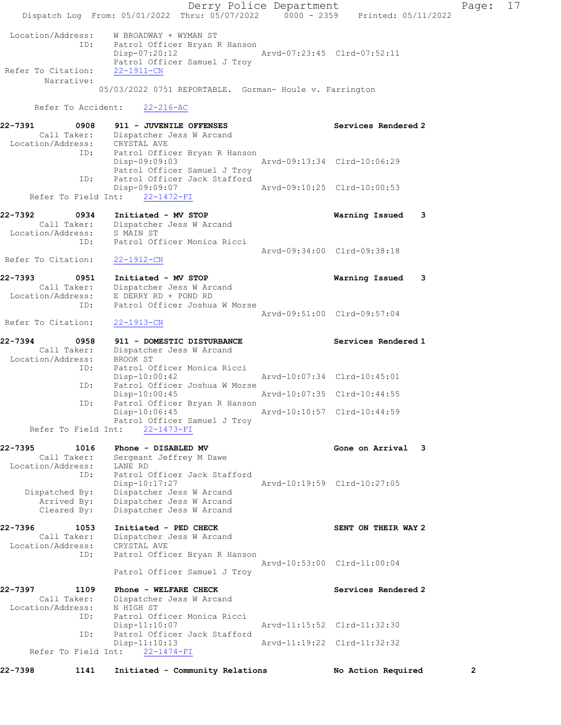Derry Police Department The Page: 17 Dispatch Log From: 05/01/2022 Thru: 05/07/2022 0000 - 2359 Printed: 05/11/2022 Location/Address: W BROADWAY + WYMAN ST ID: Patrol Officer Bryan R Hanson<br>Disp-07:20:12 Disp-07:20:12 Arvd-07:23:45 Clrd-07:52:11 Patrol Officer Samuel J Troy<br>22-1911-CN Refer To Citation: Narrative: 05/03/2022 0751 REPORTABLE. Gorman- Houle v. Farrington Refer To Accident: 22-216-AC 22-7391 0908 911 - JUVENILE OFFENSES Services Rendered 2 Call Taker: Dispatcher Jess W Arcand Location/Address: CRYSTAL AVE ID: Patrol Officer Bryan R Hanson Disp-09:09:03 Arvd-09:13:34 Clrd-10:06:29 Patrol Officer Samuel J Troy ID: Patrol Officer Jack Stafford Disp-09:09:07 Arvd-09:10:25 Clrd-10:00:53 Refer To Field Int: 22-1472-FI 22-7392 0934 Initiated - MV STOP Warning Issued 3 Call Taker: Dispatcher Jess W Arcand Location/Address: S MAIN ST ID: Patrol Officer Monica Ricci Arvd-09:34:00 Clrd-09:38:18<br>22-1912-CN Refer To Citation: 22-7393 0951 Initiated - MV STOP Warning Issued 3 Call Taker: Dispatcher Jess W Arcand Location/Address: E DERRY RD + POND RD ID: Patrol Officer Joshua W Morse Arvd-09:51:00 Clrd-09:57:04 Refer To Citation: 22-1913-CN 22-7394 0958 911 - DOMESTIC DISTURBANCE Services Rendered 1 Call Taker: Dispatcher Jess W Arcand Location/Address: BROOK ST ID: Patrol Officer Monica Ricci Disp-10:00:42 Arvd-10:07:34 Clrd-10:45:01 ID: Patrol Officer Joshua W Morse Arvd-10:07:35 Clrd-10:44:55 ID: Patrol Officer Bryan R Hanson Arvd-10:10:57 Clrd-10:44:59 Patrol Officer Samuel J Troy Refer To Field Int: 22-1473-FI 22-7395 1016 Phone - DISABLED MV **1200 Cone on Arrival** 3 Call Taker: Sergeant Jeffrey M Dawe Location/Address: LANE RD ID: Patrol Officer Jack Stafford<br>Disp-10:17:27 Disp-10:17:27 Arvd-10:19:59 Clrd-10:27:05 Dispatched By: Dispatcher Jess W Arcand Arrived By: Dispatcher Jess W Arcand Cleared By: Dispatcher Jess W Arcand 22-7396 1053 Initiated - PED CHECK SENT ON THEIR WAY 2 Call Taker: Dispatcher Jess W Arcand Location/Address: CRYSTAL AVE ID: Patrol Officer Bryan R Hanson Arvd-10:53:00 Clrd-11:00:04 Patrol Officer Samuel J Troy 22-7397 1109 Phone - WELFARE CHECK Services Rendered 2 Call Taker: Dispatcher Jess W Arcand Location/Address: N HIGH ST ID: Patrol Officer Monica Ricci Disp-11:10:07 <br>
D: Patrol Officer Jack Stafford<br>
D: Patrol Officer Jack Stafford Patrol Officer Jack Stafford<br>Disp-11:10:13 Arvd-11:19:22 Clrd-11:32:32 Refer To Field Int: 22-1474-FI 22-7398 1141 Initiated - Community Relations No Action Required 2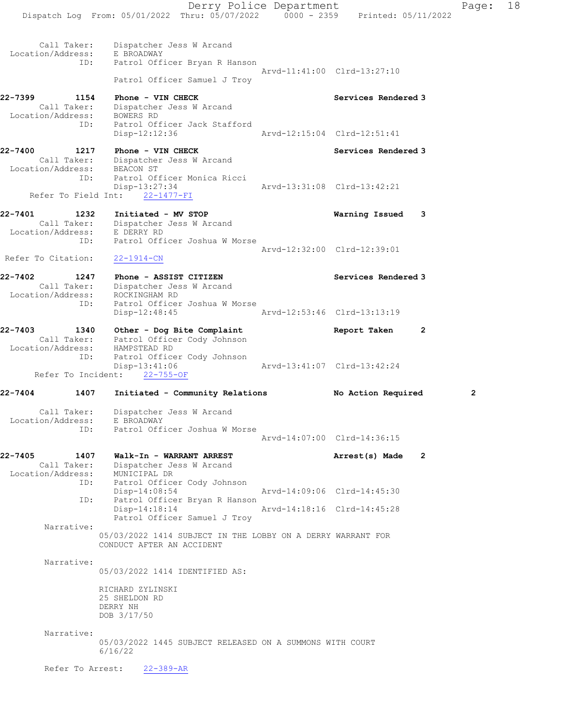Derry Police Department Page: 18 Dispatch Log From: 05/01/2022 Thru: 05/07/2022 0000 - 2359 Printed: 05/11/2022 Call Taker: Dispatcher Jess W Arcand Location/Address: E BROADWAY ID: Patrol Officer Bryan R Hanson Arvd-11:41:00 Clrd-13:27:10 Patrol Officer Samuel J Troy 22-7399 1154 Phone - VIN CHECK Services Rendered 3 Call Taker: Dispatcher Jess W Arcand Location/Address: BOWERS RD ID: Patrol Officer Jack Stafford Disp-12:12:36 Arvd-12:15:04 Clrd-12:51:41 22-7400 1217 Phone - VIN CHECK Services Rendered 3 Call Taker: Dispatcher Jess W Arcand Location/Address: BEACON ST ID: Patrol Officer Monica Ricci Disp-13:27:34 Arvd-13:31:08 Clrd-13:42:21 Refer To Field Int: 22-1477-FI 22-7401 1232 Initiated - MV STOP Warning Issued 3 Call Taker: Dispatcher Jess W Arcand Location/Address: E DERRY RD ID: Patrol Officer Joshua W Morse Arvd-12:32:00 Clrd-12:39:01 Refer To Citation: 22-1914-CN 22-7402 1247 Phone - ASSIST CITIZEN Services Rendered 3 Call Taker: Dispatcher Jess W Arcand Location/Address: ROCKINGHAM RD ID: Patrol Officer Joshua W Morse Disp-12:48:45 Arvd-12:53:46 Clrd-13:13:19 22-7403 1340 Other - Dog Bite Complaint Report Taken 2 Call Taker: Patrol Officer Cody Johnson Location/Address: HAMPSTEAD RD ID: Patrol Officer Cody Johnson Disp-13:41:06 Arvd-13:41:07 Clrd-13:42:24 Refer To Incident: 22-755-OF 22-7404 1407 Initiated - Community Relations No Action Required 2 Call Taker: Dispatcher Jess W Arcand Location/Address: E BROADWAY ID: Patrol Officer Joshua W Morse Arvd-14:07:00 Clrd-14:36:15 22-7405 1407 Walk-In - WARRANT ARREST Arrest(s) Made 2 Call Taker: Dispatcher Jess W Arcand Location/Address: MUNICIPAL DR ID: Patrol Officer Cody Johnson Disp-14:08:54 Arvd-14:09:06 Clrd-14:45:30 ID: Patrol Officer Bryan R Hanson<br>Disp-14:18:14 Arvd-14:18:16 Clrd-14:45:28  $Disp-14:18:14$  Patrol Officer Samuel J Troy Narrative: 05/03/2022 1414 SUBJECT IN THE LOBBY ON A DERRY WARRANT FOR CONDUCT AFTER AN ACCIDENT Narrative: 05/03/2022 1414 IDENTIFIED AS: RICHARD ZYLINSKI 25 SHELDON RD DERRY NH DOB 3/17/50 Narrative: 05/03/2022 1445 SUBJECT RELEASED ON A SUMMONS WITH COURT 6/16/22 Refer To Arrest: 22-389-AR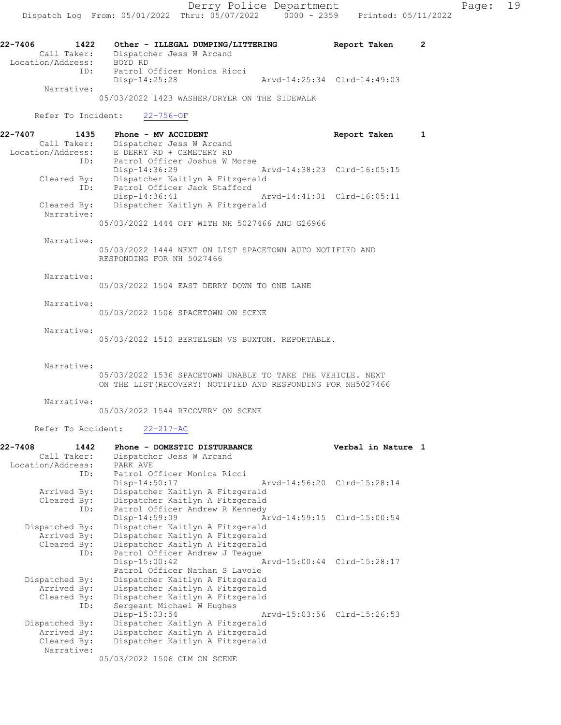22-7406 1422 Other - ILLEGAL DUMPING/LITTERING Report Taken 2 Call Taker: Dispatcher Jess W Arcand Location/Address: BOYD RD ID: Patrol Officer Monica Ricci Disp-14:25:28 Arvd-14:25:34 Clrd-14:49:03 Narrative:

05/03/2022 1423 WASHER/DRYER ON THE SIDEWALK

Refer To Incident: 22-756-OF

| 22-7407<br>1435   | Phone - MV ACCIDENT                            |                             | Report Taken |  |
|-------------------|------------------------------------------------|-----------------------------|--------------|--|
| Call Taker:       | Dispatcher Jess W Arcand                       |                             |              |  |
| Location/Address: | E DERRY RD + CEMETERY RD                       |                             |              |  |
| ID:               | Patrol Officer Joshua W Morse                  |                             |              |  |
|                   | $Disp-14:36:29$                                | Arvd-14:38:23 Clrd-16:05:15 |              |  |
| Cleared By:       | Dispatcher Kaitlyn A Fitzgerald                |                             |              |  |
| ID:               | Patrol Officer Jack Stafford                   |                             |              |  |
|                   | Disp-14:36:41                                  | Arvd-14:41:01 Clrd-16:05:11 |              |  |
| Cleared By:       | Dispatcher Kaitlyn A Fitzgerald                |                             |              |  |
| Narrative:        |                                                |                             |              |  |
|                   | 05/03/2022 1444 OFF WITH NH 5027466 AND G26966 |                             |              |  |

Narrative:

05/03/2022 1444 NEXT ON LIST SPACETOWN AUTO NOTIFIED AND RESPONDING FOR NH 5027466

Narrative:

05/03/2022 1504 EAST DERRY DOWN TO ONE LANE

Narrative:

05/03/2022 1506 SPACETOWN ON SCENE

Narrative:

05/03/2022 1510 BERTELSEN VS BUXTON. REPORTABLE.

Narrative:

05/03/2022 1536 SPACETOWN UNABLE TO TAKE THE VEHICLE. NEXT ON THE LIST(RECOVERY) NOTIFIED AND RESPONDING FOR NH5027466

Narrative:

05/03/2022 1544 RECOVERY ON SCENE

Refer To Accident: 22-217-AC

| 22-7408           | 1442 | Phone - DOMESTIC DISTURBANCE    |                             | Verbal in Nature 1          |  |
|-------------------|------|---------------------------------|-----------------------------|-----------------------------|--|
| Call Taker:       |      | Dispatcher Jess W Arcand        |                             |                             |  |
| Location/Address: |      | PARK AVE                        |                             |                             |  |
|                   | ID:  | Patrol Officer Monica Ricci     |                             |                             |  |
|                   |      | $Disp-14:50:17$                 | Arvd-14:56:20 Clrd-15:28:14 |                             |  |
| Arrived By:       |      | Dispatcher Kaitlyn A Fitzgerald |                             |                             |  |
| Cleared By:       |      | Dispatcher Kaitlyn A Fitzgerald |                             |                             |  |
|                   | ID:  | Patrol Officer Andrew R Kennedy |                             |                             |  |
|                   |      | Disp-14:59:09                   |                             | Arvd-14:59:15 Clrd-15:00:54 |  |
| Dispatched By:    |      | Dispatcher Kaitlyn A Fitzgerald |                             |                             |  |
| Arrived By:       |      | Dispatcher Kaitlyn A Fitzgerald |                             |                             |  |
| Cleared By:       |      | Dispatcher Kaitlyn A Fitzgerald |                             |                             |  |
|                   | ID:  | Patrol Officer Andrew J Teaque  |                             |                             |  |
|                   |      | $Disp-15:00:42$                 | Arvd-15:00:44 Clrd-15:28:17 |                             |  |
|                   |      | Patrol Officer Nathan S Lavoie  |                             |                             |  |
| Dispatched By:    |      | Dispatcher Kaitlyn A Fitzgerald |                             |                             |  |
| Arrived By:       |      | Dispatcher Kaitlyn A Fitzgerald |                             |                             |  |
| Cleared By:       |      | Dispatcher Kaitlyn A Fitzgerald |                             |                             |  |
|                   | ID:  | Sergeant Michael W Hughes       |                             |                             |  |
|                   |      | $Disp-15:03:54$                 | Arvd-15:03:56 Clrd-15:26:53 |                             |  |
| Dispatched By:    |      | Dispatcher Kaitlyn A Fitzgerald |                             |                             |  |
| Arrived By:       |      | Dispatcher Kaitlyn A Fitzgerald |                             |                             |  |
| Cleared By:       |      | Dispatcher Kaitlyn A Fitzgerald |                             |                             |  |
| Narrative:        |      |                                 |                             |                             |  |
|                   |      | 05/03/2022 1506 CLM ON SCENE    |                             |                             |  |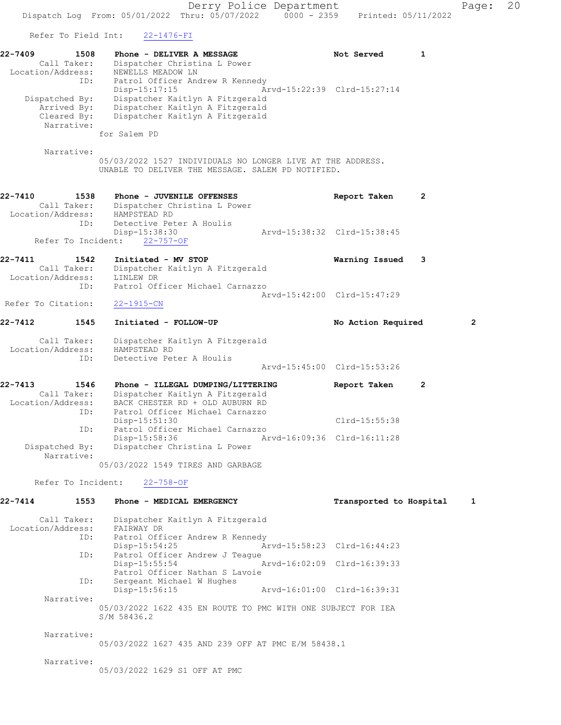Derry Police Department Fage: 20 Dispatch Log From: 05/01/2022 Thru: 05/07/2022 0000 - 2359 Printed: 05/11/2022 Refer To Field Int: 22-1476-FI 22-7409 1508 Phone - DELIVER A MESSAGE Not Served 1 Call Taker: Dispatcher Christina L Power Location/Address: NEWELLS MEADOW LN ID: Patrol Officer Andrew R Kennedy Disp-15:17:15 Arvd-15:22:39 Clrd-15:27:14 Dispatched By: Dispatcher Kaitlyn A Fitzgerald Arrived By: Dispatcher Kaitlyn A Fitzgerald Cleared By: Dispatcher Kaitlyn A Fitzgerald Narrative: for Salem PD Narrative: 05/03/2022 1527 INDIVIDUALS NO LONGER LIVE AT THE ADDRESS. UNABLE TO DELIVER THE MESSAGE. SALEM PD NOTIFIED. 22-7410 1538 Phone - JUVENILE OFFENSES Report Taken 2 Call Taker: Dispatcher Christina L Power Location/Address: HAMPSTEAD RD ID: Detective Peter A Houlis Disp-15:38:30 Arvd-15:38:32 Clrd-15:38:45 Refer To Incident: 22-757-OF 22-7411 1542 Initiated - MV STOP Warning Issued 3 Call Taker: Dispatcher Kaitlyn A Fitzgerald Location/Address: LINLEW DR ID: Patrol Officer Michael Carnazzo Arvd-15:42:00 Clrd-15:47:29 Refer To Citation: 22-1915-CN 22-7412 1545 Initiated - FOLLOW-UP No Action Required 2 Call Taker: Dispatcher Kaitlyn A Fitzgerald Location/Address: HAMPSTEAD RD ID: Detective Peter A Houlis Arvd-15:45:00 Clrd-15:53:26 22-7413 1546 Phone - ILLEGAL DUMPING/LITTERING Report Taken 2 Call Taker: Dispatcher Kaitlyn A Fitzgerald Location/Address: BACK CHESTER RD + OLD AUBURN RD ID: Patrol Officer Michael Carnazzo Disp-15:51:30 Clrd-15:55:38 ID: Patrol Officer Michael Carnazzo<br>Disp-15:58:36 Ar Disp-15:58:36 Arvd-16:09:36 Clrd-16:11:28<br>Dispatched By: Dispatcher Christina L Power Dispatcher Christina L Power Narrative: 05/03/2022 1549 TIRES AND GARBAGE Refer To Incident: 22-758-OF 22-7414 1553 Phone - MEDICAL EMERGENCY Transported to Hospital 1 Call Taker: Dispatcher Kaitlyn A Fitzgerald Location/Address: FAIRWAY DR<br>ID: Patrol Off: Patrol Officer Andrew R Kennedy Disp-15:54:25 Arvd-15:58:23 Clrd-16:44:23<br>ID: Patrol Officer Andrew J Teaque Patrol Officer Andrew J Teague<br>Disp-15:55:54 A Arvd-16:02:09 Clrd-16:39:33 Patrol Officer Nathan S Lavoie ID: Sergeant Michael W Hughes Arvd-16:01:00 Clrd-16:39:31 Narrative: 05/03/2022 1622 435 EN ROUTE TO PMC WITH ONE SUBJECT FOR IEA S/M 58436.2 Narrative: 05/03/2022 1627 435 AND 239 OFF AT PMC E/M 58438.1 Narrative: 05/03/2022 1629 S1 OFF AT PMC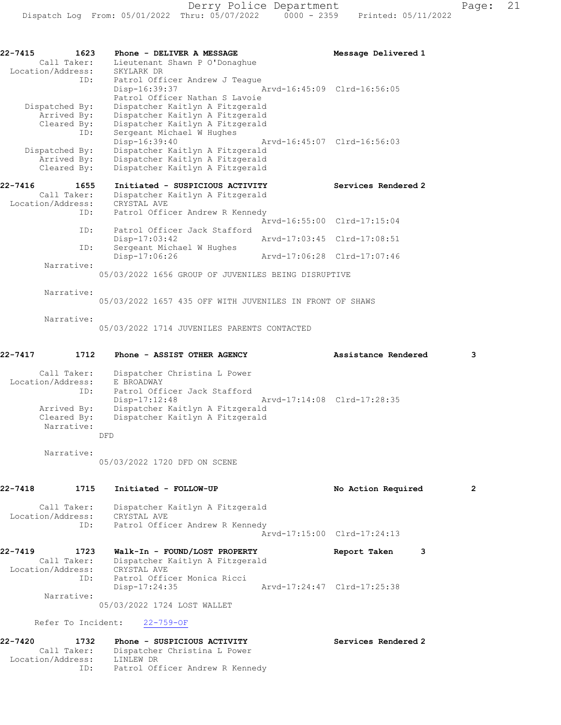| Narrative:                                                 | Disp-17:06:26                                                                                                                                                                         | Arvd-17:06:28 Clrd-17:07:46                        |  |
|------------------------------------------------------------|---------------------------------------------------------------------------------------------------------------------------------------------------------------------------------------|----------------------------------------------------|--|
| ID:<br>ID:                                                 | Patrol Officer Jack Stafford<br>Disp-17:03:42<br>Sergeant Michael W Hughes                                                                                                            | Arvd-17:03:45 Clrd-17:08:51                        |  |
| 22-7416<br>1655<br>Call Taker:<br>Location/Address:<br>ID: | Initiated - SUSPICIOUS ACTIVITY<br>Dispatcher Kaitlyn A Fitzgerald<br>CRYSTAL AVE<br>Patrol Officer Andrew R Kennedy                                                                  | Services Rendered 2<br>Arvd-16:55:00 Clrd-17:15:04 |  |
| Dispatched By:<br>Arrived By:<br>Cleared By:               | Dispatcher Kaitlyn A Fitzgerald<br>Dispatcher Kaitlyn A Fitzgerald<br>Dispatcher Kaitlyn A Fitzgerald                                                                                 |                                                    |  |
| Dispatched By:<br>Arrived By:<br>Cleared By:<br>ID:        | Patrol Officer Nathan S Lavoie<br>Dispatcher Kaitlyn A Fitzgerald<br>Dispatcher Kaitlyn A Fitzgerald<br>Dispatcher Kaitlyn A Fitzgerald<br>Sergeant Michael W Hughes<br>Disp-16:39:40 | Arvd-16:45:07 Clrd-16:56:03                        |  |
| Call Taker:<br>Location/Address:<br>ID:                    | 1623<br>Phone - DELIVER A MESSAGE<br>Lieutenant Shawn P O'Donaghue<br>SKYLARK DR<br>Patrol Officer Andrew J Teaque<br>Disp-16:39:37                                                   | Message Delivered 1<br>Arvd-16:45:09 Clrd-16:56:05 |  |

| Call Taker:       | Dispatcher Christina L Power    |                             |  |
|-------------------|---------------------------------|-----------------------------|--|
| Location/Address: | E BROADWAY                      |                             |  |
| ID:               | Patrol Officer Jack Stafford    |                             |  |
|                   | Disp-17:12:48                   | Arvd-17:14:08 Clrd-17:28:35 |  |
| Arrived By:       | Dispatcher Kaitlyn A Fitzgerald |                             |  |
| Cleared By:       | Dispatcher Kaitlyn A Fitzgerald |                             |  |
| Narrative:        |                                 |                             |  |
|                   | DFD                             |                             |  |

 Narrative: 05/03/2022 1720 DFD ON SCENE

| 22-7418                      | 1715                       | Initiated - FOLLOW-UP                                                                                          | No Action Required                          |   | $\overline{2}$ |
|------------------------------|----------------------------|----------------------------------------------------------------------------------------------------------------|---------------------------------------------|---|----------------|
| Location/Address:            | Call Taker:<br>ID:         | Dispatcher Kaitlyn A Fitzgerald<br>CRYSTAL AVE<br>Patrol Officer Andrew R Kennedy                              |                                             |   |                |
|                              |                            |                                                                                                                | Arvd-17:15:00 Clrd-17:24:13                 |   |                |
| 22-7419<br>Location/Address: | 1723<br>Call Taker:<br>ID: | Walk-In - FOUND/LOST PROPERTY<br>Dispatcher Kaitlyn A Fitzgerald<br>CRYSTAL AVE<br>Patrol Officer Monica Ricci | Report Taken<br>Arvd-17:24:47 Clrd-17:25:38 | з |                |
|                              | Narrative:                 | Disp-17:24:35<br>05/03/2022 1724 LOST WALLET                                                                   |                                             |   |                |
|                              | Refer To Incident:         | $22 - 759 - OF$                                                                                                |                                             |   |                |
| 22-7420                      | 1732                       | Phone - SUSPICIOUS ACTIVITY                                                                                    | Services Rendered 2                         |   |                |

| 22-7420           | 1732        | Phone - SUSPICIOUS ACTIVITY     | Services Rendered 2 |
|-------------------|-------------|---------------------------------|---------------------|
|                   | Call Taker: | Dispatcher Christina L Power    |                     |
| Location/Address: |             | LINLEW DR                       |                     |
|                   | ID:         | Patrol Officer Andrew R Kennedy |                     |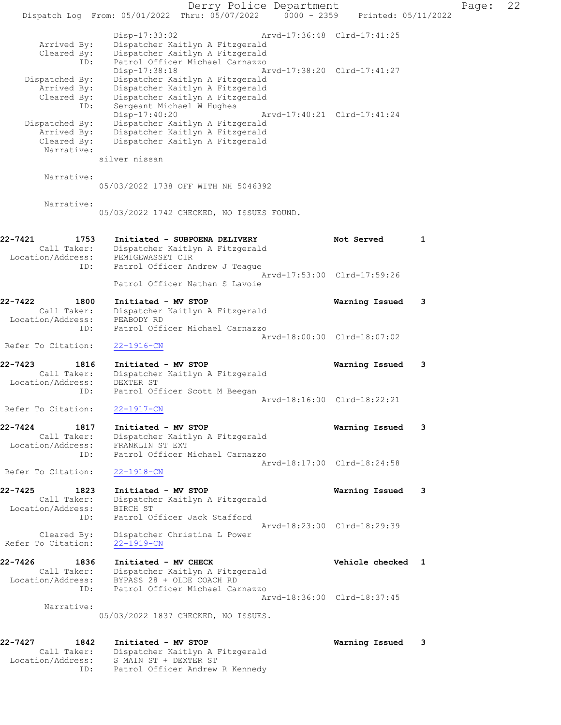Derry Police Department Page: 22 Dispatch Log From:  $05/01/2022$  Thru:  $05/07/2022$  0000 - 2359 Printed: 05/11/2022 Disp-17:33:02 Arvd-17:36:48 Clrd-17:41:25 Arrived By: Dispatcher Kaitlyn A Fitzgerald Cleared By: Dispatcher Kaitlyn A Fitzgerald ID: Patrol Officer Michael Carnazzo Disp-17:38:18 Arvd-17:38:20 Clrd-17:41:27 Dispatched By: Dispatcher Kaitlyn A Fitzgerald Arrived By: Dispatcher Kaitlyn A Fitzgerald Cleared By: Dispatcher Kaitlyn A Fitzgerald ID: Sergeant Michael W Hughes Disp-17:40:20 Arvd-17:40:21 Clrd-17:41:24 Dispatched By: Dispatcher Kaitlyn A Fitzgerald Arrived By: Dispatcher Kaitlyn A Fitzgerald Cleared By: Dispatcher Kaitlyn A Fitzgerald Narrative: silver nissan Narrative: 05/03/2022 1738 OFF WITH NH 5046392 Narrative: 05/03/2022 1742 CHECKED, NO ISSUES FOUND. 22-7421 1753 Initiated - SUBPOENA DELIVERY 1 Not Served 1 Call Taker: Dispatcher Kaitlyn A Fitzgerald Location/Address: PEMIGEWASSET CIR ID: Patrol Officer Andrew J Teague Arvd-17:53:00 Clrd-17:59:26 Patrol Officer Nathan S Lavoie 22-7422 1800 Initiated - MV STOP Warning Issued 3 Call Taker: Dispatcher Kaitlyn A Fitzgerald Location/Address: PEABODY RD ID: Patrol Officer Michael Carnazzo Arvd-18:00:00 Clrd-18:07:02 Refer To Citation: 22-1916-CN 22-7423 1816 Initiated - MV STOP Warning Issued 3 Call Taker: Dispatcher Kaitlyn A Fitzgerald Location/Address: DEXTER ST ID: Patrol Officer Scott M Beegan Arvd-18:16:00 Clrd-18:22:21 Refer To Citation: 22-1917-CN 22-7424 1817 Initiated - MV STOP Warning Issued 3 Call Taker: Dispatcher Kaitlyn A Fitzgerald Location/Address: FRANKLIN ST EXT ID: Patrol Officer Michael Carnazzo Arvd-18:17:00 Clrd-18:24:58 Refer To Citation: 22-1918-CN 22-7425 1823 Initiated - MV STOP Warning Issued 3 Call Taker: Dispatcher Kaitlyn A Fitzgerald Location/Address: BIRCH ST ID: Patrol Officer Jack Stafford Arvd-18:23:00 Clrd-18:29:39 Cleared By: Dispatcher Christina L Power Refer To Citation: 22-1919-CN 22-7426 1836 Initiated - MV CHECK Vehicle checked 1 Call Taker: Dispatcher Kaitlyn A Fitzgerald Location/Address: BYPASS 28 + OLDE COACH RD ID: Patrol Officer Michael Carnazzo Arvd-18:36:00 Clrd-18:37:45 Narrative: 05/03/2022 1837 CHECKED, NO ISSUES. 22-7427 1842 Initiated - MV STOP Warning Issued 3 Call Taker: Dispatcher Kaitlyn A Fitzgerald Location/Address: S MAIN ST + DEXTER ST ID: Patrol Officer Andrew R Kennedy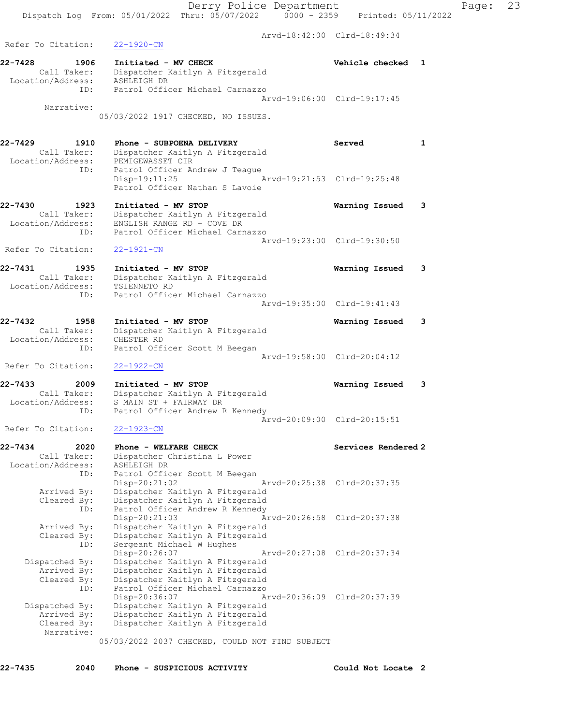Arvd-18:42:00 Clrd-18:49:34

Refer To Citation: 22-1920-CN 22-7428 1906 Initiated - MV CHECK Network of Mondale checked 1 Call Taker: Dispatcher Kaitlyn A Fitzgerald Location/Address: ASHLEIGH DR ID: Patrol Officer Michael Carnazzo Arvd-19:06:00 Clrd-19:17:45 Narrative: 05/03/2022 1917 CHECKED, NO ISSUES. 22-7429 1910 Phone - SUBPOENA DELIVERY 1 Call Taker: Dispatcher Kaitlyn A Fitzgerald Location/Address: PEMIGEWASSET CIR ID: Patrol Officer Andrew J Teague Disp-19:11:25 Arvd-19:21:53 Clrd-19:25:48 Patrol Officer Nathan S Lavoie 22-7430 1923 Initiated - MV STOP Warning Issued 3 Call Taker: Dispatcher Kaitlyn A Fitzgerald Location/Address: ENGLISH RANGE RD + COVE DR ID: Patrol Officer Michael Carnazzo Arvd-19:23:00 Clrd-19:30:50 Refer To Citation: 22-1921-CN 22-7431 1935 Initiated - MV STOP Warning Issued 3 Call Taker: Dispatcher Kaitlyn A Fitzgerald Location/Address: TSIENNETO RD ID: Patrol Officer Michael Carnazzo Arvd-19:35:00 Clrd-19:41:43 22-7432 1958 Initiated - MV STOP Warning Issued 3 Call Taker: Dispatcher Kaitlyn A Fitzgerald Location/Address: CHESTER RD ID: Patrol Officer Scott M Beegan Arvd-19:58:00 Clrd-20:04:12 Refer To Citation: 22-1922-CN 22-7433 2009 Initiated - MV STOP Warning Issued 3 Call Taker: Dispatcher Kaitlyn A Fitzgerald Location/Address: S MAIN ST + FAIRWAY DR ID: Patrol Officer Andrew R Kennedy Arvd-20:09:00 Clrd-20:15:51 Refer To Citation: 22-1923-CN 22-7434 2020 Phone - WELFARE CHECK Services Rendered 2 Call Taker: Dispatcher Christina L Power Location/Address: ASHLEIGH DR ID: Patrol Officer Scott M Beegan Disp-20:21:02 Arvd-20:25:38 Clrd-20:37:35 Arrived By: Dispatcher Kaitlyn A Fitzgerald Cleared By: Dispatcher Kaitlyn A Fitzgerald ID: Patrol Officer Andrew R Kennedy<br>Disp-20:21:03 Arvd-20:26:58 Clrd-20:37:38 Disp-20:21:03 Arvd-20:26:58 Clrd-20:37:38 Arrived By: Dispatcher Kaitlyn A Fitzgerald Cleared By: Dispatcher Kaitlyn A Fitzgerald ID: Sergeant Michael W Hughes Disp-20:26:07 Arvd-20:27:08 Clrd-20:37:34 Dispatched By: Dispatcher Kaitlyn A Fitzgerald Arrived By: Dispatcher Kaitlyn A Fitzgerald Cleared By: Dispatcher Kaitlyn A Fitzgerald ID: Patrol Officer Michael Carnazzo Disp-20:36:07 Arvd-20:36:09 Clrd-20:37:39 Dispatched By: Dispatcher Kaitlyn A Fitzgerald Arrived By: Dispatcher Kaitlyn A Fitzgerald<br>Cleared By: Dispatcher Kaitlyn A Fitzgerald Dispatcher Kaitlyn A Fitzgerald Narrative: 05/03/2022 2037 CHECKED, COULD NOT FIND SUBJECT

22-7435 2040 Phone - SUSPICIOUS ACTIVITY Could Not Locate 2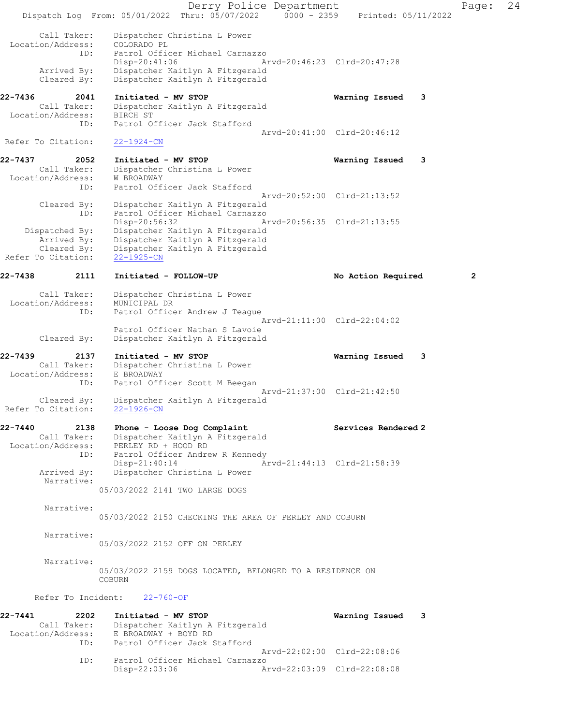Derry Police Department Fage: 24 Dispatch Log From: 05/01/2022 Thru: 05/07/2022 0000 - 2359 Printed: 05/11/2022 Call Taker: Dispatcher Christina L Power Location/Address: COLORADO PL ID: Patrol Officer Michael Carnazzo Disp-20:41:06 Arvd-20:46:23 Clrd-20:47:28 Arrived By: Dispatcher Kaitlyn A Fitzgerald Cleared By: Dispatcher Kaitlyn A Fitzgerald 22-7436 2041 Initiated - MV STOP Warning Issued 3 Call Taker: Dispatcher Kaitlyn A Fitzgerald Location/Address: BIRCH ST ID: Patrol Officer Jack Stafford Arvd-20:41:00 Clrd-20:46:12 Refer To Citation: 22-1924-CN 22-7437 2052 Initiated - MV STOP Warning Issued 3 Call Taker: Dispatcher Christina L Power Location/Address: W BROADWAY ID: Patrol Officer Jack Stafford Arvd-20:52:00 Clrd-21:13:52 Cleared By: Dispatcher Kaitlyn A Fitzgerald ID: Patrol Officer Michael Carnazzo Disp-20:56:32 Arvd-20:56:35 Clrd-21:13:55<br>Dispatched By: Dispatcher Kaitlyn A Fitzgerald Dispatcher Kaitlyn A Fitzgerald Arrived By: Dispatcher Kaitlyn A Fitzgerald Cleared By: Dispatcher Kaitlyn A Fitzgerald Refer To Citation: 22-1925-CN 22-7438 2111 Initiated - FOLLOW-UP No Action Required 2 Call Taker: Dispatcher Christina L Power Location/Address: MUNICIPAL DR ID: Patrol Officer Andrew J Teague Arvd-21:11:00 Clrd-22:04:02 Patrol Officer Nathan S Lavoie<br>Cleared By: Dispatcher Kaitlyn A Fitzgerald Dispatcher Kaitlyn A Fitzgerald 22-7439 2137 Initiated - MV STOP Warning Issued 3 Call Taker: Dispatcher Christina L Power Location/Address: E BROADWAY ID: Patrol Officer Scott M Beegan Arvd-21:37:00 Clrd-21:42:50 Cleared By: Dispatcher Kaitlyn A Fitzgerald Refer To Citation: 22-1926-CN 22-7440 2138 Phone - Loose Dog Complaint Services Rendered 2 Call Taker: Dispatcher Kaitlyn A Fitzgerald Location/Address: PERLEY RD + HOOD RD ID: Patrol Officer Andrew R Kennedy Disp-21:40:14 Arvd-21:44:13 Clrd-21:58:39 Arrived By: Dispatcher Christina L Power Narrative: 05/03/2022 2141 TWO LARGE DOGS Narrative: 05/03/2022 2150 CHECKING THE AREA OF PERLEY AND COBURN Narrative: 05/03/2022 2152 OFF ON PERLEY Narrative: 05/03/2022 2159 DOGS LOCATED, BELONGED TO A RESIDENCE ON COBURN Refer To Incident: 22-760-OF 22-7441 2202 Initiated - MV STOP Warning Issued 3 Call Taker: Dispatcher Kaitlyn A Fitzgerald Location/Address: E BROADWAY + BOYD RD ID: Patrol Officer Jack Stafford Arvd-22:02:00 Clrd-22:08:06 ID: Patrol Officer Michael Carnazzo Disp-22:03:06 Arvd-22:03:09 Clrd-22:08:08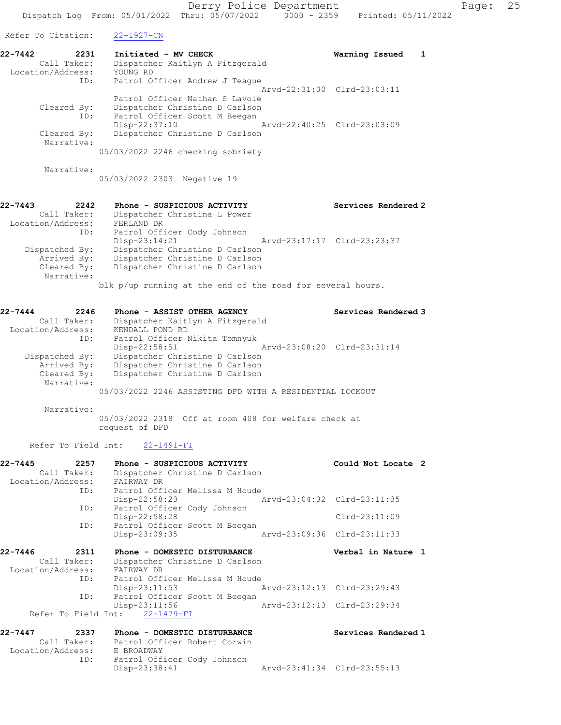Refer To Citation: 22-1927-CN

| 22-7442           | 2231 | Initiated - MV CHECK              | Warning Issued              |  |
|-------------------|------|-----------------------------------|-----------------------------|--|
| Call Taker:       |      | Dispatcher Kaitlyn A Fitzgerald   |                             |  |
| Location/Address: |      | YOUNG RD                          |                             |  |
|                   | ID:  | Patrol Officer Andrew J Teague    |                             |  |
|                   |      |                                   | Arvd-22:31:00 Clrd-23:03:11 |  |
|                   |      | Patrol Officer Nathan S Lavoie    |                             |  |
| Cleared By:       |      | Dispatcher Christine D Carlson    |                             |  |
|                   | ID:  | Patrol Officer Scott M Beegan     |                             |  |
|                   |      | Disp-22:37:10                     | Arvd-22:40:25 Clrd-23:03:09 |  |
| Cleared By:       |      | Dispatcher Christine D Carlson    |                             |  |
| Narrative:        |      |                                   |                             |  |
|                   |      | 05/03/2022 2246 checking sobriety |                             |  |
|                   |      |                                   |                             |  |

Narrative:

05/03/2022 2303 Negative 19

# 22-7443 2242 Phone - SUSPICIOUS ACTIVITY Services Rendered 2 Call Taker: Dispatcher Christina L Power Location/Address: FERLAND DR ID: Patrol Officer Cody Johnson Disp-23:14:21 Arvd-23:17:17 Clrd-23:23:37 Dispatched By: Dispatcher Christine D Carlson Arrived By: Dispatcher Christine D Carlson Cleared By: Dispatcher Christine D Carlson Narrative:

blk p/up running at the end of the road for several hours.

| $22 - 7444$<br>2246<br>Call Taker: | Phone - ASSIST OTHER AGENCY<br>Dispatcher Kaitlyn A Fitzgerald | Services Rendered 3 |
|------------------------------------|----------------------------------------------------------------|---------------------|
| Location/Address:                  | KENDALL POND RD                                                |                     |
| ID:                                | Patrol Officer Nikita Tomnyuk                                  |                     |
|                                    | Disp-22:58:51<br>Arvd-23:08:20 Clrd-23:31:14                   |                     |
| Dispatched By:                     | Dispatcher Christine D Carlson                                 |                     |
| Arrived By:                        | Dispatcher Christine D Carlson                                 |                     |
| Cleared By:                        | Dispatcher Christine D Carlson                                 |                     |
| Narrative:                         |                                                                |                     |
|                                    | 05/03/2022 2246 ASSISTING DFD WITH A RESIDENTIAL LOCKOUT       |                     |

Narrative:

05/03/2022 2318 Off at room 408 for welfare check at request of DFD

Refer To Field Int: 22-1491-FI

| 22-7445     | 2257        | Phone - SUSPICIOUS ACTIVITY               |                             | Could Not Locate 2  |  |
|-------------|-------------|-------------------------------------------|-----------------------------|---------------------|--|
|             | Call Taker: | Dispatcher Christine D Carlson            |                             |                     |  |
|             |             | Location/Address: FAIRWAY DR              |                             |                     |  |
|             | ID:         | Patrol Officer Melissa M Houde            |                             |                     |  |
|             |             | Disp-22:58:23 Arvd-23:04:32 Clrd-23:11:35 |                             |                     |  |
|             | ID:         | Patrol Officer Cody Johnson               |                             |                     |  |
|             |             | Disp-22:58:28                             |                             | $Clrd-23:11:09$     |  |
|             |             | ID: Patrol Officer Scott M Beegan         |                             |                     |  |
|             |             | Disp-23:09:35                             | Arvd-23:09:36 Clrd-23:11:33 |                     |  |
| $22 - 7446$ | 2311        | Phone - DOMESTIC DISTURBANCE              |                             | Verbal in Nature 1  |  |
|             | Call Taker: | Dispatcher Christine D Carlson            |                             |                     |  |
|             |             | Location/Address: FAIRWAY DR              |                             |                     |  |
|             |             | ID: Patrol Officer Melissa M Houde        |                             |                     |  |
|             |             | Disp-23:11:53 Arvd-23:12:13 Clrd-23:29:43 |                             |                     |  |
|             | ID:         | Patrol Officer Scott M Beegan             |                             |                     |  |
|             |             | Disp-23:11:56                             |                             |                     |  |
|             |             | Refer To Field Int: 22-1479-FI            |                             |                     |  |
| $22 - 7447$ | 2337        | Phone - DOMESTIC DISTURBANCE              |                             | Services Rendered 1 |  |

| --- - - - - |                   | --------      |                             |                              |                             |  |
|-------------|-------------------|---------------|-----------------------------|------------------------------|-----------------------------|--|
|             | Call Taker:       |               |                             | Patrol Officer Robert Corwin |                             |  |
|             | Location/Address: | E BROADWAY    |                             |                              |                             |  |
|             | ID:               |               | Patrol Officer Cody Johnson |                              |                             |  |
|             |                   | Disp-23:38:41 |                             |                              | Arvd-23:41:34 Clrd-23:55:13 |  |
|             |                   |               |                             |                              |                             |  |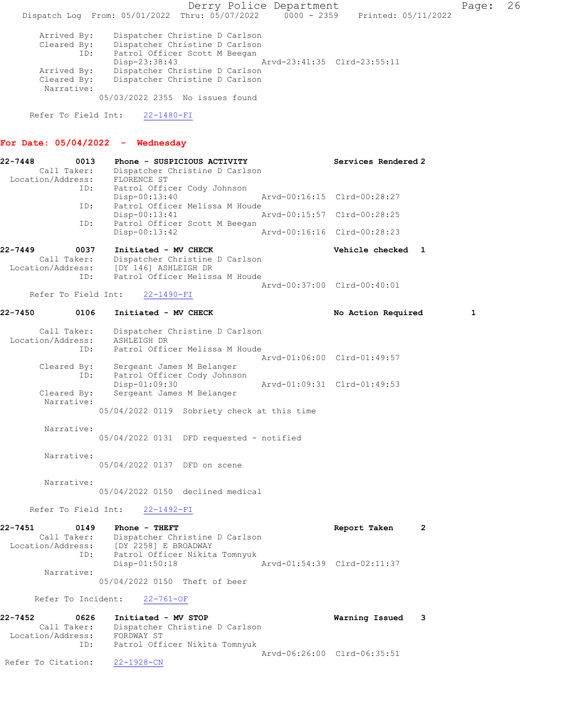Derry Police Department Fage: 26 Dispatch Log From: 05/01/2022 Thru: 05/07/2022 0000 - 2359 Printed: 05/11/2022 Arrived By: Dispatcher Christine D Carlson Cleared By: Dispatcher Christine D Carlson ID: Patrol Officer Scott M Beegan Disp-23:38:43 Arvd-23:41:35 Clrd-23:55:11 Arrived By: Dispatcher Christine D Carlson Cleared By: Dispatcher Christine D Carlson Narrative: 05/03/2022 2355 No issues found

Refer To Field Int: 22-1480-FI

### For Date: 05/04/2022 - Wednesday

| 22-7448           | 0013        | Phone - SUSPICIOUS ACTIVITY    |                             | Services Rendered 2         |
|-------------------|-------------|--------------------------------|-----------------------------|-----------------------------|
|                   | Call Taker: | Dispatcher Christine D Carlson |                             |                             |
| Location/Address: |             | FLORENCE ST                    |                             |                             |
|                   | ID:         | Patrol Officer Cody Johnson    |                             |                             |
|                   |             | $Disp-00:13:40$                | Arvd-00:16:15 Clrd-00:28:27 |                             |
|                   | ID:         | Patrol Officer Melissa M Houde |                             |                             |
|                   |             | Disp-00:13:41                  |                             | Arvd-00:15:57 Clrd-00:28:25 |
|                   | ID:         | Patrol Officer Scott M Beegan  |                             |                             |
|                   |             | $Disp-00:13:42$                |                             | Arvd-00:16:16 Clrd-00:28:23 |

# 22-7449 0037 Initiated - MV CHECK CHECK Vehicle checked 1 Call Taker: Dispatcher Christine D Carlson Location/Address: [DY 146] ASHLEIGH DR ID: Patrol Officer Melissa M Houde

 Arvd-00:37:00 Clrd-00:40:01 Refer To Field Int: 22-1490-FI

# 22-7450 0106 Initiated - MV CHECK No No Action Required 1

| Call Taker:       | Dispatcher Christine D Carlson              |                             |
|-------------------|---------------------------------------------|-----------------------------|
| Location/Address: | ASHLEIGH DR                                 |                             |
| ID:               | Patrol Officer Melissa M Houde              |                             |
|                   |                                             | Arvd-01:06:00 Clrd-01:49:57 |
| Cleared By:       | Sergeant James M Belanger                   |                             |
| ID:               | Patrol Officer Cody Johnson                 |                             |
|                   | $Disp-01:09:30$                             | Arvd-01:09:31 Clrd-01:49:53 |
| Cleared By:       | Sergeant James M Belanger                   |                             |
| Narrative:        |                                             |                             |
|                   | 05/04/2022 0119 Sobriety check at this time |                             |

05/04/2022 0131 DFD requested - notified

Narrative:

Narrative:

05/04/2022 0137 DFD on scene

Narrative:

05/04/2022 0150 declined medical

Refer To Field Int: 22-1492-FI

22-7451 0149 Phone - THEFT Report Taken 2

 Call Taker: Dispatcher Christine D Carlson Location/Address: [DY 2258] E BROADWAY ID: Patrol Officer Nikita Tomnyuk Disp-01:50:18 Arvd-01:54:39 Clrd-02:11:37 Narrative:

05/04/2022 0150 Theft of beer

Refer To Incident: 22-761-OF

| 22-7452            | 0626        | Initiated - MV STOP            | Warning Issued 3 |  |
|--------------------|-------------|--------------------------------|------------------|--|
|                    | Call Taker: | Dispatcher Christine D Carlson |                  |  |
| Location/Address:  |             | FORDWAY ST                     |                  |  |
|                    | ID:         | Patrol Officer Nikita Tomnyuk  |                  |  |
|                    |             | Aryd-06:26:00 Clrd-06:35:51    |                  |  |
| Refer To Citation: |             | 22-1928-CN                     |                  |  |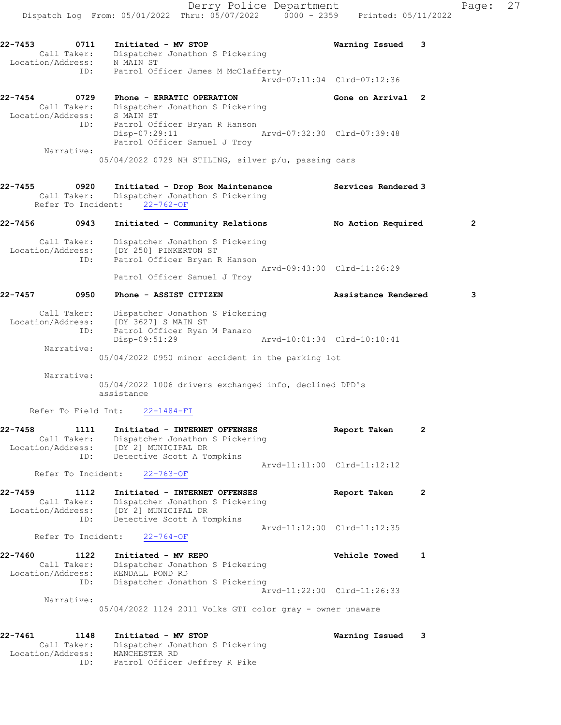Derry Police Department Page: 27 Dispatch Log From: 05/01/2022 Thru: 05/07/2022 0000 - 2359 Printed: 05/11/2022 22-7453 0711 Initiated - MV STOP Warning Issued 3 Call Taker: Dispatcher Jonathon S Pickering Location/Address: N MAIN ST ID: Patrol Officer James M McClafferty Arvd-07:11:04 Clrd-07:12:36 22-7454 0729 Phone - ERRATIC OPERATION Gone on Arrival 2 Call Taker: Dispatcher Jonathon S Pickering Location/Address: S MAIN ST ID: Patrol Officer Bryan R Hanson Disp-07:29:11 Arvd-07:32:30 Clrd-07:39:48 Patrol Officer Samuel J Troy Narrative: 05/04/2022 0729 NH STILING, silver p/u, passing cars 22-7455 0920 Initiated - Drop Box Maintenance Services Rendered 3 Call Taker: Dispatcher Jonathon S Pickering Refer To Incident: 22-762-OF 22-7456 0943 Initiated - Community Relations No Action Required 2 Call Taker: Dispatcher Jonathon S Pickering Location/Address: [DY 250] PINKERTON ST ID: Patrol Officer Bryan R Hanson Arvd-09:43:00 Clrd-11:26:29 Patrol Officer Samuel J Troy 22-7457 0950 Phone - ASSIST CITIZEN Assistance Rendered 3 Call Taker: Dispatcher Jonathon S Pickering Location/Address: [DY 3627] S MAIN ST ID: Patrol Officer Ryan M Panaro Disp-09:51:29 Arvd-10:01:34 Clrd-10:10:41 Narrative: 05/04/2022 0950 minor accident in the parking lot Narrative: 05/04/2022 1006 drivers exchanged info, declined DPD's assistance Refer To Field Int: 22-1484-FI 22-7458 1111 Initiated - INTERNET OFFENSES Report Taken 2 Call Taker: Dispatcher Jonathon S Pickering Location/Address: [DY 2] MUNICIPAL DR ID: Detective Scott A Tompkins Arvd-11:11:00 Clrd-11:12:12 Refer To Incident: 22-763-OF 22-7459 1112 Initiated - INTERNET OFFENSES Report Taken 2 Call Taker: Dispatcher Jonathon S Pickering Location/Address: [DY 2] MUNICIPAL DR ID: Detective Scott A Tompkins Arvd-11:12:00 Clrd-11:12:35 Refer To Incident: 22-764-OF 22-7460 1122 Initiated - MV REPO Vehicle Towed 1 Call Taker: Dispatcher Jonathon S Pickering Location/Address: KENDALL POND RD ID: Dispatcher Jonathon S Pickering Arvd-11:22:00 Clrd-11:26:33 Narrative: 05/04/2022 1124 2011 Volks GTI color gray - owner unaware 22-7461 1148 Initiated - MV STOP Warning Issued 3 Call Taker: Dispatcher Jonathon S Pickering Location/Address: MANCHESTER RD

ID: Patrol Officer Jeffrey R Pike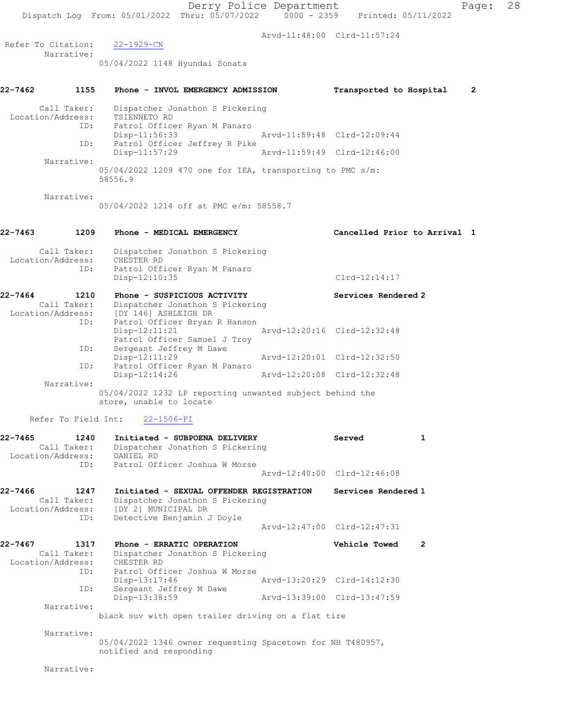|             |                                          |                                                                                                    | Derry Police Department |                              | Page:        | 28 |
|-------------|------------------------------------------|----------------------------------------------------------------------------------------------------|-------------------------|------------------------------|--------------|----|
|             |                                          | Dispatch Log From: 05/01/2022 Thru: 05/07/2022 0000 - 2359 Printed: 05/11/2022                     |                         |                              |              |    |
|             |                                          |                                                                                                    |                         | Arvd-11:48:00 Clrd-11:57:24  |              |    |
|             | Refer To Citation:<br>Narrative:         | $22 - 1929 - CN$                                                                                   |                         |                              |              |    |
|             |                                          | 05/04/2022 1148 Hyundai Sonata                                                                     |                         |                              |              |    |
| 22-7462     | 1155                                     | Phone - INVOL EMERGENCY ADMISSION                                                                  |                         | Transported to Hospital      | $\mathbf{2}$ |    |
|             | Call Taker:                              | Dispatcher Jonathon S Pickering                                                                    |                         |                              |              |    |
|             | Location/Address:<br>ID:                 | TSIENNETO RD<br>Patrol Officer Ryan M Panaro                                                       |                         |                              |              |    |
|             |                                          | Disp-11:56:33                                                                                      |                         | Arvd-11:59:48 Clrd-12:09:44  |              |    |
|             | ID:                                      | Patrol Officer Jeffrey R Pike<br>$Disp-11:57:29$                                                   |                         | Arvd-11:59:49 Clrd-12:46:00  |              |    |
|             | Narrative:                               | $05/04/2022$ 1209 470 one for IEA, transporting to PMC s/m:<br>58556.9                             |                         |                              |              |    |
|             | Narrative:                               |                                                                                                    |                         |                              |              |    |
|             |                                          | 05/04/2022 1214 off at PMC e/m: 58558.7                                                            |                         |                              |              |    |
| 22-7463     | 1209                                     | Phone - MEDICAL EMERGENCY                                                                          |                         | Cancelled Prior to Arrival 1 |              |    |
|             | Call Taker:                              | Dispatcher Jonathon S Pickering                                                                    |                         |                              |              |    |
|             | Location/Address:<br>ID:                 | CHESTER RD<br>Patrol Officer Ryan M Panaro                                                         |                         |                              |              |    |
|             |                                          | Disp-12:10:35                                                                                      |                         | $Clrd-12:14:17$              |              |    |
| 22-7464     | 1210                                     | Phone - SUSPICIOUS ACTIVITY                                                                        |                         | Services Rendered 2          |              |    |
|             | Call Taker:<br>Location/Address:         | Dispatcher Jonathon S Pickering<br>[DY 146] ASHLEIGH DR                                            |                         |                              |              |    |
|             | ID:                                      | Patrol Officer Bryan R Hanson<br>$Disp-12:11:21$                                                   |                         | Arvd-12:20:16 Clrd-12:32:48  |              |    |
|             |                                          | Patrol Officer Samuel J Troy                                                                       |                         |                              |              |    |
|             | ID:                                      | Sergeant Jeffrey M Dawe<br>Disp-12:11:29                                                           |                         | Arvd-12:20:01 Clrd-12:32:50  |              |    |
|             | ID:                                      | Patrol Officer Ryan M Panaro<br>$Disp-12:14:26$                                                    |                         | Arvd-12:20:08 Clrd-12:32:48  |              |    |
|             | Narrative:                               |                                                                                                    |                         |                              |              |    |
|             |                                          | 05/04/2022 1232 LP reporting unwanted subject behind the<br>store, unable to locate                |                         |                              |              |    |
|             | Refer To Field Int:                      | $22 - 1506 - FI$                                                                                   |                         |                              |              |    |
| $22 - 7465$ | 1240                                     | Initiated - SUBPOENA DELIVERY                                                                      |                         | Served                       | 1            |    |
|             | Call Taker:<br>Location/Address:         | Dispatcher Jonathon S Pickering<br>DANIEL RD                                                       |                         |                              |              |    |
|             | ID:                                      | Patrol Officer Joshua W Morse                                                                      |                         |                              |              |    |
|             |                                          |                                                                                                    |                         | Arvd-12:40:00 Clrd-12:46:08  |              |    |
| $22 - 7466$ | 1247<br>Call Taker:<br>Location/Address: | Initiated - SEXUAL OFFENDER REGISTRATION<br>Dispatcher Jonathon S Pickering<br>[DY 2] MUNICIPAL DR |                         | Services Rendered 1          |              |    |
|             | ID:                                      | Detective Benjamin J Doyle                                                                         |                         | Arvd-12:47:00 Clrd-12:47:31  |              |    |
| 22-7467     | 1317                                     | Phone - ERRATIC OPERATION                                                                          |                         | <b>Vehicle Towed</b>         | 2            |    |
|             | Call Taker:<br>Location/Address:         | Dispatcher Jonathon S Pickering<br>CHESTER RD                                                      |                         |                              |              |    |
|             | ID:                                      | Patrol Officer Joshua W Morse                                                                      |                         |                              |              |    |
|             | ID:                                      | Disp-13:17:46<br>Sergeant Jeffrey M Dawe                                                           |                         | Arvd-13:20:29 Clrd-14:12:30  |              |    |
|             | Narrative:                               | Disp-13:38:59                                                                                      |                         | Arvd-13:39:00 Clrd-13:47:59  |              |    |
|             |                                          | black suv with open trailer driving on a flat tire                                                 |                         |                              |              |    |
|             | Narrative:                               |                                                                                                    |                         |                              |              |    |
|             |                                          | 05/04/2022 1346 owner requesting Spacetown for NH T480957,                                         |                         |                              |              |    |
|             |                                          | notified and responding                                                                            |                         |                              |              |    |
|             | Narrative:                               |                                                                                                    |                         |                              |              |    |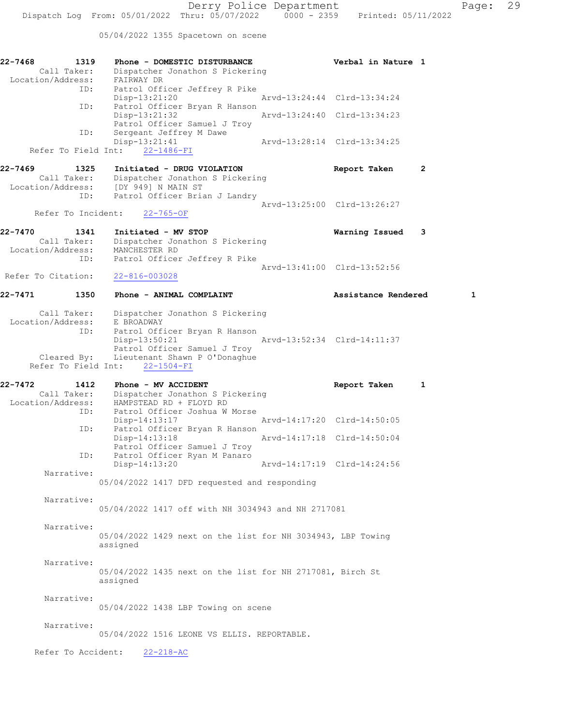05/04/2022 1355 Spacetown on scene

| 22-7468 | 1319<br>Call Taker:<br>Location/Address:<br>ID: | Phone - DOMESTIC DISTURBANCE<br>Dispatcher Jonathon S Pickering<br>FAIRWAY DR<br>Patrol Officer Jeffrey R Pike                                                                                                   |                             | Verbal in Nature 1          |              |
|---------|-------------------------------------------------|------------------------------------------------------------------------------------------------------------------------------------------------------------------------------------------------------------------|-----------------------------|-----------------------------|--------------|
|         |                                                 | Disp-13:21:20                                                                                                                                                                                                    |                             | Arvd-13:24:44 Clrd-13:34:24 |              |
|         | ID:                                             | Patrol Officer Bryan R Hanson<br>Disp-13:21:32<br>Patrol Officer Samuel J Troy                                                                                                                                   |                             | Arvd-13:24:40 Clrd-13:34:23 |              |
|         | ID:                                             | Sergeant Jeffrey M Dawe<br>Disp-13:21:41<br>Refer To Field Int: 22-1486-FI                                                                                                                                       |                             | Arvd-13:28:14 Clrd-13:34:25 |              |
| 22-7469 | 1325<br>Call Taker:<br>Location/Address:<br>ID: | Initiated - DRUG VIOLATION<br>Dispatcher Jonathon S Pickering<br>[DY 949] N MAIN ST                                                                                                                              |                             | Report Taken                | $\mathbf{2}$ |
|         | Refer To Incident:                              | Patrol Officer Brian J Landry<br>$22 - 765 - OF$                                                                                                                                                                 |                             | Arvd-13:25:00 Clrd-13:26:27 |              |
| 22-7470 | 1341<br>Call Taker:<br>Location/Address:<br>ID: | Initiated - MV STOP<br>Dispatcher Jonathon S Pickering<br>MANCHESTER RD<br>Patrol Officer Jeffrey R Pike                                                                                                         |                             | Warning Issued              | 3            |
|         | Refer To Citation:                              | 22-816-003028                                                                                                                                                                                                    |                             | Arvd-13:41:00 Clrd-13:52:56 |              |
| 22-7471 | 1350                                            | Phone - ANIMAL COMPLAINT                                                                                                                                                                                         |                             | Assistance Rendered         | 1            |
|         | Call Taker:<br>Location/Address:<br>ID:         | Dispatcher Jonathon S Pickering<br>E BROADWAY<br>Patrol Officer Bryan R Hanson<br>$Disp-13:50:21$<br>Patrol Officer Samuel J Troy<br>Cleared By: Lieutenant Shawn P O'Donaghue<br>Refer To Field Int: 22-1504-FI | Arvd-13:52:34 Clrd-14:11:37 |                             |              |
| 22-7472 | 1412<br>Call Taker:<br>Location/Address:        | Phone - MV ACCIDENT<br>Dispatcher Jonathon S Pickering<br>HAMPSTEAD RD + FLOYD RD                                                                                                                                |                             | Report Taken                | 1            |
|         | ID:<br>ID:                                      | Patrol Officer Joshua W Morse<br>Disp-14:13:17<br>Patrol Officer Bryan R Hanson                                                                                                                                  |                             | Arvd-14:17:20 Clrd-14:50:05 |              |
|         |                                                 | Disp-14:13:18<br>Patrol Officer Samuel J Troy                                                                                                                                                                    |                             | Arvd-14:17:18 Clrd-14:50:04 |              |
|         | ID:<br>Narrative:                               | Patrol Officer Ryan M Panaro<br>Disp-14:13:20 Arvd-14:17:19 Clrd-14:24:56                                                                                                                                        |                             |                             |              |
|         |                                                 | 05/04/2022 1417 DFD requested and responding                                                                                                                                                                     |                             |                             |              |
|         | Narrative:                                      | 05/04/2022 1417 off with NH 3034943 and NH 2717081                                                                                                                                                               |                             |                             |              |
|         | Narrative:                                      | 05/04/2022 1429 next on the list for NH 3034943, LBP Towing<br>assigned                                                                                                                                          |                             |                             |              |
|         | Narrative:                                      | 05/04/2022 1435 next on the list for NH 2717081, Birch St<br>assigned                                                                                                                                            |                             |                             |              |
|         | Narrative:                                      | 05/04/2022 1438 LBP Towing on scene                                                                                                                                                                              |                             |                             |              |
|         | Narrative:                                      | 05/04/2022 1516 LEONE VS ELLIS. REPORTABLE.                                                                                                                                                                      |                             |                             |              |
|         |                                                 | Refer To Accident: 22-218-AC                                                                                                                                                                                     |                             |                             |              |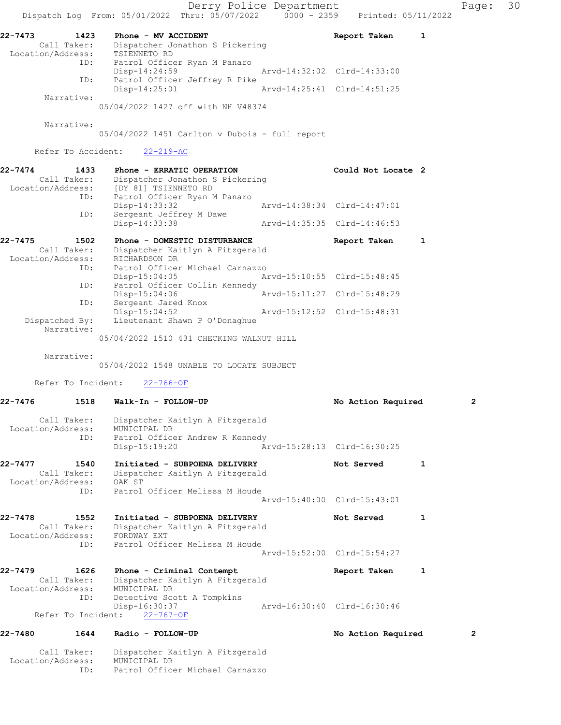Derry Police Department Fage: 30 Dispatch Log From:  $05/01/2022$  Thru:  $05/07/2022$  0000 - 2359 Printed: 05/11/2022 22-7473 1423 Phone - MV ACCIDENT Report Taken 1 Call Taker: Dispatcher Jonathon S Pickering Location/Address: TSIENNETO RD ID: Patrol Officer Ryan M Panaro Disp-14:24:59 Arvd-14:32:02 Clrd-14:33:00 ID: Patrol Officer Jeffrey R Pike<br>Disp-14:25:01 Mrvd-14:25:41 Clrd-14:51:25 Disp-14:25:01 Narrative: 05/04/2022 1427 off with NH V48374 Narrative: 05/04/2022 1451 Carlton v Dubois - full report Refer To Accident: 22-219-AC 22-7474 1433 Phone - ERRATIC OPERATION Could Not Locate 2 Call Taker: Dispatcher Jonathon S Pickering Location/Address: [DY 81] TSIENNETO RD ID: Patrol Officer Ryan M Panaro Disp-14:33:32 Arvd-14:38:34 Clrd-14:47:01 ID: Sergeant Jeffrey M Dawe Disp-14:33:38 Arvd-14:35:35 Clrd-14:46:53 22-7475 1502 Phone - DOMESTIC DISTURBANCE Report Taken 1 Call Taker: Dispatcher Kaitlyn A Fitzgerald Location/Address: RICHARDSON DR ID: Patrol Officer Michael Carnazzo Disp-15:04:05 Arvd-15:10:55 Clrd-15:48:45 ID: Patrol Officer Collin Kennedy Disp-15:04:06 Arvd-15:11:27 Clrd-15:48:29 ID: Sergeant Jared Knox Disp-15:04:52 Arvd-15:12:52 Clrd-15:48:31 Dispatched By: Lieutenant Shawn P O'Donaghue Narrative: 05/04/2022 1510 431 CHECKING WALNUT HILL Narrative: 05/04/2022 1548 UNABLE TO LOCATE SUBJECT Refer To Incident: 22-766-OF 22-7476 1518 Walk-In - FOLLOW-UP No Action Required 2 Call Taker: Dispatcher Kaitlyn A Fitzgerald Location/Address: MUNICIPAL DR ID: Patrol Officer Andrew R Kennedy Disp-15:19:20 Arvd-15:28:13 Clrd-16:30:25 22-7477 1540 Initiated - SUBPOENA DELIVERY Not Served 1 Call Taker: Dispatcher Kaitlyn A Fitzgerald Location/Address: OAK ST ID: Patrol Officer Melissa M Houde Arvd-15:40:00 Clrd-15:43:01 22-7478 1552 Initiated - SUBPOENA DELIVERY 1 Not Served 1 Call Taker: Dispatcher Kaitlyn A Fitzgerald Location/Address: FORDWAY EXT ID: Patrol Officer Melissa M Houde Arvd-15:52:00 Clrd-15:54:27 22-7479 1626 Phone – Criminal Contempt Report Taken 1 Call Taker: Dispatcher Kaitlyn A Fitzgerald Location/Address: MUNICIPAL DR ID: Detective Scott A Tompkins Disp-16:30:37 Arvd-16:30:40 Clrd-16:30:46 Refer To Incident: 22-767-OF 22-7480 1644 Radio - FOLLOW-UP No Action Required 2 Call Taker: Dispatcher Kaitlyn A Fitzgerald

Location/Address: MUNICIPAL DR

ID: Patrol Officer Michael Carnazzo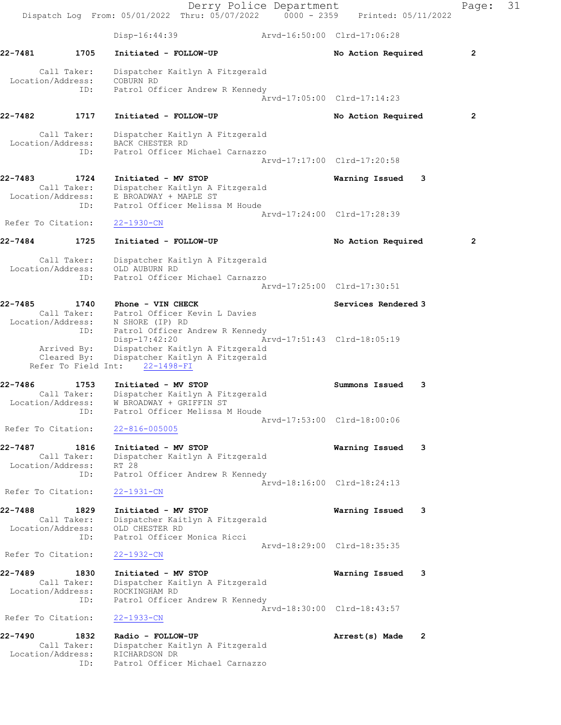Derry Police Department Fage: 31 Dispatch Log From: 05/01/2022 Thru: 05/07/2022 0000 - 2359 Printed: 05/11/2022 Disp-16:44:39 Arvd-16:50:00 Clrd-17:06:28 22-7481 1705 Initiated - FOLLOW-UP No Action Required 2 Call Taker: Dispatcher Kaitlyn A Fitzgerald Location/Address: COBURN RD ID: Patrol Officer Andrew R Kennedy Arvd-17:05:00 Clrd-17:14:23 22-7482 1717 Initiated - FOLLOW-UP No Action Required 2 Call Taker: Dispatcher Kaitlyn A Fitzgerald Location/Address: BACK CHESTER RD ID: Patrol Officer Michael Carnazzo Arvd-17:17:00 Clrd-17:20:58 22-7483 1724 Initiated - MV STOP Warning Issued 3 Call Taker: Dispatcher Kaitlyn A Fitzgerald Location/Address: E BROADWAY + MAPLE ST ID: Patrol Officer Melissa M Houde Arvd-17:24:00 Clrd-17:28:39 Refer To Citation: 22-1930-CN 22-7484 1725 Initiated - FOLLOW-UP No Action Required 2 Call Taker: Dispatcher Kaitlyn A Fitzgerald Location/Address: OLD AUBURN RD ID: Patrol Officer Michael Carnazzo Arvd-17:25:00 Clrd-17:30:51 22-7485 1740 Phone - VIN CHECK Services Rendered 3 Call Taker: Patrol Officer Kevin L Davies Location/Address: N SHORE (IP) RD ID: Patrol Officer Andrew R Kennedy Disp-17:42:20 Arvd-17:51:43 Clrd-18:05:19 Arrived By: Dispatcher Kaitlyn A Fitzgerald Cleared By: Dispatcher Kaitlyn A Fitzgerald Refer To Field Int: 22-1498-FI 22-7486 1753 Initiated - MV STOP Summons Issued 3 Call Taker: Dispatcher Kaitlyn A Fitzgerald Location/Address: W BROADWAY + GRIFFIN ST ID: Patrol Officer Melissa M Houde Arvd-17:53:00 Clrd-18:00:06 Refer To Citation: 22-816-005005 22-7487 1816 Initiated - MV STOP Warning Issued 3 Call Taker: Dispatcher Kaitlyn A Fitzgerald Location/Address: RT 28 ID: Patrol Officer Andrew R Kennedy Arvd-18:16:00 Clrd-18:24:13 Refer To Citation: 22-1931-CN 22-7488 1829 Initiated - MV STOP Warning Issued 3 Call Taker: Dispatcher Kaitlyn A Fitzgerald Location/Address: OLD CHESTER RD ID: Patrol Officer Monica Ricci Arvd-18:29:00 Clrd-18:35:35 Refer To Citation: 22-1932-CN 22-7489 1830 Initiated - MV STOP Warning Issued 3 Call Taker: Dispatcher Kaitlyn A Fitzgerald Location/Address: ROCKINGHAM RD ID: Patrol Officer Andrew R Kennedy Arvd-18:30:00 Clrd-18:43:57 Refer To Citation: 22-1933-CN 22-7490 1832 Radio - FOLLOW-UP Arrest(s) Made 2 Call Taker: Dispatcher Kaitlyn A Fitzgerald Location/Address: RICHARDSON DR ID: Patrol Officer Michael Carnazzo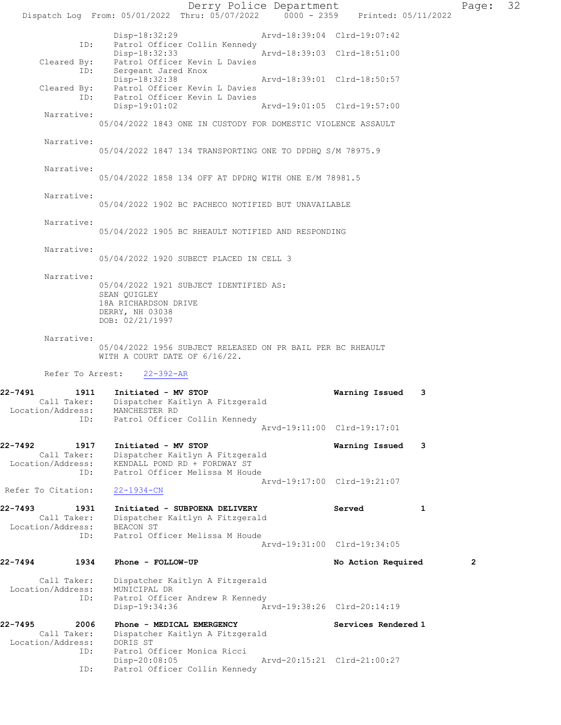Derry Police Department Page: 32 Dispatch Log From: 05/01/2022 Thru: 05/07/2022 0000 - 2359 Printed: 05/11/2022 Disp-18:32:29 Arvd-18:39:04 Clrd-19:07:42 ID: Patrol Officer Collin Kennedy<br>Disp-18:32:33 Arvd-18:39:03 Clrd-18:51:00 Disp-18:32:33 Arvd-18:39:03 Clrd-18:51:00 Cleared By: Patrol Officer Kevin L Davies ID: Sergeant Jared Knox Disp-18:32:38 Arvd-18:39:01 Clrd-18:50:57 Cleared By: Patrol Officer Kevin L Davies ID: Patrol Officer Kevin L Davies<br>Disp-19:01:02 Disp-19:01:02 Arvd-19:01:05 Clrd-19:57:00 Narrative: 05/04/2022 1843 ONE IN CUSTODY FOR DOMESTIC VIOLENCE ASSAULT Narrative: 05/04/2022 1847 134 TRANSPORTING ONE TO DPDHQ S/M 78975.9 Narrative: 05/04/2022 1858 134 OFF AT DPDHQ WITH ONE E/M 78981.5 Narrative: 05/04/2022 1902 BC PACHECO NOTIFIED BUT UNAVAILABLE Narrative: 05/04/2022 1905 BC RHEAULT NOTIFIED AND RESPONDING Narrative: 05/04/2022 1920 SUBECT PLACED IN CELL 3 Narrative: 05/04/2022 1921 SUBJECT IDENTIFIED AS: SEAN QUIGLEY 18A RICHARDSON DRIVE DERRY, NH 03038 DOB: 02/21/1997 Narrative: 05/04/2022 1956 SUBJECT RELEASED ON PR BAIL PER BC RHEAULT WITH A COURT DATE OF 6/16/22. Refer To Arrest: 22-392-AR 22-7491 1911 Initiated - MV STOP Warning Issued 3 Call Taker: Dispatcher Kaitlyn A Fitzgerald Location/Address: MANCHESTER RD ID: Patrol Officer Collin Kennedy Arvd-19:11:00 Clrd-19:17:01 22-7492 1917 Initiated - MV STOP Warning Issued 3 Call Taker: Dispatcher Kaitlyn A Fitzgerald Location/Address: KENDALL POND RD + FORDWAY ST ID: Patrol Officer Melissa M Houde Arvd-19:17:00 Clrd-19:21:07 Refer To Citation: 22-1934-CN 22-7493 1931 Initiated - SUBPOENA DELIVERY Served 1 Call Taker: Dispatcher Kaitlyn A Fitzgerald Location/Address: BEACON ST ID: Patrol Officer Melissa M Houde Arvd-19:31:00 Clrd-19:34:05 22-7494 1934 Phone - FOLLOW-UP No Action Required 2 Call Taker: Dispatcher Kaitlyn A Fitzgerald<br>ion/Address: MUNICIPAL DR Location/Address:<br>ID: Patrol Officer Andrew R Kennedy<br>Disp-19:34:36 A Disp-19:34:36 Arvd-19:38:26 Clrd-20:14:19 22-7495 2006 Phone - MEDICAL EMERGENCY Services Rendered 1 Call Taker: Dispatcher Kaitlyn A Fitzgerald Location/Address: DORIS ST ID: Patrol Officer Monica Ricci Disp-20:08:05 Arvd-20:15:21 Clrd-21:00:27 ID: Patrol Officer Collin Kennedy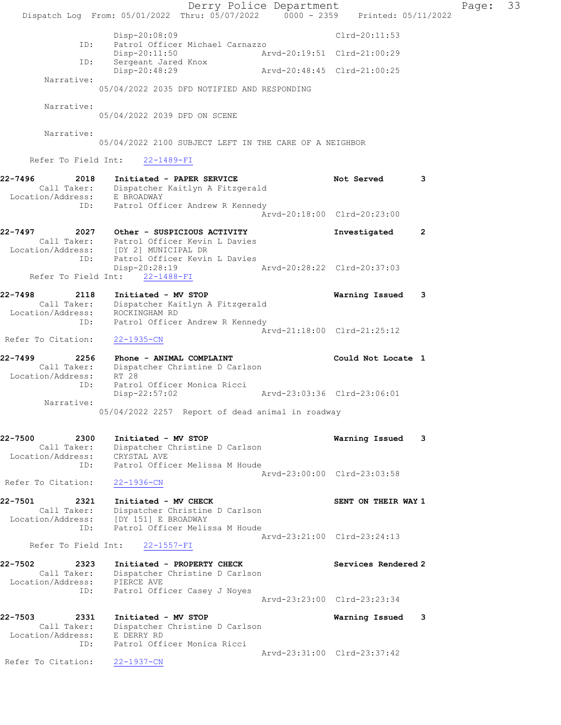Derry Police Department Fage: 33 Dispatch Log From:  $05/01/2022$  Thru:  $05/07/2022$  0000 - 2359 Printed: 05/11/2022 Disp-20:08:09 Clrd-20:11:53 ID: Patrol Officer Michael Carnazzo Disp-20:11:50 Arvd-20:19:51 Clrd-21:00:29 ID: Sergeant Jared Knox Disp-20:48:29 Arvd-20:48:45 Clrd-21:00:25 Narrative: 05/04/2022 2035 DFD NOTIFIED AND RESPONDING Narrative: 05/04/2022 2039 DFD ON SCENE Narrative: 05/04/2022 2100 SUBJECT LEFT IN THE CARE OF A NEIGHBOR Refer To Field Int: 22-1489-FI 22-7496 2018 Initiated - PAPER SERVICE Not Served 3 Call Taker: Dispatcher Kaitlyn A Fitzgerald Location/Address: E BROADWAY ID: Patrol Officer Andrew R Kennedy Arvd-20:18:00 Clrd-20:23:00 22-7497 2027 Other - SUSPICIOUS ACTIVITY Investigated 2 Call Taker: Patrol Officer Kevin L Davies Location/Address: [DY 2] MUNICIPAL DR ID: Patrol Officer Kevin L Davies Disp-20:28:19 Arvd-20:28:22 Clrd-20:37:03 Refer To Field Int: 22-1488-FI 22-7498 2118 Initiated - MV STOP Warning Issued 3 Call Taker: Dispatcher Kaitlyn A Fitzgerald Location/Address: ROCKINGHAM RD ID: Patrol Officer Andrew R Kennedy Arvd-21:18:00 Clrd-21:25:12 Refer To Citation: 22-1935-CN 22-7499 2256 Phone - ANIMAL COMPLAINT Could Not Locate 1 Call Taker: Dispatcher Christine D Carlson Location/Address: RT 28 ID: Patrol Officer Monica Ricci Disp-22:57:02 Arvd-23:03:36 Clrd-23:06:01 Narrative: 05/04/2022 2257 Report of dead animal in roadway 22-7500 2300 Initiated - MV STOP Warning Issued 3 Call Taker: Dispatcher Christine D Carlson Call Taker: Dispatcher C<br>Location/Address: CRYSTAL AVE ID: Patrol Officer Melissa M Houde Arvd-23:00:00 Clrd-23:03:58 Refer To Citation: 22-1936-CN 22-7501 2321 Initiated - MV CHECK NAME SENT ON THEIR WAY 1 Call Taker: Dispatcher Christine D Carlson Location/Address: [DY 151] E BROADWAY ID: Patrol Officer Melissa M Houde Arvd-23:21:00 Clrd-23:24:13 Refer To Field Int: 22-1557-FI 22-7502 2323 Initiated - PROPERTY CHECK Services Rendered 2 Call Taker: Dispatcher Christine D Carlson Location/Address: PIERCE AVE ID: Patrol Officer Casey J Noyes Arvd-23:23:00 Clrd-23:23:34 22-7503 2331 Initiated - MV STOP Warning Issued 3 Call Taker: Dispatcher Christine D Carlson Location/Address: E DERRY RD ID: Patrol Officer Monica Ricci Arvd-23:31:00 Clrd-23:37:42 Refer To Citation: 22-1937-CN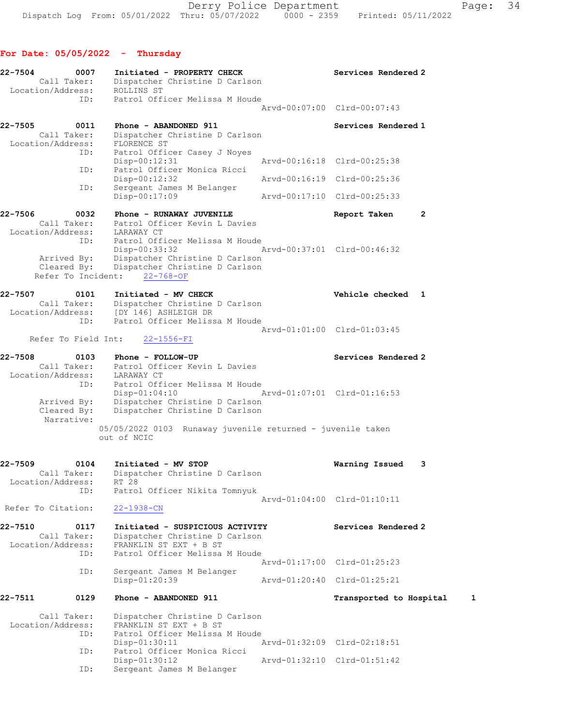# For Date: 05/05/2022 - Thursday

| 22-7504<br>Call Taker:<br>Location/Address:                                         | 0007        | Initiated - PROPERTY CHECK<br>Dispatcher Christine D Carlson<br>ROLLINS ST                                                                                                              | Services Rendered 2                                        |   |
|-------------------------------------------------------------------------------------|-------------|-----------------------------------------------------------------------------------------------------------------------------------------------------------------------------------------|------------------------------------------------------------|---|
|                                                                                     | ID:         | Patrol Officer Melissa M Houde                                                                                                                                                          | Arvd-00:07:00 Clrd-00:07:43                                |   |
| 22-7505<br>Call Taker:<br>Location/Address:                                         | 0011        | Phone - ABANDONED 911<br>Dispatcher Christine D Carlson<br>FLORENCE ST                                                                                                                  | Services Rendered 1                                        |   |
|                                                                                     | ID:         | Patrol Officer Casey J Noyes<br>Disp-00:12:31                                                                                                                                           | Arvd-00:16:18 Clrd-00:25:38                                |   |
|                                                                                     | ID:         | Patrol Officer Monica Ricci<br>Disp-00:12:32                                                                                                                                            | Arvd-00:16:19 Clrd-00:25:36                                |   |
|                                                                                     | ID:         | Sergeant James M Belanger<br>Disp-00:17:09                                                                                                                                              | Arvd-00:17:10 Clrd-00:25:33                                |   |
| 22-7506<br>Call Taker:<br>Location/Address: LARAWAY CT                              | 0032<br>ID: | Phone - RUNAWAY JUVENILE<br>Patrol Officer Kevin L Davies<br>Patrol Officer Melissa M Houde<br>Disp-00:33:32<br>Dispatcher Christine D Carlson                                          | Report Taken<br>Arvd-00:37:01 Clrd-00:46:32                | 2 |
| Arrived By:<br>Cleared By:<br>Refer To Incident:                                    |             | Dispatcher Christine D Carlson<br>$22 - 768 - OF$                                                                                                                                       |                                                            |   |
| 22-7507<br>Call Taker:                                                              | 0101        | Initiated - MV CHECK<br>Dispatcher Christine D Carlson<br>Location/Address: [DY 146] ASHLEIGH DR                                                                                        | Vehicle checked 1                                          |   |
| Refer To Field Int:                                                                 | ID:         | Patrol Officer Melissa M Houde<br>$22 - 1556 - FI$                                                                                                                                      | Arvd-01:01:00 Clrd-01:03:45                                |   |
| 22-7508<br>Location/Address: LARAWAY CT<br>Arrived By:<br>Cleared By:<br>Narrative: | 0103<br>ID: | Phone - FOLLOW-UP<br>Call Taker: Patrol Officer Kevin L Davies<br>Patrol Officer Melissa M Houde<br>$Disp-01:04:10$<br>Dispatcher Christine D Carlson<br>Dispatcher Christine D Carlson | Services Rendered 2<br>Arvd-01:07:01 Clrd-01:16:53         |   |
|                                                                                     |             | 05/05/2022 0103 Runaway juvenile returned - juvenile taken<br>out of NCIC                                                                                                               |                                                            |   |
| 22-7509<br>Call Taker:<br>Location/Address:                                         | 0104<br>ID: | Initiated - MV STOP<br>Dispatcher Christine D Carlson<br>RT 28<br>Patrol Officer Nikita Tomnyuk                                                                                         | Warning Issued                                             | 3 |
| Refer To Citation:                                                                  |             | $22 - 1938 - CN$                                                                                                                                                                        | Arvd-01:04:00 Clrd-01:10:11                                |   |
| 22-7510<br>Call Taker:<br>Location/Address:                                         | 0117<br>ID: | Initiated - SUSPICIOUS ACTIVITY<br>Dispatcher Christine D Carlson<br>FRANKLIN ST EXT + B ST<br>Patrol Officer Melissa M Houde                                                           | Services Rendered 2                                        |   |
|                                                                                     | ID:         | Sergeant James M Belanger<br>Disp-01:20:39                                                                                                                                              | Arvd-01:17:00 Clrd-01:25:23<br>Arvd-01:20:40 Clrd-01:25:21 |   |
| 22-7511                                                                             | 0129        | Phone - ABANDONED 911                                                                                                                                                                   | Transported to Hospital                                    | 1 |
| Call Taker:<br>Location/Address:                                                    | ID:         | Dispatcher Christine D Carlson<br>FRANKLIN ST EXT + B ST<br>Patrol Officer Melissa M Houde                                                                                              | Arvd-01:32:09 Clrd-02:18:51                                |   |
|                                                                                     | ID:         | Disp-01:30:11<br>Patrol Officer Monica Ricci<br>Disp-01:30:12                                                                                                                           |                                                            |   |
|                                                                                     | ID:         | Sergeant James M Belanger                                                                                                                                                               | Arvd-01:32:10 Clrd-01:51:42                                |   |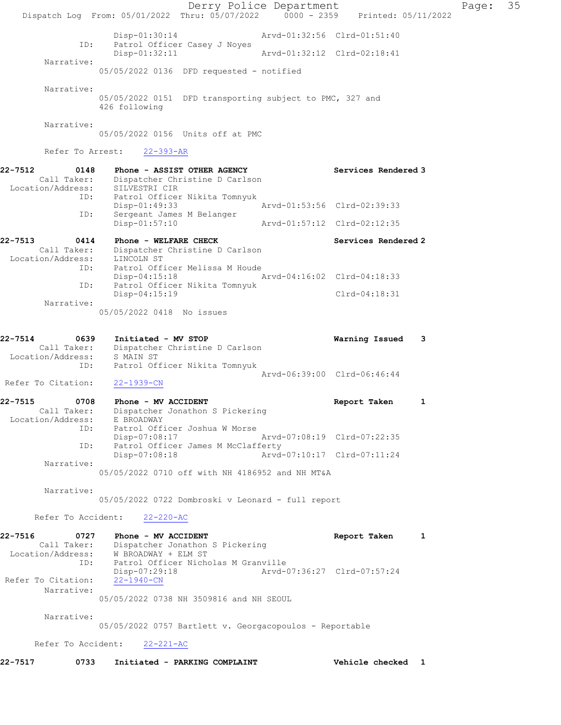Derry Police Department Fage: 35 Dispatch Log From: 05/01/2022 Thru: 05/07/2022 0000 - 2359 Printed: 05/11/2022 Disp-01:30:14 Arvd-01:32:56 Clrd-01:51:40 Patrol Officer Casey J Noyes<br>Disp-01:32:11 Arvd-01:32:12 Clrd-02:18:41 Narrative: 05/05/2022 0136 DFD requested - notified Narrative: 05/05/2022 0151 DFD transporting subject to PMC, 327 and 426 following Narrative: 05/05/2022 0156 Units off at PMC Refer To Arrest: 22-393-AR 22-7512 0148 Phone - ASSIST OTHER AGENCY Services Rendered 3 Call Taker: Dispatcher Christine D Carlson Location/Address: SILVESTRI CIR ID: Patrol Officer Nikita Tomnyuk Disp-01:49:33 Arvd-01:53:56 Clrd-02:39:33 ID: Sergeant James M Belanger Disp-01:57:10 Arvd-01:57:12 Clrd-02:12:35 22-7513 0414 Phone - WELFARE CHECK Services Rendered 2 Call Taker: Dispatcher Christine D Carlson Location/Address: LINCOLN ST ID: Patrol Officer Melissa M Houde Disp-04:15:18 Arvd-04:16:02 Clrd-04:18:33 ID: Patrol Officer Nikita Tomnyuk Disp-04:15:19 Clrd-04:18:31 Narrative: 05/05/2022 0418 No issues 22-7514 0639 Initiated - MV STOP Warning Issued 3 Call Taker: Dispatcher Christine D Carlson Location/Address: S MAIN ST ID: Patrol Officer Nikita Tomnyuk Arvd-06:39:00 Clrd-06:46:44 Refer To Citation: 22-1939-CN 22-7515 0708 Phone - MV ACCIDENT **Report Taken** 1 Call Taker: Dispatcher Jonathon S Pickering Location/Address: E BROADWAY ID: Patrol Officer Joshua W Morse Disp-07:08:17 Arvd-07:08:19 Clrd-07:22:35 ID: Patrol Officer James M McClafferty<br>Disp-07:08:18 Arvd- Disp-07:08:18 Arvd-07:10:17 Clrd-07:11:24 Narrative: 05/05/2022 0710 off with NH 4186952 and NH MT&A Narrative: 05/05/2022 0722 Dombroski v Leonard - full report Refer To Accident: 22-220-AC 22-7516 0727 Phone - MV ACCIDENT Report Taken 1 Call Taker: Dispatcher Jonathon S Pickering Location/Address: W BROADWAY + ELM ST ID: Patrol Officer Nicholas M Granville<br>Disp-07:29:18 Arvd-0 Disp-07:29:18 Arvd-07:36:27 Clrd-07:57:24 Refer To Citation: 22-1940-CN Narrative: 05/05/2022 0738 NH 3509816 and NH SEOUL Narrative: 05/05/2022 0757 Bartlett v. Georgacopoulos - Reportable Refer To Accident: 22-221-AC 22-7517 0733 Initiated - PARKING COMPLAINT Vehicle checked 1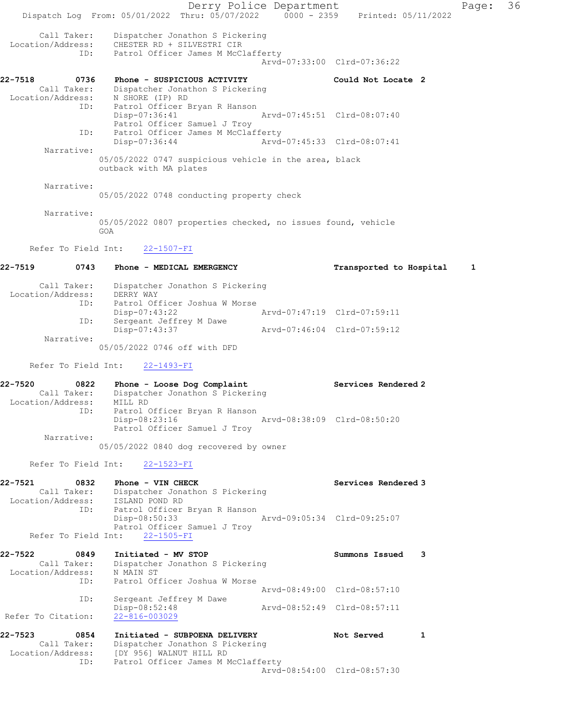Derry Police Department Fage: 36 Dispatch Log From: 05/01/2022 Thru: 05/07/2022 0000 - 2359 Printed: 05/11/2022 Call Taker: Dispatcher Jonathon S Pickering Location/Address: CHESTER RD + SILVESTRI CIR ID: Patrol Officer James M McClafferty Arvd-07:33:00 Clrd-07:36:22 22-7518 0736 Phone - SUSPICIOUS ACTIVITY Could Not Locate 2 Call Taker: Dispatcher Jonathon S Pickering Location/Address: N SHORE (IP) RD ID: Patrol Officer Bryan R Hanson Disp-07:36:41 Arvd-07:45:51 Clrd-08:07:40 Patrol Officer Samuel J Troy ID: Patrol Officer James M McClafferty<br>Disp-07:36:44 Arvd Disp-07:36:44 Arvd-07:45:33 Clrd-08:07:41 Narrative: 05/05/2022 0747 suspicious vehicle in the area, black outback with MA plates Narrative: 05/05/2022 0748 conducting property check Narrative: 05/05/2022 0807 properties checked, no issues found, vehicle GOA Refer To Field Int: 22-1507-FI 22-7519 0743 Phone - MEDICAL EMERGENCY Transported to Hospital 1 Call Taker: Dispatcher Jonathon S Pickering Location/Address: DERRY WAY ID: Patrol Officer Joshua W Morse Disp-07:43:22 Arvd-07:47:19 Clrd-07:59:11 ID: Sergeant Jeffrey M Dawe Disp-07:43:37 Arvd-07:46:04 Clrd-07:59:12 Narrative: 05/05/2022 0746 off with DFD Refer To Field Int: 22-1493-FI 22-7520 0822 Phone - Loose Dog Complaint Services Rendered 2 Call Taker: Dispatcher Jonathon S Pickering Location/Address: MILL RD ID: Patrol Officer Bryan R Hanson Disp-08:23:16 Arvd-08:38:09 Clrd-08:50:20 Patrol Officer Samuel J Troy Narrative: 05/05/2022 0840 dog recovered by owner Refer To Field Int: 22-1523-FI 22-7521 0832 Phone - VIN CHECK Services Rendered 3 Call Taker: Dispatcher Jonathon S Pickering Location/Address: ISLAND POND RD ID: Patrol Officer Bryan R Hanson Disp-08:50:33 Arvd-09:05:34 Clrd-09:25:07 Patrol Officer Samuel J Troy Refer To Field Int: 22-1505-FI 22-7522 0849 Initiated - MV STOP Summons Issued 3 Call Taker: Dispatcher Jonathon S Pickering Location/Address: N MAIN ST ID: Patrol Officer Joshua W Morse Arvd-08:49:00 Clrd-08:57:10 ID: Sergeant Jeffrey M Dawe Disp-08:52:48 Arvd-08:52:49 Clrd-08:57:11 Refer To Citation: 22-816-003029 22-7523 0854 Initiated - SUBPOENA DELIVERY Not Served 1 Call Taker: Dispatcher Jonathon S Pickering Location/Address: [DY 956] WALNUT HILL RD ID: Patrol Officer James M McClafferty Arvd-08:54:00 Clrd-08:57:30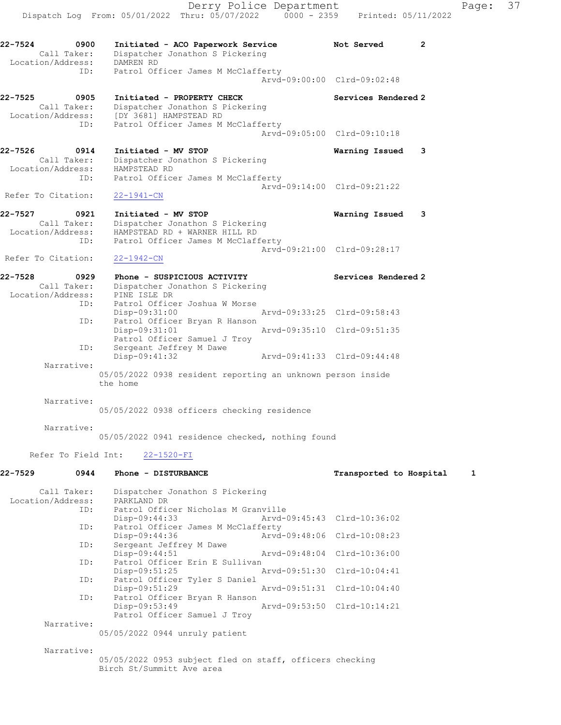Dispatch Log From: 05/01/2022 Thru: 05/07/2022 0000 - 2359 Printed: 05/11/2022 22-7524 0900 Initiated - ACO Paperwork Service Not Served 2 Call Taker: Dispatcher Jonathon S Pickering Location/Address: DAMREN RD ID: Patrol Officer James M McClafferty Arvd-09:00:00 Clrd-09:02:48 22-7525 0905 Initiated - PROPERTY CHECK Services Rendered 2 Call Taker: Dispatcher Jonathon S Pickering Location/Address: [DY 3681] HAMPSTEAD RD ID: Patrol Officer James M McClafferty Arvd-09:05:00 Clrd-09:10:18 22-7526 0914 Initiated - MV STOP Warning Issued 3 Call Taker: Dispatcher Jonathon S Pickering Location/Address: HAMPSTEAD RD ID: Patrol Officer James M McClafferty Arvd-09:14:00 Clrd-09:21:22 Refer To Citation: 22-1941-CN 22-7527 0921 Initiated - MV STOP Warning Issued 3 Call Taker: Dispatcher Jonathon S Pickering Location/Address: HAMPSTEAD RD + WARNER HILL RD ID: Patrol Officer James M McClafferty Arvd-09:21:00 Clrd-09:28:17 Refer To Citation: 22-1942-CN 22-7528 0929 Phone - SUSPICIOUS ACTIVITY Services Rendered 2 Call Taker: Dispatcher Jonathon S Pickering Location/Address: PINE ISLE DR ID: Patrol Officer Joshua W Morse Disp-09:31:00 Arvd-09:33:25 Clrd-09:58:43 ID: Patrol Officer Bryan R Hanson<br>Disp-09:31:01 Arvd-09:35:10 Clrd-09:51:35 Patrol Officer Samuel J Troy<br>ID: Sergeant Jeffrey M Dawe<br>Disp-09:41:32 Sergeant Jeffrey M Dawe Disp-09:41:32 Arvd-09:41:33 Clrd-09:44:48 Narrative: 05/05/2022 0938 resident reporting an unknown person inside the home Narrative: 05/05/2022 0938 officers checking residence Narrative: 05/05/2022 0941 residence checked, nothing found Refer To Field Int: 22-1520-FI 22-7529 0944 Phone - DISTURBANCE Transported to Hospital 1 Call Taker: Dispatcher Jonathon S Pickering Location/Address: PARKLAND DR ID: Patrol Officer Nicholas M Granville Disp-09:44:33 Arvd-09:45:43 Clrd-10:36:02<br>TD: Patrol Officer James M McClafferty Patrol Officer James M McClafferty Disp-09:44:36 Arvd-09:48:06 Clrd-10:08:23 ID: Sergeant Jeffrey M Dawe Disp-09:44:51 Arvd-09:48:04 Clrd-10:36:00 ID: Patrol Officer Erin E Sullivan<br>Disp-09:51:25 Disp-09:51:25 Arvd-09:51:30 Clrd-10:04:41<br>ID: Patrol Officer Tyler S Daniel Patrol Officer Tyler S Daniel<br>Disp-09:51:29 Disp-09:51:29 Arvd-09:51:31 Clrd-10:04:40 ID: Patrol Officer Bryan R Hanson Disp-09:53:49 Arvd-09:53:50 Clrd-10:14:21 Patrol Officer Samuel J Troy Narrative:

Derry Police Department Page: 37

05/05/2022 0944 unruly patient

Narrative:

05/05/2022 0953 subject fled on staff, officers checking Birch St/Summitt Ave area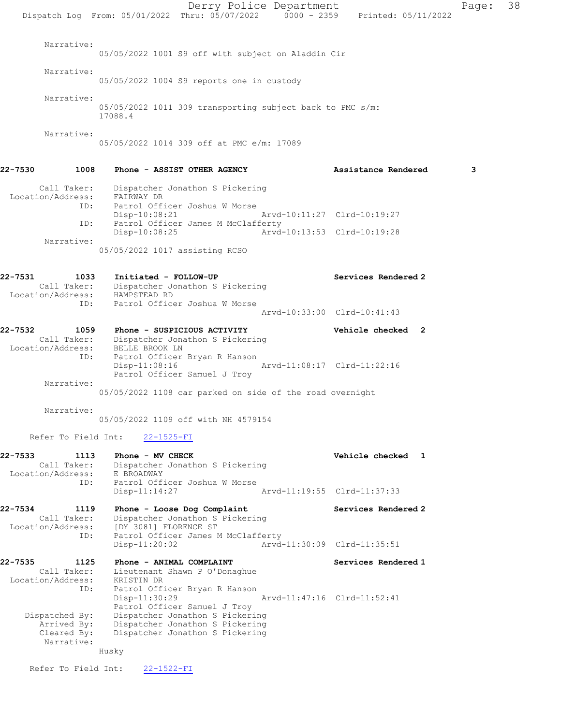|         |                                                            | Dispatch Log From: 05/01/2022 Thru: 05/07/2022 0000 - 2359 Printed: 05/11/2022                                                        | Derry Police Department     |                     | Page: | 38 |
|---------|------------------------------------------------------------|---------------------------------------------------------------------------------------------------------------------------------------|-----------------------------|---------------------|-------|----|
|         | Narrative:                                                 | 05/05/2022 1001 S9 off with subject on Aladdin Cir                                                                                    |                             |                     |       |    |
|         | Narrative:                                                 |                                                                                                                                       |                             |                     |       |    |
|         |                                                            | 05/05/2022 1004 S9 reports one in custody                                                                                             |                             |                     |       |    |
|         | Narrative:                                                 | $05/05/2022$ 1011 309 transporting subject back to PMC s/m:<br>17088.4                                                                |                             |                     |       |    |
|         | Narrative:                                                 | 05/05/2022 1014 309 off at PMC e/m: 17089                                                                                             |                             |                     |       |    |
| 22-7530 | 1008                                                       | Phone - ASSIST OTHER AGENCY                                                                                                           |                             | Assistance Rendered | 3     |    |
|         | Call Taker:<br>Location/Address:<br>ID:                    | Dispatcher Jonathon S Pickering<br>FAIRWAY DR<br>Patrol Officer Joshua W Morse                                                        |                             |                     |       |    |
|         | ID:                                                        | Disp-10:08:21<br>Patrol Officer James M McClafferty                                                                                   | Arvd-10:11:27 Clrd-10:19:27 |                     |       |    |
|         | Narrative:                                                 | Disp-10:08:25                                                                                                                         | Arvd-10:13:53 Clrd-10:19:28 |                     |       |    |
|         |                                                            | 05/05/2022 1017 assisting RCSO                                                                                                        |                             |                     |       |    |
| 22-7531 | 1033<br>Location/Address:                                  | Initiated - FOLLOW-UP<br>Call Taker: Dispatcher Jonathon S Pickering<br>HAMPSTEAD RD                                                  |                             | Services Rendered 2 |       |    |
|         | ID:                                                        | Patrol Officer Joshua W Morse                                                                                                         | Arvd-10:33:00 Clrd-10:41:43 |                     |       |    |
| 22-7532 | 1059<br>Call Taker:<br>Location/Address:<br>ID:            | Phone - SUSPICIOUS ACTIVITY<br>Dispatcher Jonathon S Pickering<br>BELLE BROOK LN<br>Patrol Officer Bryan R Hanson                     |                             | Vehicle checked 2   |       |    |
|         | Narrative:                                                 | $Disp-11:08:16$<br>Patrol Officer Samuel J Troy                                                                                       | Arvd-11:08:17 Clrd-11:22:16 |                     |       |    |
|         |                                                            | 05/05/2022 1108 car parked on side of the road overnight                                                                              |                             |                     |       |    |
|         | Narrative:                                                 | 05/05/2022 1109 off with NH 4579154                                                                                                   |                             |                     |       |    |
|         | Refer To Field Int:                                        | $22 - 1525 - FI$                                                                                                                      |                             |                     |       |    |
| 22-7533 | 1113<br>Call Taker:<br>Location/Address:                   | Phone - MV CHECK<br>Dispatcher Jonathon S Pickering<br>E BROADWAY<br>Patrol Officer Joshua W Morse                                    |                             | Vehicle checked 1   |       |    |
|         | ID:                                                        | $Disp-11:14:27$                                                                                                                       | Arvd-11:19:55 Clrd-11:37:33 |                     |       |    |
| 22-7534 | 1119<br>Call Taker:<br>Location/Address:<br>ID:            | Phone - Loose Dog Complaint<br>Dispatcher Jonathon S Pickering<br>[DY 3081] FLORENCE ST<br>Patrol Officer James M McClafferty         |                             | Services Rendered 2 |       |    |
|         |                                                            | $Disp-11:20:02$                                                                                                                       | Arvd-11:30:09 Clrd-11:35:51 |                     |       |    |
| 22-7535 | 1125<br>Call Taker:<br>Location/Address:<br>ID:            | Phone - ANIMAL COMPLAINT<br>Lieutenant Shawn P O'Donaghue<br>KRISTIN DR<br>Patrol Officer Bryan R Hanson<br>$Disp-11:30:29$           | Arvd-11:47:16 Clrd-11:52:41 | Services Rendered 1 |       |    |
|         | Dispatched By:<br>Arrived By:<br>Cleared By:<br>Narrative: | Patrol Officer Samuel J Troy<br>Dispatcher Jonathon S Pickering<br>Dispatcher Jonathon S Pickering<br>Dispatcher Jonathon S Pickering |                             |                     |       |    |
|         |                                                            | Husky                                                                                                                                 |                             |                     |       |    |
|         | Refer To Field Int:                                        | $22 - 1522 - FI$                                                                                                                      |                             |                     |       |    |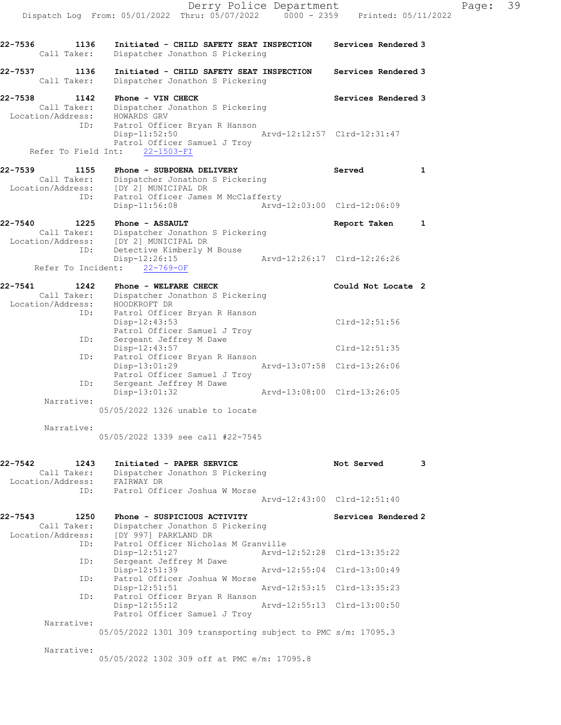Derry Police Department Fage: 39 Dispatch Log From:  $05/01/2022$  Thru:  $05/07/2022$  0000 - 2359 Printed: 05/11/2022 22-7536 1136 Initiated - CHILD SAFETY SEAT INSPECTION Services Rendered 3 Call Taker: Dispatcher Jonathon S Pickering 22-7537 1136 Initiated - CHILD SAFETY SEAT INSPECTION Services Rendered 3 Call Taker: Dispatcher Jonathon S Pickering 22-7538 1142 Phone - VIN CHECK North Services Rendered 3 Call Taker: Dispatcher Jonathon S Pickering Location/Address: HOWARDS GRV ID: Patrol Officer Bryan R Hanson Disp-11:52:50 Arvd-12:12:57 Clrd-12:31:47 Patrol Officer Samuel J Troy Refer To Field Int: 22-1503-FI 22-7539 1155 Phone - SUBPOENA DELIVERY 1 Call Taker: Dispatcher Jonathon S Pickering Location/Address: [DY 2] MUNICIPAL DR ID: Patrol Officer James M McClafferty Disp-11:56:08 Arvd-12:03:00 Clrd-12:06:09 22-7540 1225 Phone - ASSAULT Report Taken 1 Call Taker: Dispatcher Jonathon S Pickering Location/Address: [DY 2] MUNICIPAL DR ID: Detective Kimberly M Bouse Disp-12:26:15 Arvd-12:26:17 Clrd-12:26:26 Refer To Incident: 22-769-OF 22-7541 1242 Phone - WELFARE CHECK COULD Could Not Locate 2 Call Taker: Dispatcher Jonathon S Pickering Location/Address: HOODKROFT DR ID: Patrol Officer Bryan R Hanson Disp-12:43:53 Clrd-12:51:56 Patrol Officer Samuel J Troy ID: Sergeant Jeffrey M Dawe Disp-12:43:57 Clrd-12:51:35<br>ID: Patrol Officer Bryan R Hanson Patrol Officer Bryan R Hanson<br>Disp-13:01:29 Disp-13:01:29 Arvd-13:07:58 Clrd-13:26:06 Patrol Officer Samuel J Troy ID: Sergeant Jeffrey M Dawe<br>Disp-13:01:32 Arvd-13:08:00 Clrd-13:26:05 Narrative: 05/05/2022 1326 unable to locate Narrative: 05/05/2022 1339 see call #22-7545 22-7542 1243 Initiated - PAPER SERVICE Not Served 3 Call Taker: Dispatcher Jonathon S Pickering Location/Address: FAIRWAY DR ID: Patrol Officer Joshua W Morse Arvd-12:43:00 Clrd-12:51:40 22-7543 1250 Phone - SUSPICIOUS ACTIVITY Services Rendered 2 Call Taker: Dispatcher Jonathon S Pickering Location/Address: [DY 997] PARKLAND DR ID: Patrol Officer Nicholas M Granville<br>Disp-12:51:27 Arvd-1 Disp-12:51:27 Arvd-12:52:28 Clrd-13:35:22<br>ID: Sergeant Jeffrey M Dawe Disp I2:01:2.<br>Sergeant Jeffrey M Dawe<br>Disp-12:51:39 Disp-12:51:39 Arvd-12:55:04 Clrd-13:00:49<br>ID: Patrol Officer Joshua W Morse Patrol Officer Joshua W Morse<br>Disp-12:51:51 Arvd-12:53:15 Clrd-13:35:23 ID: Patrol Officer Bryan R Hanson Disp-12:55:12 Arvd-12:55:13 Clrd-13:00:50 Patrol Officer Samuel J Troy Narrative: 05/05/2022 1301 309 transporting subject to PMC s/m: 17095.3 Narrative:

05/05/2022 1302 309 off at PMC e/m: 17095.8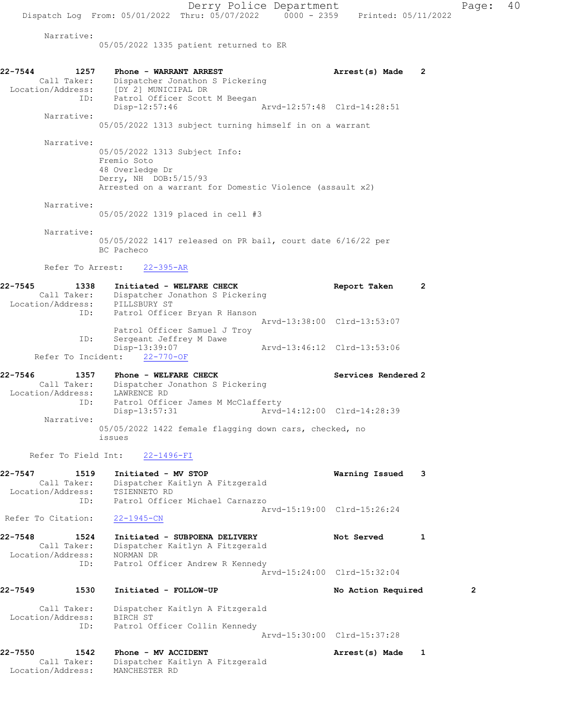Narrative: 05/05/2022 1335 patient returned to ER 22-7544 1257 Phone - WARRANT ARREST **Arrest(s)** Made 2 Call Taker: Dispatcher Jonathon S Pickering Location/Address: [DY 2] MUNICIPAL DR ID: Patrol Officer Scott M Beegan<br>Disp-12:57:46 Arvd-12:57:48 Clrd-14:28:51 Disp-12:57:46 Narrative: 05/05/2022 1313 subject turning himself in on a warrant Narrative: 05/05/2022 1313 Subject Info: Fremio Soto 48 Overledge Dr Derry, NH DOB:5/15/93 Arrested on a warrant for Domestic Violence (assault x2) Narrative: 05/05/2022 1319 placed in cell #3 Narrative: 05/05/2022 1417 released on PR bail, court date 6/16/22 per BC Pacheco Refer To Arrest: 22-395-AR 22-7545 1338 Initiated - WELFARE CHECK 12 Report Taken 2 Call Taker: Dispatcher Jonathon S Pickering Location/Address: PILLSBURY ST ID: Patrol Officer Bryan R Hanson Arvd-13:38:00 Clrd-13:53:07 Patrol Officer Samuel J Troy ID: Sergeant Jeffrey M Dawe Arvd-13:46:12 Clrd-13:53:06 Refer To Incident: 22-770-OF 22-7546 1357 Phone - WELFARE CHECK Services Rendered 2 Call Taker: Dispatcher Jonathon S Pickering Location/Address: LAWRENCE RD ID: Patrol Officer James M McClafferty Disp-13:57:31 Arvd-14:12:00 Clrd-14:28:39 Narrative: 05/05/2022 1422 female flagging down cars, checked, no issues Refer To Field Int: 22-1496-FI 22-7547 1519 Initiated - MV STOP Warning Issued 3 Call Taker: Dispatcher Kaitlyn A Fitzgerald Location/Address: TSIENNETO RD ID: Patrol Officer Michael Carnazzo Arvd-15:19:00 Clrd-15:26:24 Refer To Citation: 22-1945-CN 22-7548 1524 Initiated - SUBPOENA DELIVERY 1 Not Served 1 Call Taker: Dispatcher Kaitlyn A Fitzgerald Location/Address: NORMAN DR ID: Patrol Officer Andrew R Kennedy Arvd-15:24:00 Clrd-15:32:04 22-7549 1530 Initiated - FOLLOW-UP No Action Required 2 Call Taker: Dispatcher Kaitlyn A Fitzgerald Location/Address: BIRCH ST ID: Patrol Officer Collin Kennedy Arvd-15:30:00 Clrd-15:37:28

Dispatch Log From: 05/01/2022 Thru: 05/07/2022 0000 - 2359 Printed: 05/11/2022

22-7550 1542 Phone - MV ACCIDENT Annual Mate 1 Arrest(s) Made 1 Call Taker: Dispatcher Kaitlyn A Fitzgerald Location/Address: MANCHESTER RD

Derry Police Department Page: 40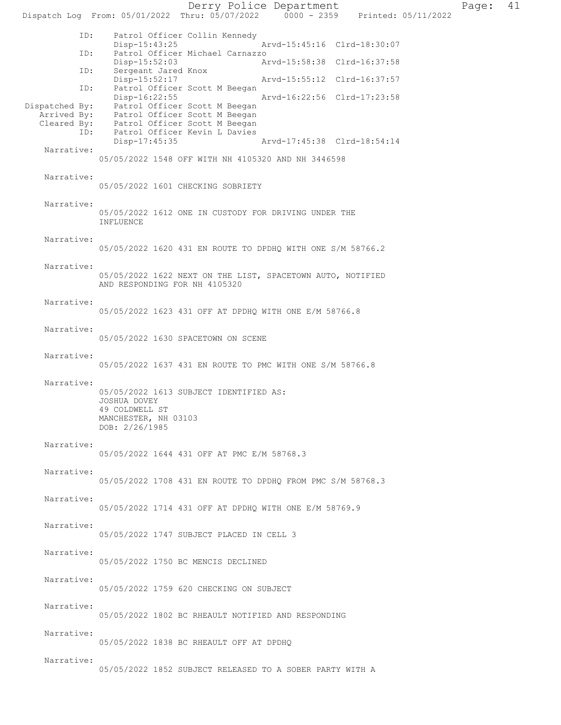Derry Police Department Page: 41  $Dispatch$  Log From:  $05/01/2022$  Thru:  $05/07/2022$ ID: Patrol Officer Collin Kennedy<br>Disp-15:43:25 Disp-15:43:25 Arvd-15:45:16 Clrd-18:30:07<br>ID: Patrol Officer Michael Carnazzo Patrol Officer Michael Carnazzo<br>Disp-15:52:03 A Disp-15:52:03 Arvd-15:58:38 Clrd-16:37:58<br>ID: Sergeant Jared Knox Sergeant Jared Knox<br>Disp-15:52:17 Disp-15:52:17 Arvd-15:55:12 Clrd-16:37:57<br>TD: Patrol Officer Scott M Beegan Patrol Officer Scott M Beegan<br>Disp-16:22:55 Disp-16:22:55 Arvd-16:22:56 Clrd-17:23:58<br>Dispatched By: Patrol Officer Scott M Beegan patched By: Patrol Officer Scott M Beegan<br>Arrived By: Patrol Officer Scott M Beegan Patrol Officer Scott M Beegan Cleared By: Patrol Officer Scott M Beegan ID: Patrol Officer Kevin L Davies Disp-17:45:35 Arvd-17:45:38 Clrd-18:54:14 Narrative: 05/05/2022 1548 OFF WITH NH 4105320 AND NH 3446598 Narrative: 05/05/2022 1601 CHECKING SOBRIETY Narrative: 05/05/2022 1612 ONE IN CUSTODY FOR DRIVING UNDER THE INFLUENCE Narrative: 05/05/2022 1620 431 EN ROUTE TO DPDHQ WITH ONE S/M 58766.2 Narrative: 05/05/2022 1622 NEXT ON THE LIST, SPACETOWN AUTO, NOTIFIED AND RESPONDING FOR NH 4105320 Narrative: 05/05/2022 1623 431 OFF AT DPDHQ WITH ONE E/M 58766.8 Narrative: 05/05/2022 1630 SPACETOWN ON SCENE Narrative: 05/05/2022 1637 431 EN ROUTE TO PMC WITH ONE S/M 58766.8 Narrative: 05/05/2022 1613 SUBJECT IDENTIFIED AS: JOSHUA DOVEY 49 COLDWELL ST MANCHESTER, NH 03103 DOB: 2/26/1985 Narrative: 05/05/2022 1644 431 OFF AT PMC E/M 58768.3 Narrative: 05/05/2022 1708 431 EN ROUTE TO DPDHQ FROM PMC S/M 58768.3 Narrative: 05/05/2022 1714 431 OFF AT DPDHQ WITH ONE E/M 58769.9 Narrative: 05/05/2022 1747 SUBJECT PLACED IN CELL 3 Narrative: 05/05/2022 1750 BC MENCIS DECLINED Narrative: 05/05/2022 1759 620 CHECKING ON SUBJECT Narrative: 05/05/2022 1802 BC RHEAULT NOTIFIED AND RESPONDING Narrative: 05/05/2022 1838 BC RHEAULT OFF AT DPDHQ Narrative: 05/05/2022 1852 SUBJECT RELEASED TO A SOBER PARTY WITH A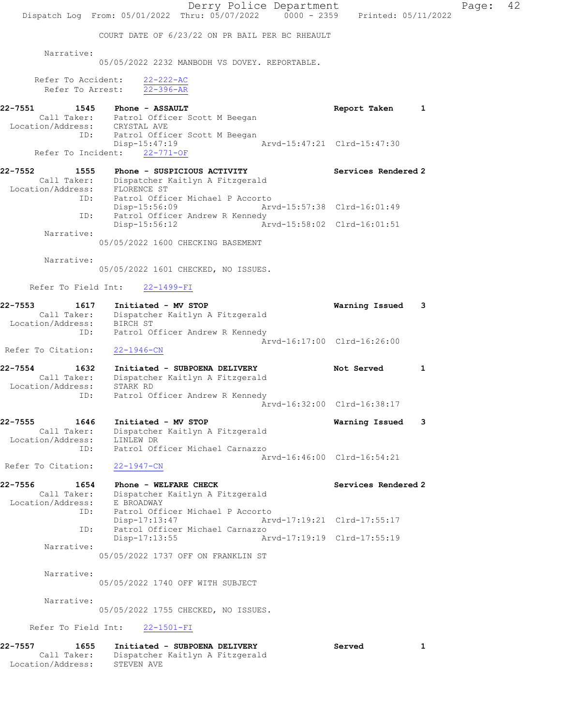Derry Police Department Fage: 42 Dispatch Log From: 05/01/2022 Thru: 05/07/2022 0000 - 2359 Printed: 05/11/2022 COURT DATE OF 6/23/22 ON PR BAIL PER BC RHEAULT Narrative: 05/05/2022 2232 MANBODH VS DOVEY. REPORTABLE. Refer To Accident: 22-222-AC Refer To Arrest: 22-396-AR 22-7551 1545 Phone - ASSAULT 1545 Phone - ASSAULT 1545 Report Taken 1 Call Taker: Patrol Officer Scott M Beegan Location/Address: CRYSTAL AVE ID: Patrol Officer Scott M Beegan Disp-15:47:19 Arvd-15:47:21 Clrd-15:47:30 Refer To Incident: 22-771-OF 22-7552 1555 Phone - SUSPICIOUS ACTIVITY Services Rendered 2 Call Taker: Dispatcher Kaitlyn A Fitzgerald Location/Address: FLORENCE ST ID: Patrol Officer Michael P Accorto Disp-15:56:09 Arvd-15:57:38 Clrd-16:01:49 ID: Patrol Officer Andrew R Kennedy Disp-15:56:12 Arvd-15:58:02 Clrd-16:01:51 Narrative: 05/05/2022 1600 CHECKING BASEMENT Narrative: 05/05/2022 1601 CHECKED, NO ISSUES. Refer To Field Int: 22-1499-FI 22-7553 1617 Initiated - MV STOP Warning Issued 3 Call Taker: Dispatcher Kaitlyn A Fitzgerald Location/Address: BIRCH ST ID: Patrol Officer Andrew R Kennedy Arvd-16:17:00 Clrd-16:26:00 Refer To Citation: 22-1946-CN 22-7554 1632 Initiated - SUBPOENA DELIVERY Not Served 1 Call Taker: Dispatcher Kaitlyn A Fitzgerald Location/Address: STARK RD ID: Patrol Officer Andrew R Kennedy Arvd-16:32:00 Clrd-16:38:17 22-7555 1646 Initiated - MV STOP Warning Issued 3 Call Taker: Dispatcher Kaitlyn A Fitzgerald Location/Address: LINLEW DR ID: Patrol Officer Michael Carnazzo Arvd-16:46:00 Clrd-16:54:21 Refer To Citation: 22-1947-CN 22-7556 1654 Phone - WELFARE CHECK Services Rendered 2 Call Taker: Dispatcher Kaitlyn A Fitzgerald Location/Address: E BROADWAY ID: Patrol Officer Michael P Accorto Disp-17:13:47 Arvd-17:19:21 Clrd-17:55:17 ID: Patrol Officer Michael Carnazzo Arvd-17:19:19 Clrd-17:55:19 Narrative: 05/05/2022 1737 OFF ON FRANKLIN ST Narrative: 05/05/2022 1740 OFF WITH SUBJECT Narrative: 05/05/2022 1755 CHECKED, NO ISSUES. Refer To Field Int: 22-1501-FI 22-7557 1655 Initiated - SUBPOENA DELIVERY 1980 Served 1 Call Taker: Dispatcher Kaitlyn A Fitzgerald Location/Address: STEVEN AVE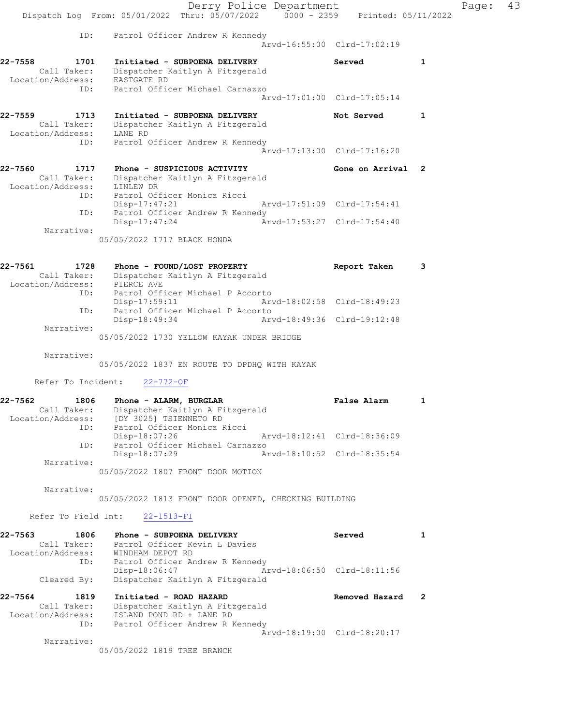|                              |                                          | Dispatch Log From: 05/01/2022                    | Derry Police Department<br>Thru: 05/07/2022   0000 - 2359   Printed: 05/11/2022 |                             |              |
|------------------------------|------------------------------------------|--------------------------------------------------|---------------------------------------------------------------------------------|-----------------------------|--------------|
|                              | ID:                                      |                                                  | Patrol Officer Andrew R Kennedy                                                 |                             |              |
|                              |                                          |                                                  |                                                                                 | Arvd-16:55:00 Clrd-17:02:19 |              |
| 22-7558                      | 1701<br>Call Taker:<br>Location/Address: | EASTGATE RD                                      | Initiated - SUBPOENA DELIVERY<br>Dispatcher Kaitlyn A Fitzgerald                | Served                      | 1            |
|                              | ID:                                      |                                                  | Patrol Officer Michael Carnazzo                                                 | Arvd-17:01:00 Clrd-17:05:14 |              |
| 22-7559                      | 1713<br>Call Taker:<br>Location/Address: | LANE RD                                          | Initiated - SUBPOENA DELIVERY<br>Dispatcher Kaitlyn A Fitzgerald                | Not Served                  | $\mathbf{1}$ |
|                              | ID:                                      |                                                  | Patrol Officer Andrew R Kennedy                                                 | Arvd-17:13:00 Clrd-17:16:20 |              |
| 22-7560                      | 1717<br>Call Taker:<br>Location/Address: | LINLEW DR                                        | Phone - SUSPICIOUS ACTIVITY<br>Dispatcher Kaitlyn A Fitzgerald                  | Gone on Arrival             | 2            |
|                              | ID:                                      | $Disp-17:47:21$                                  | Patrol Officer Monica Ricci                                                     | Arvd-17:51:09 Clrd-17:54:41 |              |
|                              | ID:                                      | $Disp-17:47:24$                                  | Patrol Officer Andrew R Kennedy                                                 | Arvd-17:53:27 Clrd-17:54:40 |              |
|                              | Narrative:                               | 05/05/2022 1717 BLACK HONDA                      |                                                                                 |                             |              |
| 22-7561                      | 1728<br>Call Taker:                      |                                                  | Phone - FOUND/LOST PROPERTY<br>Dispatcher Kaitlyn A Fitzgerald                  | Report Taken                | 3            |
|                              | Location/Address:<br>ID:                 | PIERCE AVE<br>$Disp-17:59:11$                    | Patrol Officer Michael P Accorto                                                | Arvd-18:02:58 Clrd-18:49:23 |              |
|                              | ID:                                      | Disp-18:49:34                                    | Patrol Officer Michael P Accorto                                                | Arvd-18:49:36 Clrd-19:12:48 |              |
|                              | Narrative:                               |                                                  | 05/05/2022 1730 YELLOW KAYAK UNDER BRIDGE                                       |                             |              |
|                              | Narrative:                               |                                                  | 05/05/2022 1837 EN ROUTE TO DPDHO WITH KAYAK                                    |                             |              |
|                              | Refer To Incident:                       | $22 - 772 - OF$                                  |                                                                                 |                             |              |
| 22-7562<br>Location/Address: | 1806<br>Call Taker:                      | Phone - ALARM, BURGLAR<br>[DY 3025] TSIENNETO RD | Dispatcher Kaitlyn A Fitzgerald                                                 | False Alarm                 | 1            |
|                              | ID:                                      | Disp-18:07:26                                    | Patrol Officer Monica Ricci<br>Patrol Officer Michael Carnazzo                  | Arvd-18:12:41 Clrd-18:36:09 |              |
|                              | ID:<br>Narrative:                        | Disp-18:07:29                                    |                                                                                 | Arvd-18:10:52 Clrd-18:35:54 |              |
|                              |                                          |                                                  | 05/05/2022 1807 FRONT DOOR MOTION                                               |                             |              |
|                              | Narrative:                               |                                                  | 05/05/2022 1813 FRONT DOOR OPENED, CHECKING BUILDING                            |                             |              |
|                              |                                          | Refer To Field Int: 22-1513-FI                   |                                                                                 |                             |              |
| 22-7563                      | 1806<br>Call Taker:<br>Location/Address: | Phone - SUBPOENA DELIVERY<br>WINDHAM DEPOT RD    | Patrol Officer Kevin L Davies                                                   | Served                      | 1            |
|                              | ID:<br>Cleared By:                       | Disp-18:06:47                                    | Patrol Officer Andrew R Kennedy<br>Dispatcher Kaitlyn A Fitzgerald              | Arvd-18:06:50 Clrd-18:11:56 |              |
| $22 - 7564$                  | 1819<br>Call Taker:                      | Initiated - ROAD HAZARD                          | Dispatcher Kaitlyn A Fitzgerald                                                 | Removed Hazard              | 2            |
|                              | Location/Address:<br>ID:                 | ISLAND POND RD + LANE RD                         | Patrol Officer Andrew R Kennedy                                                 |                             |              |
|                              | Narrative:                               |                                                  |                                                                                 | Arvd-18:19:00 Clrd-18:20:17 |              |

05/05/2022 1819 TREE BRANCH

Page: 43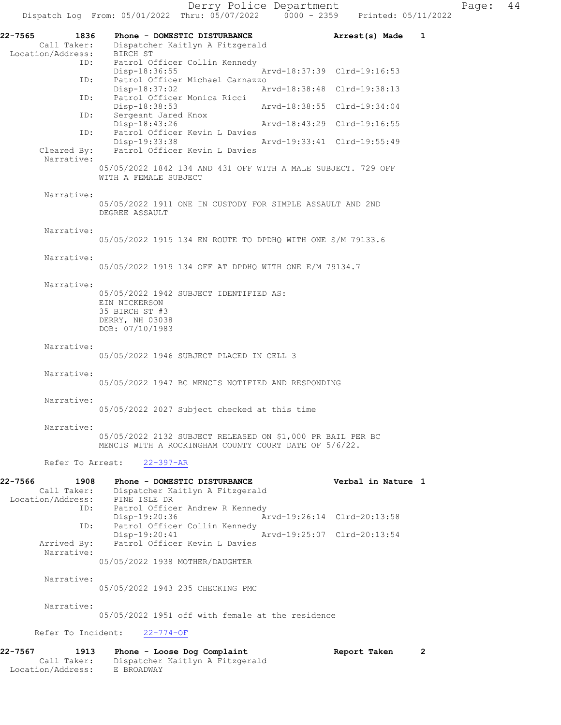| 22-7565 | 1836                                            | Phone - DOMESTIC DISTURBANCE                                                                                        | Arrest(s) Made              | $\mathbf 1$ |
|---------|-------------------------------------------------|---------------------------------------------------------------------------------------------------------------------|-----------------------------|-------------|
|         | Call Taker:                                     | Dispatcher Kaitlyn A Fitzgerald                                                                                     |                             |             |
|         | Location/Address:<br>ID:                        | BIRCH ST<br>Patrol Officer Collin Kennedy<br>Disp-18:36:55                                                          | Arvd-18:37:39 Clrd-19:16:53 |             |
|         | ID:                                             | Patrol Officer Michael Carnazzo                                                                                     |                             |             |
|         | ID:                                             | Arvd-18:38:48 Clrd-19:38:13<br>$Disp-18:37:02$<br>Patrol Officer Monica Ricci                                       |                             |             |
|         | ID:                                             | Disp-18:38:53<br>Arvd-18:38:55 Clrd-19:34:04<br>Sergeant Jared Knox                                                 |                             |             |
|         | ID:                                             | Disp-18:43:26<br>Arvd-18:43:29 Clrd-19:16:55<br>Patrol Officer Kevin L Davies                                       |                             |             |
|         | Cleared By:                                     | Disp-19:33:38<br>Arvd-19:33:41 Clrd-19:55:49<br>Patrol Officer Kevin L Davies                                       |                             |             |
|         | Narrative:                                      | 05/05/2022 1842 134 AND 431 OFF WITH A MALE SUBJECT. 729 OFF                                                        |                             |             |
|         |                                                 | WITH A FEMALE SUBJECT                                                                                               |                             |             |
|         | Narrative:                                      | 05/05/2022 1911 ONE IN CUSTODY FOR SIMPLE ASSAULT AND 2ND<br>DEGREE ASSAULT                                         |                             |             |
|         | Narrative:                                      | 05/05/2022 1915 134 EN ROUTE TO DPDHQ WITH ONE S/M 79133.6                                                          |                             |             |
|         | Narrative:                                      | 05/05/2022 1919 134 OFF AT DPDHQ WITH ONE E/M 79134.7                                                               |                             |             |
|         | Narrative:                                      | 05/05/2022 1942 SUBJECT IDENTIFIED AS:<br>EIN NICKERSON<br>35 BIRCH ST #3<br>DERRY, NH 03038<br>DOB: 07/10/1983     |                             |             |
|         | Narrative:                                      | 05/05/2022 1946 SUBJECT PLACED IN CELL 3                                                                            |                             |             |
|         | Narrative:                                      | 05/05/2022 1947 BC MENCIS NOTIFIED AND RESPONDING                                                                   |                             |             |
|         | Narrative:                                      | 05/05/2022 2027 Subject checked at this time                                                                        |                             |             |
|         | Narrative:                                      | 05/05/2022 2132 SUBJECT RELEASED ON \$1,000 PR BAIL PER BC<br>MENCIS WITH A ROCKINGHAM COUNTY COURT DATE OF 5/6/22. |                             |             |
|         |                                                 | Refer To Arrest: 22-397-AR                                                                                          |                             |             |
| 22-7566 | 1908<br>Call Taker:<br>Location/Address:<br>ID: | Phone - DOMESTIC DISTURBANCE<br>Dispatcher Kaitlyn A Fitzgerald<br>PINE ISLE DR<br>Patrol Officer Andrew R Kennedy  | Verbal in Nature 1          |             |
|         | ID:                                             | $Disp-19:20:36$<br>Patrol Officer Collin Kennedy                                                                    | Arvd-19:26:14 Clrd-20:13:58 |             |
|         |                                                 | Disp-19:20:41                                                                                                       | Aryd-19:25:07 Clrd-20:13:54 |             |
|         | Arrived By:<br>Narrative:                       | Patrol Officer Kevin L Davies<br>05/05/2022 1938 MOTHER/DAUGHTER                                                    |                             |             |
|         | Narrative:                                      | 05/05/2022 1943 235 CHECKING PMC                                                                                    |                             |             |
|         | Narrative:                                      | 05/05/2022 1951 off with female at the residence                                                                    |                             |             |
|         | Refer To Incident:                              | $22 - 774 - OF$                                                                                                     |                             |             |

| 22-7567<br>1913   | Phone - Loose Dog Complaint     | Report Taken |  |
|-------------------|---------------------------------|--------------|--|
| Call Taker:       | Dispatcher Kaitlyn A Fitzgerald |              |  |
| Location/Address: | E BROADWAY                      |              |  |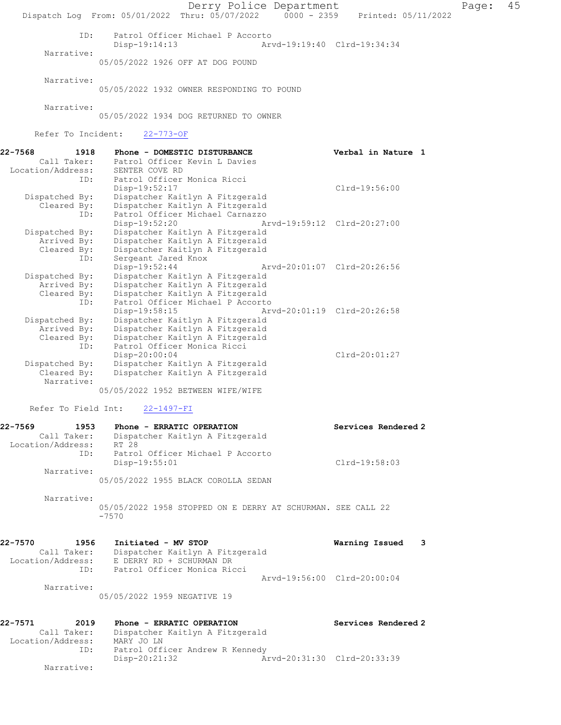Derry Police Department Page: 45 Dispatch Log From: 05/01/2022 Thru: 05/07/2022 0000 - 2359 Printed: 05/11/2022 ID: Patrol Officer Michael P Accorto Disp-19:14:13 Arvd-19:19:40 Clrd-19:34:34 Narrative: 05/05/2022 1926 OFF AT DOG POUND Narrative: 05/05/2022 1932 OWNER RESPONDING TO POUND Narrative: 05/05/2022 1934 DOG RETURNED TO OWNER Refer To Incident: 22-773-OF 22-7568 1918 Phone - DOMESTIC DISTURBANCE Verbal in Nature 1 Call Taker: Patrol Officer Kevin L Davies Location/Address: SENTER COVE RD ID: Patrol Officer Monica Ricci Disp-19:52:17 Clrd-19:56:00 Dispatched By: Dispatcher Kaitlyn A Fitzgerald Cleared By: Dispatcher Kaitlyn A Fitzgerald ID: Patrol Officer Michael Carnazzo Disp-19:52:20 Arvd-19:59:12 Clrd-20:27:00 Dispatched By: Dispatcher Kaitlyn A Fitzgerald Arrived By: Dispatcher Kaitlyn A Fitzgerald Cleared By: Dispatcher Kaitlyn A Fitzgerald ID: Sergeant Jared Knox<br>Disp-19:52:44 Arvd-20:01:07 Clrd-20:26:56 Dispatched By: Dispatcher Kaitlyn A Fitzgerald Arrived By: Dispatcher Kaitlyn A Fitzgerald Cleared By: Dispatcher Kaitlyn A Fitzgerald ID: Patrol Officer Michael P Accorto Disp-19:58:15 Arvd-20:01:19 Clrd-20:26:58 Dispatched By: Dispatcher Kaitlyn A Fitzgerald Arrived By: Dispatcher Kaitlyn A Fitzgerald Cleared By: Dispatcher Kaitlyn A Fitzgerald ID: Patrol Officer Monica Ricci Disp-20:00:04 Clrd-20:01:27 Dispatched By: Dispatcher Kaitlyn A Fitzgerald Dispatcher Kaitlyn A Fitzgerald Narrative: 05/05/2022 1952 BETWEEN WIFE/WIFE Refer To Field Int: 22-1497-FI 22-7569 1953 Phone - ERRATIC OPERATION Services Rendered 2 Call Taker: Dispatcher Kaitlyn A Fitzgerald Location/Address: RT 28 ID: Patrol Officer Michael P Accorto Disp-19:55:01 Clrd-19:58:03 Narrative: 05/05/2022 1955 BLACK COROLLA SEDAN Narrative: 05/05/2022 1958 STOPPED ON E DERRY AT SCHURMAN. SEE CALL 22 -7570 22-7570 1956 Initiated - MV STOP Warning Issued 3 Call Taker: Dispatcher Kaitlyn A Fitzgerald Location/Address: E DERRY RD + SCHURMAN DR ID: Patrol Officer Monica Ricci Arvd-19:56:00 Clrd-20:00:04 Narrative: 05/05/2022 1959 NEGATIVE 19 22-7571 2019 Phone - ERRATIC OPERATION Services Rendered 2 Call Taker: Dispatcher Kaitlyn A Fitzgerald Location/Address: MARY JO LN ID: Patrol Officer Andrew R Kennedy Disp-20:21:32 Arvd-20:31:30 Clrd-20:33:39 Narrative: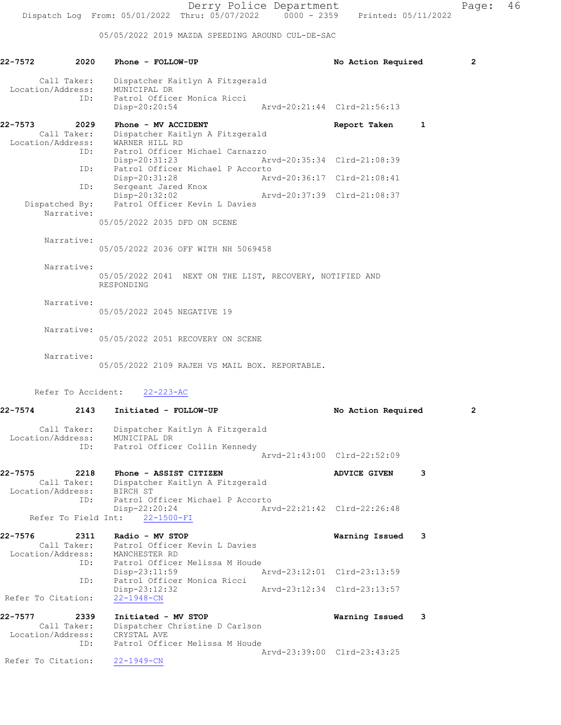05/05/2022 2019 MAZDA SPEEDING AROUND CUL-DE-SAC

| 22-7572                          | 2020                         | Phone - FOLLOW-UP                                                                                                                           | No Action Required          | $\mathbf{2}$   |
|----------------------------------|------------------------------|---------------------------------------------------------------------------------------------------------------------------------------------|-----------------------------|----------------|
| Location/Address:                | Call Taker:<br>ID:           | Dispatcher Kaitlyn A Fitzgerald<br>MUNICIPAL DR<br>Patrol Officer Monica Ricci<br>Arvd-20:21:44 Clrd-21:56:13<br>Disp-20:20:54              |                             |                |
| 22-7573                          | 2029                         | Phone - MV ACCIDENT                                                                                                                         | Report Taken<br>1           |                |
| Location/Address:<br>ID:         | Call Taker:<br>ID:           | Dispatcher Kaitlyn A Fitzgerald<br>WARNER HILL RD<br>Patrol Officer Michael Carnazzo<br>Disp-20:31:23<br>Patrol Officer Michael P Accorto   | Arvd-20:35:34 Clrd-21:08:39 |                |
|                                  | ID:                          | Disp-20:31:28<br>Sergeant Jared Knox                                                                                                        | Arvd-20:36:17 Clrd-21:08:41 |                |
|                                  | Dispatched By:<br>Narrative: | Disp-20:32:02<br>Patrol Officer Kevin L Davies                                                                                              | Arvd-20:37:39 Clrd-21:08:37 |                |
|                                  |                              | 05/05/2022 2035 DFD ON SCENE                                                                                                                |                             |                |
|                                  | Narrative:                   | 05/05/2022 2036 OFF WITH NH 5069458                                                                                                         |                             |                |
|                                  | Narrative:                   | 05/05/2022 2041 NEXT ON THE LIST, RECOVERY, NOTIFIED AND<br>RESPONDING                                                                      |                             |                |
|                                  | Narrative:                   | 05/05/2022 2045 NEGATIVE 19                                                                                                                 |                             |                |
|                                  | Narrative:                   | 05/05/2022 2051 RECOVERY ON SCENE                                                                                                           |                             |                |
|                                  | Narrative:                   | 05/05/2022 2109 RAJEH VS MAIL BOX. REPORTABLE.                                                                                              |                             |                |
|                                  |                              | Refer To Accident:<br>$22 - 223 - AC$                                                                                                       |                             |                |
| 22-7574                          | 2143                         | Initiated - FOLLOW-UP                                                                                                                       | No Action Required          | $\overline{2}$ |
| Call Taker:<br>Location/Address: | ID:                          | Dispatcher Kaitlyn A Fitzgerald<br>MUNICIPAL DR<br>Patrol Officer Collin Kennedy                                                            | Arvd-21:43:00 Clrd-22:52:09 |                |
| 22-7575                          | 2218                         | Phone - ASSIST CITIZEN                                                                                                                      | ADVICE GIVEN<br>3           |                |
| Location/Address:                | Call Taker:<br>ID:           | Dispatcher Kaitlyn A Fitzgerald<br>BIRCH ST<br>Patrol Officer Michael P Accorto<br>Disp-22:20:24<br>Refer To Field Int:<br>$22 - 1500 - FI$ | Arvd-22:21:42 Clrd-22:26:48 |                |
| 22-7576                          | 2311                         | Radio - MV STOP                                                                                                                             | Warning Issued<br>3         |                |
|                                  | Call Taker:                  | Patrol Officer Kevin L Davies<br>Location/Address: MANCHESTER RD<br>ID: Patrol Officer Melissa M Houde                                      |                             |                |
|                                  | ID:                          | Disp-23:11:59<br>Patrol Officer Monica Ricci                                                                                                | Arvd-23:12:01 Clrd-23:13:59 |                |
| Refer To Citation:               |                              | Disp-23:12:32<br>$22 - 1948 - CN$                                                                                                           | Arvd-23:12:34 Clrd-23:13:57 |                |
| 22-7577<br>Location/Address:     | 2339<br>Call Taker:          | Initiated - MV STOP<br>Dispatcher Christine D Carlson<br>CRYSTAL AVE                                                                        | Warning Issued<br>3         |                |
| Refer To Citation:               | ID:                          | Patrol Officer Melissa M Houde<br>22-1949-CN                                                                                                | Arvd-23:39:00 Clrd-23:43:25 |                |
|                                  |                              |                                                                                                                                             |                             |                |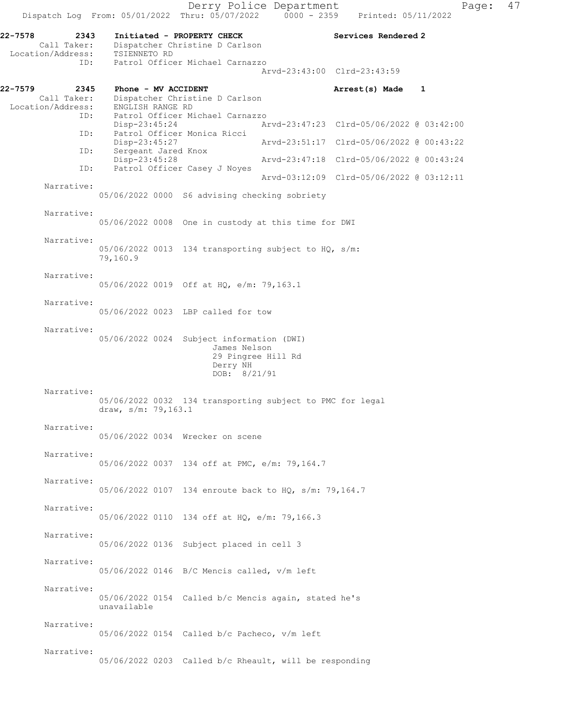Derry Police Department Page: 47 Dispatch Log From: 05/01/2022 Thru: 05/07/2022 0000 - 2359 22-7578 2343 Initiated - PROPERTY CHECK Services Rendered 2 Call Taker: Dispatcher Christine D Carlson<br>Con/Address: TSIENNETO RD Location/Address:<br>ID: Patrol Officer Michael Carnazzo Arvd-23:43:00 Clrd-23:43:59 22-7579 2345 Phone - MV ACCIDENT Arrest(s) Made 1 Call Taker: Dispatcher Christine D Carlson Location/Address: ENGLISH RANGE RD<br>ID: Patrol Officer M: Patrol Officer Michael Carnazzo<br>Disp-23:45:24 A Disp-23:45:24 Arvd-23:47:23 Clrd-05/06/2022 @ 03:42:00<br>ID: Patrol Officer Monica Ricci Patrol Officer Monica Ricci<br>Disp-23:45:27 Disp-23:45:27 Arvd-23:51:17 Clrd-05/06/2022 @ 00:43:22 ID: Sergeant Jared Knox<br>Disp-23:45:28 Disp-23:45:28 Arvd-23:47:18 Clrd-05/06/2022 @ 00:43:24 ID: Patrol Officer Casey J Noyes Arvd-03:12:09 Clrd-05/06/2022 @ 03:12:11 Narrative: 05/06/2022 0000 S6 advising checking sobriety Narrative: 05/06/2022 0008 One in custody at this time for DWI Narrative: 05/06/2022 0013 134 transporting subject to HQ, s/m: 79,160.9 Narrative: 05/06/2022 0019 Off at HQ, e/m: 79,163.1 Narrative: 05/06/2022 0023 LBP called for tow Narrative: 05/06/2022 0024 Subject information (DWI) James Nelson 29 Pingree Hill Rd Derry NH DOB: 8/21/91 Narrative: 05/06/2022 0032 134 transporting subject to PMC for legal draw, s/m: 79,163.1 Narrative: 05/06/2022 0034 Wrecker on scene Narrative: 05/06/2022 0037 134 off at PMC, e/m: 79,164.7 Narrative: 05/06/2022 0107 134 enroute back to HQ, s/m: 79,164.7 Narrative: 05/06/2022 0110 134 off at HQ, e/m: 79,166.3 Narrative: 05/06/2022 0136 Subject placed in cell 3 Narrative: 05/06/2022 0146 B/C Mencis called, v/m left Narrative: 05/06/2022 0154 Called b/c Mencis again, stated he's unavailable Narrative: 05/06/2022 0154 Called b/c Pacheco, v/m left Narrative: 05/06/2022 0203 Called b/c Rheault, will be responding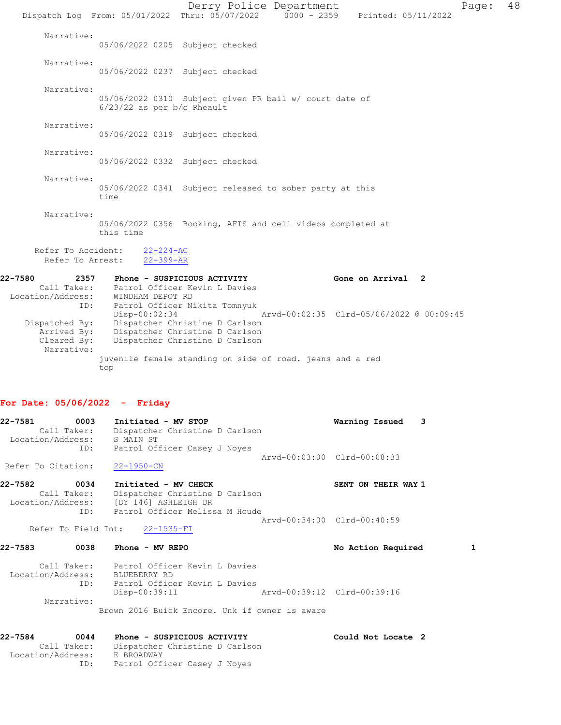Derry Police Department Page: 48 Dispatch Log From: 05/01/2022 Thru: 05/07/2022 0000 - 2359 Printed: 05/11/2022 Narrative: 05/06/2022 0205 Subject checked Narrative: 05/06/2022 0237 Subject checked Narrative: 05/06/2022 0310 Subject given PR bail w/ court date of 6/23/22 as per b/c Rheault Narrative: 05/06/2022 0319 Subject checked Narrative: 05/06/2022 0332 Subject checked Narrative: 05/06/2022 0341 Subject released to sober party at this time Narrative: 05/06/2022 0356 Booking, AFIS and cell videos completed at this time Refer To Accident: 22-224-AC Refer To Arrest: 22-399-AR 22-7580 2357 Phone - SUSPICIOUS ACTIVITY Cone on Arrival 2 Call Taker: Patrol Officer Kevin L Davies Location/Address: WINDHAM DEPOT RD ID: Patrol Officer Nikita Tomnyuk Disp-00:02:34 Arvd-00:02:35 Clrd-05/06/2022 @ 00:09:45 Dispatched By: Dispatcher Christine D Carlson Arrived By: Dispatcher Christine D Carlson Cleared By: Dispatcher Christine D Carlson Narrative: juvenile female standing on side of road. jeans and a red

### For Date: 05/06/2022 - Friday

top

22-7581 0003 Initiated - MV STOP Warning Issued 3 Call Taker: Dispatcher Christine D Carlson Location/Address: S MAIN ST ID: Patrol Officer Casey J Noyes Arvd-00:03:00 Clrd-00:08:33 Refer To Citation: 22-1950-CN 22-7582 0034 Initiated - MV CHECK SENT ON THEIR WAY 1 Call Taker: Dispatcher Christine D Carlson Location/Address: [DY 146] ASHLEIGH DR ID: Patrol Officer Melissa M Houde Arvd-00:34:00 Clrd-00:40:59 Refer To Field Int: 22-1535-FI ercent 22-7583 and 22-7583 and 20038 Phone - MV REPO No Action Required 1 and 22-7583 and 20038 and 2010 and 20 Call Taker: Patrol Officer Kevin L Davies Location/Address: BLUEBERRY RD ID: Patrol Officer Kevin L Davies Disp-00:39:11 Arvd-00:39:12 Clrd-00:39:16 Narrative: Brown 2016 Buick Encore. Unk if owner is aware 22-7584 0044 Phone - SUSPICIOUS ACTIVITY Could Not Locate 2 Call Taker: Dispatcher Christine D Carlson Location/Address: E BROADWAY ID: Patrol Officer Casey J Noyes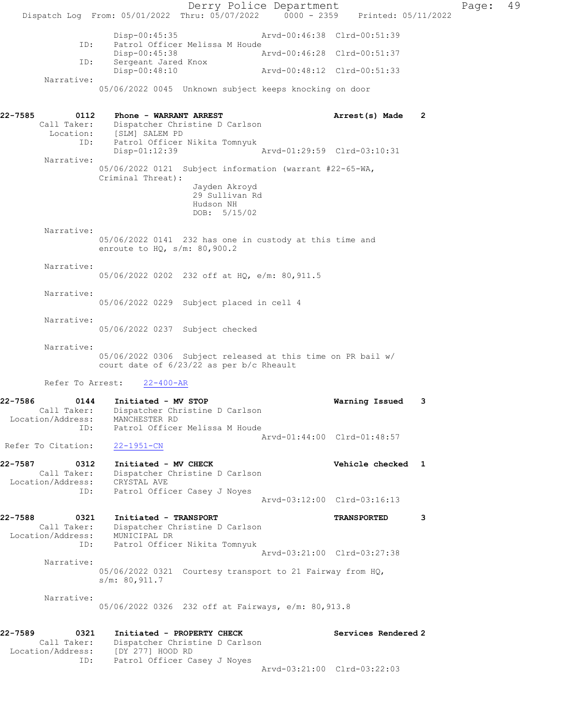Derry Police Department Page: 49 Dispatch Log From: 05/01/2022 Thru: 05/07/2022 0000 - 2359 Printed: 05/11/2022 Disp-00:45:35 Arvd-00:46:38 Clrd-00:51:39<br>ID: Patrol Officer Melissa M Houde Patrol Officer Melissa M Houde<br>Disp-00:45:38 A Disp-00:45:38 Arvd-00:46:28 Clrd-00:51:37 ID: Sergeant Jared Knox<br>Disp-00:48:10 Disp-00:48:10 Arvd-00:48:12 Clrd-00:51:33 Narrative: 05/06/2022 0045 Unknown subject keeps knocking on door 22-7585 0112 Phone - WARRANT ARREST Arrest(s) Made 2 Call Taker: Dispatcher Christine D Carlson Location: [SLM] SALEM PD ID: Patrol Officer Nikita Tomnyuk Disp-01:12:39 Arvd-01:29:59 Clrd-03:10:31 Narrative: 05/06/2022 0121 Subject information (warrant #22-65-WA, Criminal Threat): Jayden Akroyd 29 Sullivan Rd Hudson NH DOB: 5/15/02 Narrative: 05/06/2022 0141 232 has one in custody at this time and enroute to HQ, s/m: 80,900.2 Narrative: 05/06/2022 0202 232 off at HQ, e/m: 80,911.5 Narrative: 05/06/2022 0229 Subject placed in cell 4 Narrative: 05/06/2022 0237 Subject checked Narrative: 05/06/2022 0306 Subject released at this time on PR bail w/ court date of 6/23/22 as per b/c Rheault Refer To Arrest: 22-400-AR 22-7586 0144 Initiated - MV STOP Warning Issued 3 Call Taker: Dispatcher Christine D Carlson Location/Address: MANCHESTER RD ID: Patrol Officer Melissa M Houde Arvd-01:44:00 Clrd-01:48:57 Refer To Citation: 22-1951-CN 22-7587 0312 Initiated - MV CHECK Vehicle checked 1 Call Taker: Dispatcher Christine D Carlson Location/Address: CRYSTAL AVE ID: Patrol Officer Casey J Noyes Arvd-03:12:00 Clrd-03:16:13 22-7588 0321 Initiated - TRANSPORT TRANSPORTED 3 Call Taker: Dispatcher Christine D Carlson Location/Address: MUNICIPAL DR ID: Patrol Officer Nikita Tomnyuk Arvd-03:21:00 Clrd-03:27:38 Narrative: 05/06/2022 0321 Courtesy transport to 21 Fairway from HQ, s/m: 80,911.7 Narrative: 05/06/2022 0326 232 off at Fairways, e/m: 80,913.8 22-7589 0321 Initiated - PROPERTY CHECK Services Rendered 2 Call Taker: Dispatcher Christine D Carlson Location/Address: [DY 277] HOOD RD ID: Patrol Officer Casey J Noyes Arvd-03:21:00 Clrd-03:22:03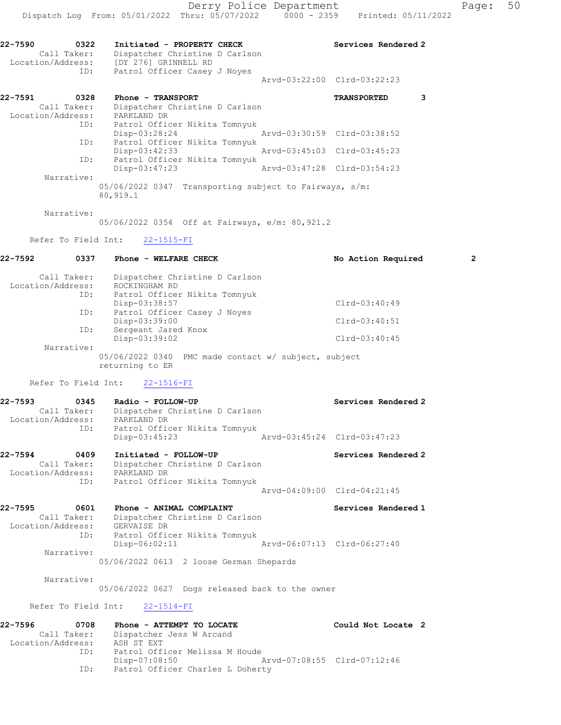| 22-7590<br>Location/Address: | 0322<br>Call Taker:<br>ID: | Initiated - PROPERTY CHECK<br>Dispatcher Christine D Carlson<br>[DY 276] GRINNELL RD<br>Patrol Officer Casey J Noyes |                             | Services Rendered 2         |   |
|------------------------------|----------------------------|----------------------------------------------------------------------------------------------------------------------|-----------------------------|-----------------------------|---|
|                              |                            |                                                                                                                      |                             | Arvd-03:22:00 Clrd-03:22:23 |   |
| 22-7591                      | 0328                       | Phone - TRANSPORT                                                                                                    |                             | <b>TRANSPORTED</b>          | 3 |
|                              | Call Taker:                | Dispatcher Christine D Carlson                                                                                       |                             |                             |   |
| Location/Address:            |                            | PARKLAND DR                                                                                                          |                             |                             |   |
|                              | ID:                        | Patrol Officer Nikita Tomnyuk                                                                                        |                             |                             |   |
|                              |                            | Disp-03:28:24                                                                                                        | Arvd-03:30:59 Clrd-03:38:52 |                             |   |
|                              | ID:                        | Patrol Officer Nikita Tomnyuk                                                                                        |                             |                             |   |

 Disp-03:42:33 Arvd-03:45:03 Clrd-03:45:23 ID: Patrol Officer Nikita Tomnyuk Disp-03:47:23 Arvd-03:47:28 Clrd-03:54:23 Narrative: 05/06/2022 0347 Transporting subject to Fairways, s/m:

Narrative:

05/06/2022 0354 Off at Fairways, e/m: 80,921.2

### Refer To Field Int: 22-1515-FI

80,919.1

| 22-7592           | 0337        | Phone - WELFARE CHECK                                  | No Action Required  | $\overline{2}$ |
|-------------------|-------------|--------------------------------------------------------|---------------------|----------------|
|                   | Call Taker: | Dispatcher Christine D Carlson                         |                     |                |
| Location/Address: |             | ROCKINGHAM RD                                          |                     |                |
|                   | ID:         | Patrol Officer Nikita Tomnyuk                          |                     |                |
|                   |             | Disp-03:38:57                                          | $Clrd-03:40:49$     |                |
|                   | ID:         | Patrol Officer Casey J Noyes                           |                     |                |
|                   |             | $Disp-03:39:00$                                        | $Clrd-03:40:51$     |                |
|                   | ID:         | Sergeant Jared Knox                                    |                     |                |
|                   |             | Disp-03:39:02                                          | $Clrd-03:40:45$     |                |
|                   | Narrative:  |                                                        |                     |                |
|                   |             | $05/06/2022$ 0340 PMC made contact w/ subject, subject |                     |                |
|                   |             | returning to ER                                        |                     |                |
|                   |             |                                                        |                     |                |
|                   |             | Refer To Field Int: 22-1516-FI                         |                     |                |
| 22-7593           | 0345        | Radio - FOLLOW-UP                                      | Services Rendered 2 |                |
|                   | Call Taker: | Dispatcher Christine D Carlson                         |                     |                |
| Location/Address: |             | PARKLAND DR                                            |                     |                |
|                   | ID:         | Patrol Officer Nikita Tomnyuk                          |                     |                |

|             | ⊥ ⊃ ∶       | PACIOI OILICEI NIKILA IOMMYUK<br>Disp-03:45:23 | Arvd-03:45:24 Clrd-03:47:23 |
|-------------|-------------|------------------------------------------------|-----------------------------|
| $22 - 7594$ | 0409        | Initiated - FOLLOW-UP                          | Services Rendered 2         |
|             | Call Taker: | Dispatcher Christine D Carlson                 |                             |
|             |             |                                                |                             |

 Location/Address: PARKLAND DR ID: Patrol Officer Nikita Tomnyuk Arvd-04:09:00 Clrd-04:21:45

22-7595 0601 Phone - ANIMAL COMPLAINT Services Rendered 1 Call Taker: Dispatcher Christine D Carlson Location/Address: GERVAISE DR ID: Patrol Officer Nikita Tomnyuk Disp-06:02:11 Arvd-06:07:13 Clrd-06:27:40 Narrative: 05/06/2022 0613 2 loose German Shepards

Narrative:

05/06/2022 0627 Dogs released back to the owner

Refer To Field Int: 22-1514-FI

| 22-7596           | 0708        | Phone - ATTEMPT TO LOCATE        | Could Not Locate 2          |  |
|-------------------|-------------|----------------------------------|-----------------------------|--|
|                   | Call Taker: | Dispatcher Jess W Arcand         |                             |  |
| Location/Address: |             | ASH ST EXT                       |                             |  |
|                   | ID:         | Patrol Officer Melissa M Houde   |                             |  |
|                   |             | Disp-07:08:50                    | Arvd-07:08:55 Clrd-07:12:46 |  |
|                   | ID:         | Patrol Officer Charles L Doherty |                             |  |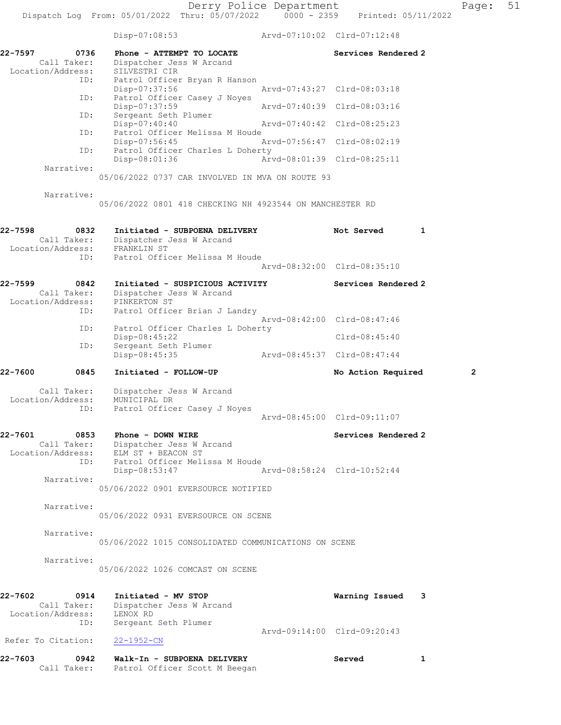|                                                            | Disp-07:08:53                                                                                         |                             | Arvd-07:10:02 Clrd-07:12:48 |   |
|------------------------------------------------------------|-------------------------------------------------------------------------------------------------------|-----------------------------|-----------------------------|---|
| 22-7597<br>0736<br>Call Taker:<br>Location/Address:        | Phone - ATTEMPT TO LOCATE<br>Dispatcher Jess W Arcand<br>SILVESTRI CIR                                |                             | Services Rendered 2         |   |
| ID:                                                        | Patrol Officer Bryan R Hanson<br>Disp-07:37:56                                                        |                             | Arvd-07:43:27 Clrd-08:03:18 |   |
| ID:                                                        | Patrol Officer Casey J Noyes<br>Disp-07:37:59                                                         |                             | Arvd-07:40:39 Clrd-08:03:16 |   |
| ID:                                                        | Sergeant Seth Plumer<br>Disp-07:40:40                                                                 |                             | Arvd-07:40:42 Clrd-08:25:23 |   |
| ID:                                                        | Patrol Officer Melissa M Houde<br>$Disp-07:56:45$                                                     |                             | Arvd-07:56:47 Clrd-08:02:19 |   |
| ID:                                                        | Patrol Officer Charles L Doherty<br>Disp-08:01:36                                                     |                             | Arvd-08:01:39 Clrd-08:25:11 |   |
| Narrative:                                                 | 05/06/2022 0737 CAR INVOLVED IN MVA ON ROUTE 93                                                       |                             |                             |   |
| Narrative:                                                 | 05/06/2022 0801 418 CHECKING NH 4923544 ON MANCHESTER RD                                              |                             |                             |   |
| 22-7598<br>0832<br>Call Taker:<br>Location/Address:        | Initiated - SUBPOENA DELIVERY<br>Dispatcher Jess W Arcand<br>FRANKLIN ST                              |                             | Not Served                  | 1 |
| ID:                                                        | Patrol Officer Melissa M Houde                                                                        |                             | Arvd-08:32:00 Clrd-08:35:10 |   |
| 22-7599<br>0842<br>Call Taker:<br>Location/Address:        | Initiated - SUSPICIOUS ACTIVITY<br>Dispatcher Jess W Arcand<br>PINKERTON ST                           |                             | Services Rendered 2         |   |
| ID:                                                        | Patrol Officer Brian J Landry                                                                         |                             | Arvd-08:42:00 Clrd-08:47:46 |   |
| ID:                                                        | Patrol Officer Charles L Doherty<br>Disp-08:45:22                                                     |                             | $Clrd-08:45:40$             |   |
| ID:                                                        | Sergeant Seth Plumer<br>Disp-08:45:35                                                                 | Arvd-08:45:37 Clrd-08:47:44 |                             |   |
| 22-7600<br>0845                                            | Initiated - FOLLOW-UP                                                                                 |                             | No Action Required          | 2 |
| Call Taker:<br>Location/Address:<br>ID:                    | Dispatcher Jess W Arcand<br>MUNICIPAL DR<br>Patrol Officer Casey J Noyes                              |                             |                             |   |
|                                                            |                                                                                                       |                             | Arvd-08:45:00 Clrd-09:11:07 |   |
| 22-7601<br>0853<br>Call Taker:<br>Location/Address:<br>ID: | Phone - DOWN WIRE<br>Dispatcher Jess W Arcand<br>ELM ST + BEACON ST<br>Patrol Officer Melissa M Houde |                             | Services Rendered 2         |   |
| Narrative:                                                 | $Disp-08:53:47$                                                                                       |                             | Arvd-08:58:24 Clrd-10:52:44 |   |
|                                                            | 05/06/2022 0901 EVERSOURCE NOTIFIED                                                                   |                             |                             |   |
| Narrative:                                                 | 05/06/2022 0931 EVERSOURCE ON SCENE                                                                   |                             |                             |   |
| Narrative:                                                 | 05/06/2022 1015 CONSOLIDATED COMMUNICATIONS ON SCENE                                                  |                             |                             |   |
| Narrative:                                                 | 05/06/2022 1026 COMCAST ON SCENE                                                                      |                             |                             |   |
| 22-7602<br>0914<br>Call Taker:<br>Location/Address:<br>ID: | Initiated - MV STOP<br>Dispatcher Jess W Arcand<br>LENOX RD<br>Sergeant Seth Plumer                   |                             | Warning Issued              | 3 |
| Refer To Citation:                                         | $22 - 1952 - CN$                                                                                      |                             | Arvd-09:14:00 Clrd-09:20:43 |   |
| 22-7603<br>0942                                            | Walk-In - SUBPOENA DELIVERY                                                                           |                             | Served                      | 1 |

Call Taker: Patrol Officer Scott M Beegan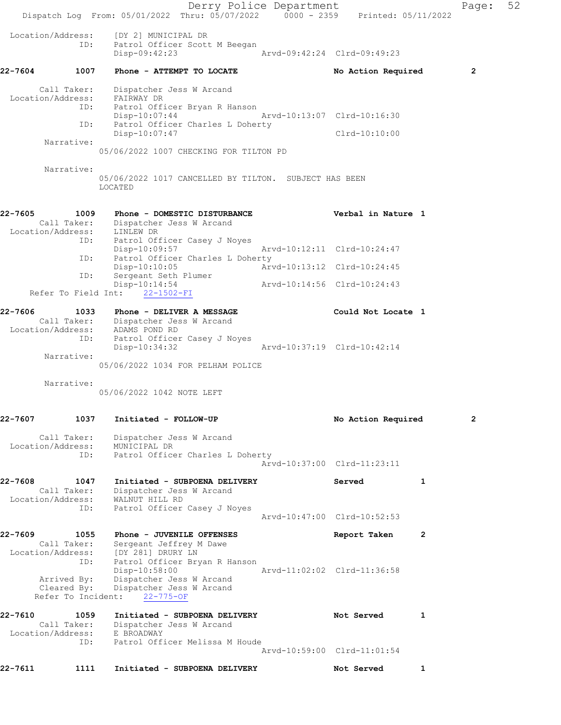|         |                                                  | Dispatch Log From: 05/01/2022 Thru: 05/07/2022 0000 - 2359 Printed: 05/11/2022                                                   | Derry Police Department     |                             |   | Page:          | 52 |
|---------|--------------------------------------------------|----------------------------------------------------------------------------------------------------------------------------------|-----------------------------|-----------------------------|---|----------------|----|
|         | Location/Address:<br>ID:                         | [DY 2] MUNICIPAL DR<br>Patrol Officer Scott M Beegan<br>Disp-09:42:23                                                            |                             | Arvd-09:42:24 Clrd-09:49:23 |   |                |    |
| 22-7604 | 1007                                             | Phone - ATTEMPT TO LOCATE                                                                                                        |                             | No Action Required          |   | $\overline{2}$ |    |
|         | Call Taker:<br>Location/Address:<br>ID:          | Dispatcher Jess W Arcand<br>FAIRWAY DR<br>ID: Patrol Officer Bryan R Hanson<br>Disp-10:07:44<br>Patrol Officer Charles L Doherty | Arvd-10:13:07 Clrd-10:16:30 |                             |   |                |    |
|         | Narrative:                                       | Disp-10:07:47                                                                                                                    |                             | Clrd-10:10:00               |   |                |    |
|         |                                                  | 05/06/2022 1007 CHECKING FOR TILTON PD                                                                                           |                             |                             |   |                |    |
|         | Narrative:                                       | 05/06/2022 1017 CANCELLED BY TILTON. SUBJECT HAS BEEN<br>LOCATED                                                                 |                             |                             |   |                |    |
| 22-7605 |                                                  | 1009 Phone - DOMESTIC DISTURBANCE                                                                                                |                             | Verbal in Nature 1          |   |                |    |
|         |                                                  | Call Taker: Dispatcher Jess W Arcand<br>Location/Address: LINLEW DR<br>ID: Patrol Officer Casey J Noyes                          |                             |                             |   |                |    |
|         | ID:                                              | Disp-10:09:57<br>Patrol Officer Charles L Doherty                                                                                |                             | Arvd-10:12:11 Clrd-10:24:47 |   |                |    |
|         | ID:                                              | $Disp-10:10:05$<br>Sergeant Seth Plumer                                                                                          | Arvd-10:13:12 Clrd-10:24:45 |                             |   |                |    |
|         |                                                  | Disp-10:14:54<br>Refer To Field Int: 22-1502-FI                                                                                  | Arvd-10:14:56 Clrd-10:24:43 |                             |   |                |    |
| 22-7606 | Location/Address:                                | 1033 Phone - DELIVER A MESSAGE<br>Call Taker: Dispatcher Jess W Arcand<br>ADAMS POND RD                                          |                             | Could Not Locate 1          |   |                |    |
|         | ID:<br>Narrative:                                | Patrol Officer Casey J Noyes<br>Disp-10:34:32                                                                                    | Arvd-10:37:19 Clrd-10:42:14 |                             |   |                |    |
|         | Narrative:                                       | 05/06/2022 1034 FOR PELHAM POLICE<br>05/06/2022 1042 NOTE LEFT                                                                   |                             |                             |   |                |    |
| 22-7607 | 1037                                             | Initiated - FOLLOW-UP                                                                                                            |                             | No Action Required          |   | $\overline{2}$ |    |
|         | Call Taker:<br>Location/Address:<br>ID:          | Dispatcher Jess W Arcand<br>MUNICIPAL DR<br>Patrol Officer Charles L Doherty                                                     |                             |                             |   |                |    |
|         |                                                  |                                                                                                                                  |                             | Arvd-10:37:00 Clrd-11:23:11 |   |                |    |
| 22-7608 | 1047<br>Call Taker:<br>Location/Address:<br>ID:  | Initiated - SUBPOENA DELIVERY<br>Dispatcher Jess W Arcand<br>WALNUT HILL RD<br>Patrol Officer Casey J Noyes                      |                             | Served                      | 1 |                |    |
|         |                                                  |                                                                                                                                  |                             | Arvd-10:47:00 Clrd-10:52:53 |   |                |    |
| 22-7609 | 1055<br>Call Taker:<br>Location/Address:<br>ID:  | Phone - JUVENILE OFFENSES<br>Sergeant Jeffrey M Dawe<br>[DY 281] DRURY LN<br>Patrol Officer Bryan R Hanson                       |                             | Report Taken                | 2 |                |    |
|         | Arrived By:<br>Cleared By:<br>Refer To Incident: | Disp-10:58:00<br>Dispatcher Jess W Arcand<br>Dispatcher Jess W Arcand<br>$22 - 775 - OF$                                         |                             | Arvd-11:02:02 Clrd-11:36:58 |   |                |    |
| 22-7610 | 1059<br>Call Taker:<br>ID:                       | Initiated - SUBPOENA DELIVERY<br>Dispatcher Jess W Arcand<br>Location/Address: E BROADWAY<br>Patrol Officer Melissa M Houde      |                             | Not Served                  | 1 |                |    |
|         |                                                  |                                                                                                                                  |                             | Arvd-10:59:00 Clrd-11:01:54 |   |                |    |
| 22-7611 | 1111                                             | Initiated - SUBPOENA DELIVERY                                                                                                    |                             | Not Served                  | 1 |                |    |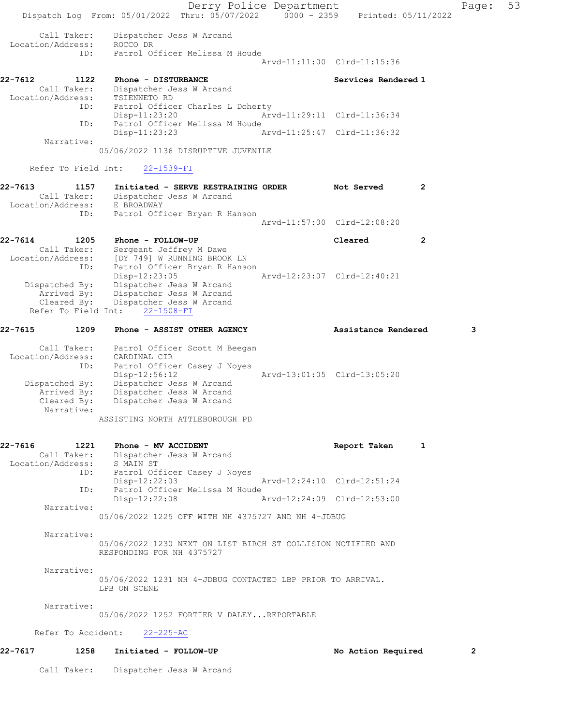Derry Police Department Page: 53 Dispatch Log From: 05/01/2022 Thru: 05/07/2022 0000 - 2359 Printed: 05/11/2022 Call Taker: Dispatcher Jess W Arcand Location/Address: ROCCO DR ID: Patrol Officer Melissa M Houde Arvd-11:11:00 Clrd-11:15:36 22-7612 1122 Phone - DISTURBANCE Services Rendered 1 Call Taker: Dispatcher Jess W Arcand Location/Address: TSIENNETO RD<br>ID: Patrol Office Patrol Officer Charles L Doherty Disp-11:23:20 Arvd-11:29:11 Clrd-11:36:34 ID: Patrol Officer Melissa M Houde<br>Disp-11:23:23 A: Disp-11:23:23 Arvd-11:25:47 Clrd-11:36:32 Narrative: 05/06/2022 1136 DISRUPTIVE JUVENILE Refer To Field Int: 22-1539-FI 22-7613 1157 Initiated - SERVE RESTRAINING ORDER Not Served 2 Call Taker: Dispatcher Jess W Arcand Location/Address: E BROADWAY ID: Patrol Officer Bryan R Hanson Arvd-11:57:00 Clrd-12:08:20 22-7614 1205 Phone - FOLLOW-UP Cleared 2 Call Taker: Sergeant Jeffrey M Dawe Location/Address: [DY 749] W RUNNING BROOK LN ID: Patrol Officer Bryan R Hanson<br>Disp-12:23:05<br>Arvd-12:23:07 Clrd-12:40:21 Disp-12:23:05 Arvd-12:23:07 Clrd-12:40:21 Dispatched By: Dispatcher Jess W Arcand Arrived By: Dispatcher Jess W Arcand Cleared By: Dispatcher Jess W Arcand Refer To Field Int: 22-1508-FI 22-7615 1209 Phone - ASSIST OTHER AGENCY **1208** Assistance Rendered 3 Call Taker: Patrol Officer Scott M Beegan Location/Address: CARDINAL CIR ID: Patrol Officer Casey J Noyes Disp-12:56:12 Arvd-13:01:05 Clrd-13:05:20 Dispatched By: Dispatcher Jess W Arcand Arrived By: Dispatcher Jess W Arcand Cleared By: Dispatcher Jess W Arcand Narrative: ASSISTING NORTH ATTLEBOROUGH PD 22-7616 1221 Phone - MV ACCIDENT 1 22-7616 Report Taken 1 Call Taker: Dispatcher Jess W Arcand Location/Address: S MAIN ST ID: Patrol Officer Casey J Noyes Disp-12:22:03 Arvd-12:24:10 Clrd-12:51:24<br>ID: Patrol Officer Melissa M Houde Patrol Officer Melissa M Houde<br>Disp-12:22:08 A Disp-12:22:08 Arvd-12:24:09 Clrd-12:53:00 Narrative: 05/06/2022 1225 OFF WITH NH 4375727 AND NH 4-JDBUG Narrative: 05/06/2022 1230 NEXT ON LIST BIRCH ST COLLISION NOTIFIED AND RESPONDING FOR NH 4375727 Narrative: 05/06/2022 1231 NH 4-JDBUG CONTACTED LBP PRIOR TO ARRIVAL. LPB ON SCENE Narrative: 05/06/2022 1252 FORTIER V DALEY...REPORTABLE Refer To Accident: 22-225-AC 22-7617 1258 Initiated - FOLLOW-UP No Action Required 2 Call Taker: Dispatcher Jess W Arcand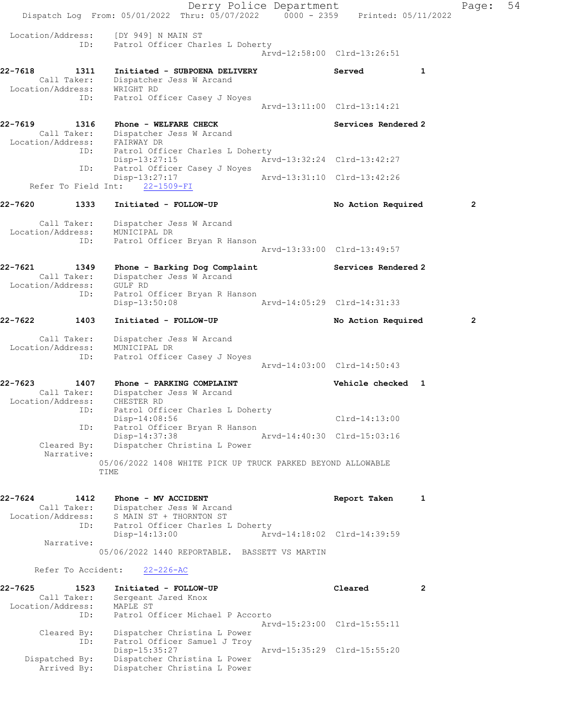Derry Police Department Fage: 54 Dispatch Log From: 05/01/2022 Thru: 05/07/2022 0000 - 2359 Printed: 05/11/2022 Location/Address: [DY 949] N MAIN ST ID: Patrol Officer Charles L Doherty Arvd-12:58:00 Clrd-13:26:51 22-7618 1311 Initiated - SUBPOENA DELIVERY Served 1 Call Taker: Dispatcher Jess W Arcand Location/Address: WRIGHT RD ID: Patrol Officer Casey J Noyes Arvd-13:11:00 Clrd-13:14:21 22-7619 1316 Phone - WELFARE CHECK Services Rendered 2 Call Taker: Dispatcher Jess W Arcand Location/Address: FAIRWAY DR ID: Patrol Officer Charles L Doherty Disp-13:27:15 Arvd-13:32:24 Clrd-13:42:27 ID: Patrol Officer Casey J Noyes<br>Disp-13:27:17 PIT Arvd-13:31:10 Clrd-13:42:26 Refer To Field Int: 22-1509-FI 22-7620 1333 Initiated - FOLLOW-UP No Action Required 2 Call Taker: Dispatcher Jess W Arcand Location/Address: MUNICIPAL DR ID: Patrol Officer Bryan R Hanson Arvd-13:33:00 Clrd-13:49:57 22-7621 1349 Phone - Barking Dog Complaint Services Rendered 2 Call Taker: Dispatcher Jess W Arcand Location/Address: GULF RD ID: Patrol Officer Bryan R Hanson Disp-13:50:08 Arvd-14:05:29 Clrd-14:31:33 22-7622 1403 Initiated - FOLLOW-UP No Action Required 2 Call Taker: Dispatcher Jess W Arcand Location/Address: MUNICIPAL DR ID: Patrol Officer Casey J Noyes Arvd-14:03:00 Clrd-14:50:43 22-7623 1407 Phone - PARKING COMPLAINT Nehicle checked 1 Call Taker: Dispatcher Jess W Arcand Location/Address: CHESTER RD ID: Patrol Officer Charles L Doherty Disp-14:08:56 Clrd-14:13:00 ID: Patrol Officer Bryan R Hanson Disp-14:37:38 Arvd-14:40:30 Clrd-15:03:16 Cleared By: Dispatcher Christina L Power Narrative: 05/06/2022 1408 WHITE PICK UP TRUCK PARKED BEYOND ALLOWABLE TIME 22-7624 1412 Phone - MV ACCIDENT 1 1 Report Taken 1 Call Taker: Dispatcher Jess W Arcand Location/Address: S MAIN ST + THORNTON ST ID: Patrol Officer Charles L Doherty Disp-14:13:00 Arvd-14:18:02 Clrd-14:39:59 Narrative: 05/06/2022 1440 REPORTABLE. BASSETT VS MARTIN Refer To Accident: 22-226-AC 22-7625 1523 Initiated - FOLLOW-UP Cleared 2 Call Taker: Sergeant Jared Knox Location/Address: MAPLE ST ID: Patrol Officer Michael P Accorto<br>Arvd-15:23:00 Clrd-15:55:11 Arvd-15:23:00 Clrd-15:55:11 Cleared By: Dispatcher Christina L Power ID: Patrol Officer Samuel J Troy Disp-15:35:27 Arvd-15:35:29 Clrd-15:55:20 Dispatched By: Dispatcher Christina L Power Arrived By: Dispatcher Christina L Power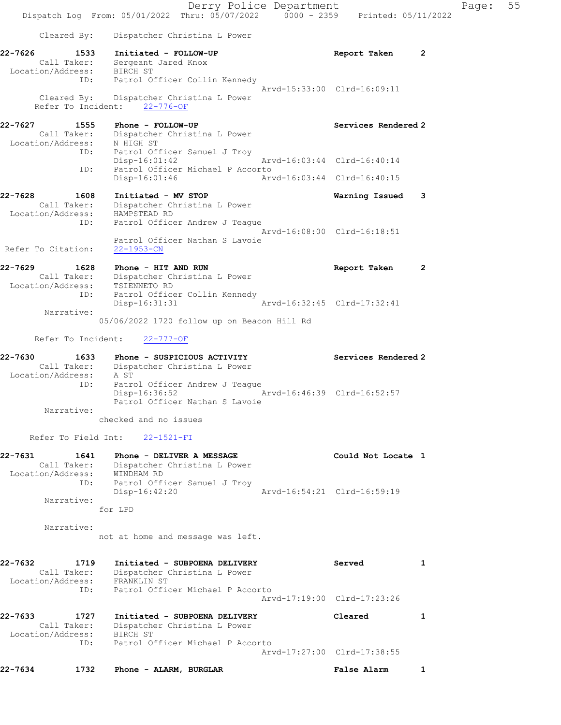Derry Police Department Fage: 55 Dispatch Log From: 05/01/2022 Thru: 05/07/2022 0000 - 2359 Printed: 05/11/2022 Cleared By: Dispatcher Christina L Power 22-7626 1533 Initiated - FOLLOW-UP Report Taken 2 Call Taker: Sergeant Jared Knox Location/Address: BIRCH ST ID: Patrol Officer Collin Kennedy Arvd-15:33:00 Clrd-16:09:11 Cleared By: Dispatcher Christina L Power Refer To Incident: 22-776-OF 22-7627 1555 Phone - FOLLOW-UP Services Rendered 2 Call Taker: Dispatcher Christina L Power Location/Address: N HIGH ST ID: Patrol Officer Samuel J Troy Disp-16:01:42 Arvd-16:03:44 Clrd-16:40:14 ID: Patrol Officer Michael P Accorto Disp-16:01:46 Arvd-16:03:44 Clrd-16:40:15 22-7628 1608 Initiated - MV STOP Warning Issued 3 Call Taker: Dispatcher Christina L Power Location/Address: HAMPSTEAD RD ID: Patrol Officer Andrew J Teague Arvd-16:08:00 Clrd-16:18:51 Patrol Officer Nathan S Lavoie Refer To Citation: 22-1953-CN 22-7629 1628 Phone - HIT AND RUN Report Taken 2 Call Taker: Dispatcher Christina L Power Location/Address: TSIENNETO RD ID: Patrol Officer Collin Kennedy Disp-16:31:31 Arvd-16:32:45 Clrd-17:32:41 Narrative: 05/06/2022 1720 follow up on Beacon Hill Rd Refer To Incident: 22-777-OF 22-7630 1633 Phone - SUSPICIOUS ACTIVITY Services Rendered 2 Call Taker: Dispatcher Christina L Power Location/Address: A ST ID: Patrol Officer Andrew J Teague Disp-16:36:52 Arvd-16:46:39 Clrd-16:52:57 Patrol Officer Nathan S Lavoie Narrative: checked and no issues Refer To Field Int: 22-1521-FI 22-7631 1641 Phone - DELIVER A MESSAGE 1 Could Not Locate 1 Call Taker: Dispatcher Christina L Power Location/Address: WINDHAM RD ID: Patrol Officer Samuel J Troy Disp-16:42:20 Arvd-16:54:21 Clrd-16:59:19 Narrative: for LPD Narrative: not at home and message was left. 22-7632 1719 Initiated - SUBPOENA DELIVERY Served 1 Call Taker: Dispatcher Christina L Power Location/Address: FRANKLIN ST ID: Patrol Officer Michael P Accorto Arvd-17:19:00 Clrd-17:23:26 22-7633 1727 Initiated - SUBPOENA DELIVERY Cleared 1 Call Taker: Dispatcher Christina L Power Location/Address: BIRCH ST ID: Patrol Officer Michael P Accorto Arvd-17:27:00 Clrd-17:38:55 22-7634 1732 Phone - ALARM, BURGLAR False Alarm 1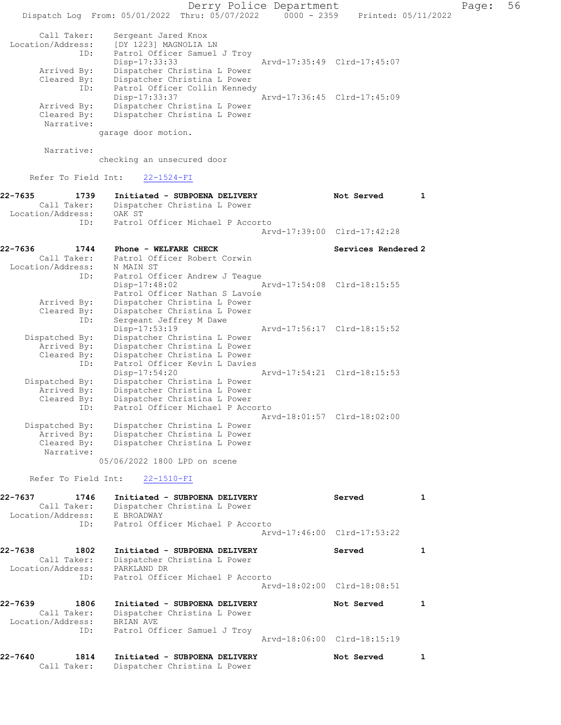|                                         |                                                                                | Derry Police Department |                             |   | Page: | 56 |
|-----------------------------------------|--------------------------------------------------------------------------------|-------------------------|-----------------------------|---|-------|----|
|                                         | Dispatch Log From: 05/01/2022 Thru: 05/07/2022 0000 - 2359 Printed: 05/11/2022 |                         |                             |   |       |    |
| Call Taker:<br>Location/Address:<br>ID: | Sergeant Jared Knox<br>[DY 1223] MAGNOLIA LN<br>Patrol Officer Samuel J Troy   |                         |                             |   |       |    |
|                                         | Disp-17:33:33                                                                  |                         | Arvd-17:35:49 Clrd-17:45:07 |   |       |    |
| Arrived By:                             | Dispatcher Christina L Power                                                   |                         |                             |   |       |    |
| Cleared By:<br>ID:                      | Dispatcher Christina L Power<br>Patrol Officer Collin Kennedy                  |                         |                             |   |       |    |
|                                         | $Disp-17:33:37$                                                                |                         | Arvd-17:36:45 Clrd-17:45:09 |   |       |    |
| Arrived By:                             | Dispatcher Christina L Power                                                   |                         |                             |   |       |    |
| Cleared By:<br>Narrative:               | Dispatcher Christina L Power                                                   |                         |                             |   |       |    |
|                                         | garage door motion.                                                            |                         |                             |   |       |    |
|                                         |                                                                                |                         |                             |   |       |    |
| Narrative:                              | checking an unsecured door                                                     |                         |                             |   |       |    |
| Refer To Field Int:                     | $22 - 1524 - FI$                                                               |                         |                             |   |       |    |
| 22-7635<br>1739                         | Initiated - SUBPOENA DELIVERY                                                  |                         | Not Served                  | 1 |       |    |
| Call Taker:<br>Location/Address:        | Dispatcher Christina L Power<br>OAK ST                                         |                         |                             |   |       |    |
| ID:                                     | Patrol Officer Michael P Accorto                                               |                         |                             |   |       |    |
|                                         |                                                                                |                         | Arvd-17:39:00 Clrd-17:42:28 |   |       |    |
| 22-7636<br>1744                         | Phone - WELFARE CHECK                                                          |                         | Services Rendered 2         |   |       |    |
| Call Taker:                             | Patrol Officer Robert Corwin                                                   |                         |                             |   |       |    |
| Location/Address:                       | N MAIN ST                                                                      |                         |                             |   |       |    |
| ID:                                     | Patrol Officer Andrew J Teague<br>$Disp-17:48:02$                              |                         | Arvd-17:54:08 Clrd-18:15:55 |   |       |    |
|                                         | Patrol Officer Nathan S Lavoie                                                 |                         |                             |   |       |    |
| Arrived By:                             | Dispatcher Christina L Power                                                   |                         |                             |   |       |    |
| Cleared By:<br>ID:                      | Dispatcher Christina L Power<br>Sergeant Jeffrey M Dawe                        |                         |                             |   |       |    |
|                                         | Disp-17:53:19                                                                  |                         | Arvd-17:56:17 Clrd-18:15:52 |   |       |    |
| Dispatched By:                          | Dispatcher Christina L Power                                                   |                         |                             |   |       |    |
| Arrived By:<br>Cleared By:              | Dispatcher Christina L Power<br>Dispatcher Christina L Power                   |                         |                             |   |       |    |
| ID:                                     | Patrol Officer Kevin L Davies                                                  |                         |                             |   |       |    |
|                                         | $Disp-17:54:20$                                                                |                         | Arvd-17:54:21 Clrd-18:15:53 |   |       |    |
| Dispatched By:<br>Arrived By:           | Dispatcher Christina L Power<br>Dispatcher Christina L Power                   |                         |                             |   |       |    |
| Cleared By:                             | Dispatcher Christina L Power                                                   |                         |                             |   |       |    |
| ID:                                     | Patrol Officer Michael P Accorto                                               |                         |                             |   |       |    |
| Dispatched By:                          | Dispatcher Christina L Power                                                   |                         | Arvd-18:01:57 Clrd-18:02:00 |   |       |    |
| Arrived By:                             | Dispatcher Christina L Power                                                   |                         |                             |   |       |    |
| Cleared By:                             | Dispatcher Christina L Power                                                   |                         |                             |   |       |    |
| Narrative:                              | 05/06/2022 1800 LPD on scene                                                   |                         |                             |   |       |    |
|                                         |                                                                                |                         |                             |   |       |    |
| Refer To Field Int:                     | $22 - 1510 - FI$                                                               |                         |                             |   |       |    |
| 22-7637<br>1746<br>Call Taker:          | Initiated - SUBPOENA DELIVERY<br>Dispatcher Christina L Power                  |                         | Served                      | 1 |       |    |
| Location/Address:                       | E BROADWAY                                                                     |                         |                             |   |       |    |
| ID:                                     | Patrol Officer Michael P Accorto                                               |                         |                             |   |       |    |
|                                         |                                                                                |                         | Arvd-17:46:00 Clrd-17:53:22 |   |       |    |
| 22-7638<br>1802                         | Initiated - SUBPOENA DELIVERY                                                  |                         | Served                      | 1 |       |    |
| Call Taker:                             | Dispatcher Christina L Power                                                   |                         |                             |   |       |    |
| Location/Address:<br>ID:                | PARKLAND DR<br>Patrol Officer Michael P Accorto                                |                         |                             |   |       |    |
|                                         |                                                                                |                         | Arvd-18:02:00 Clrd-18:08:51 |   |       |    |
|                                         |                                                                                |                         |                             |   |       |    |
| 22-7639<br>1806<br>Call Taker:          | Initiated - SUBPOENA DELIVERY                                                  |                         | Not Served                  | 1 |       |    |
| Location/Address:                       | Dispatcher Christina L Power<br>BRIAN AVE                                      |                         |                             |   |       |    |
| ID:                                     | Patrol Officer Samuel J Troy                                                   |                         |                             |   |       |    |
|                                         |                                                                                |                         | Arvd-18:06:00 Clrd-18:15:19 |   |       |    |
| 22-7640<br>1814                         | Initiated - SUBPOENA DELIVERY                                                  |                         | Not Served                  | 1 |       |    |
| Call Taker:                             | Dispatcher Christina L Power                                                   |                         |                             |   |       |    |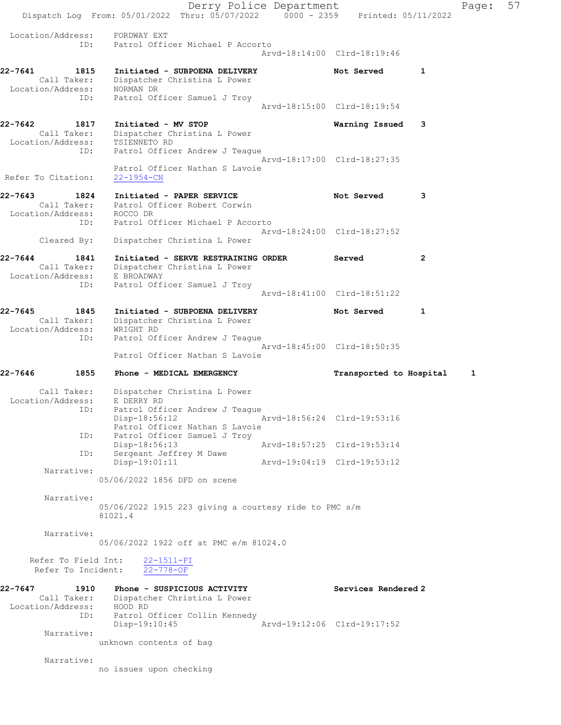|                                             |             | Dispatch Log From: 05/01/2022 Thru: 05/07/2022 0000 - 2359 Printed: 05/11/2022                                                       | Derry Police Department |                                                    |                | Page: | 57 |
|---------------------------------------------|-------------|--------------------------------------------------------------------------------------------------------------------------------------|-------------------------|----------------------------------------------------|----------------|-------|----|
| Location/Address:                           | ID:         | FORDWAY EXT<br>Patrol Officer Michael P Accorto                                                                                      |                         | Arvd-18:14:00 Clrd-18:19:46                        |                |       |    |
| 22-7641                                     | 1815        | Initiated - SUBPOENA DELIVERY<br>Call Taker: Dispatcher Christina L Power                                                            |                         | Not Served                                         | 1              |       |    |
| Location/Address: NORMAN DR                 | ID:         | Patrol Officer Samuel J Troy                                                                                                         |                         | Arvd-18:15:00 Clrd-18:19:54                        |                |       |    |
| 22-7642<br>Call Taker:                      | 1817        | Initiated - MV STOP<br>Dispatcher Christina L Power<br>Location/Address: TSIENNETO RD                                                |                         | Warning Issued                                     | 3              |       |    |
| Refer To Citation:                          | ID:         | Patrol Officer Andrew J Teague<br>Patrol Officer Nathan S Lavoie<br>$22 - 1954 - CN$                                                 |                         | Arvd-18:17:00 Clrd-18:27:35                        |                |       |    |
| 22-7643<br>Location/Address: ROCCO DR       | 1824        | Initiated - PAPER SERVICE<br>Call Taker: Patrol Officer Robert Corwin                                                                |                         | Not Served                                         | 3              |       |    |
| Cleared By:                                 | ID:         | Patrol Officer Michael P Accorto<br>Dispatcher Christina L Power                                                                     |                         | Arvd-18:24:00 Clrd-18:27:52                        |                |       |    |
| $22 - 7644$<br>Location/Address: E BROADWAY | 1841        | Initiated - SERVE RESTRAINING ORDER<br>Call Taker: Dispatcher Christina L Power                                                      |                         | Served                                             | $\overline{2}$ |       |    |
|                                             | ID:         | Patrol Officer Samuel J Troy                                                                                                         |                         | Arvd-18:41:00 Clrd-18:51:22                        |                |       |    |
| 22-7645<br>Location/Address: WRIGHT RD      | 1845<br>ID: | Initiated - SUBPOENA DELIVERY<br>Call Taker: Dispatcher Christina L Power                                                            |                         | Not Served                                         | 1              |       |    |
|                                             |             | Patrol Officer Andrew J Teague<br>Patrol Officer Nathan S Lavoie                                                                     |                         | Arvd-18:45:00 Clrd-18:50:35                        |                |       |    |
| 22-7646                                     | 1855        | Phone - MEDICAL EMERGENCY                                                                                                            |                         | Transported to Hospital                            |                | 1     |    |
| Call Taker:<br>Location/Address:<br>ID:     |             | Dispatcher Christina L Power<br>E DERRY RD<br>Patrol Officer Andrew J Teague<br>Disp-18:56:12                                        |                         | Arvd-18:56:24 Clrd-19:53:16                        |                |       |    |
|                                             | ID:         | Patrol Officer Nathan S Lavoie<br>Patrol Officer Samuel J Troy<br>Disp-18:56:13                                                      |                         | Arvd-18:57:25 Clrd-19:53:14                        |                |       |    |
| Narrative:                                  | ID:         | Sergeant Jeffrey M Dawe<br>Disp-19:01:11                                                                                             |                         | Arvd-19:04:19 Clrd-19:53:12                        |                |       |    |
| Narrative:                                  |             | 05/06/2022 1856 DFD on scene                                                                                                         |                         |                                                    |                |       |    |
|                                             |             | $05/06/2022$ 1915 223 giving a courtesy ride to PMC s/m<br>81021.4                                                                   |                         |                                                    |                |       |    |
| Narrative:                                  |             | 05/06/2022 1922 off at PMC e/m 81024.0                                                                                               |                         |                                                    |                |       |    |
| Refer To Field Int:<br>Refer To Incident:   |             | $22 - 1511 - FI$<br>$22 - 778 - OF$                                                                                                  |                         |                                                    |                |       |    |
| 22-7647<br>Location/Address:                | 1910<br>ID: | Phone - SUSPICIOUS ACTIVITY<br>Call Taker: Dispatcher Christina L Power<br>HOOD RD<br>Patrol Officer Collin Kennedy<br>Disp-19:10:45 |                         | Services Rendered 2<br>Arvd-19:12:06 Clrd-19:17:52 |                |       |    |
| Narrative:                                  |             | unknown contents of bag                                                                                                              |                         |                                                    |                |       |    |
| Narrative:                                  |             | no issues upon checking                                                                                                              |                         |                                                    |                |       |    |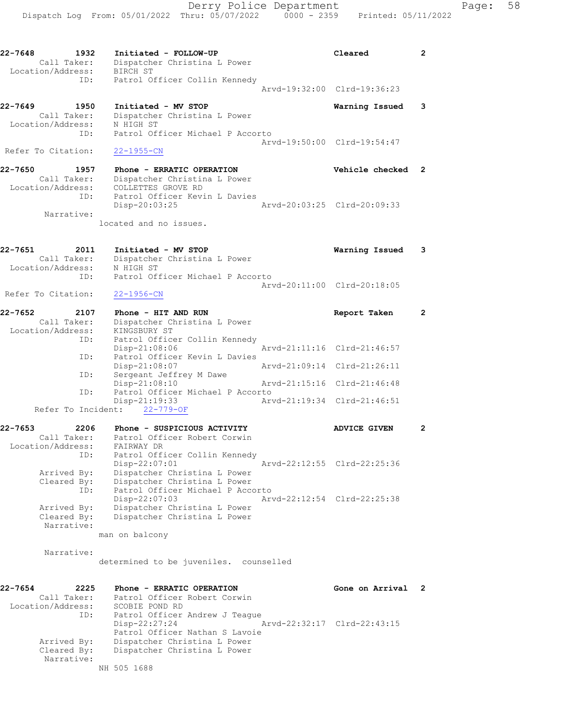Arvd-19:32:00 Clrd-19:36:23

22-7649 1950 Initiated - MV STOP Warning Issued 3 Call Taker: Dispatcher Christina L Power Location/Address: N HIGH ST ID: Patrol Officer Michael P Accorto Arvd-19:50:00 Clrd-19:54:47 Refer To Citation: 22-1955-CN

22-7650 1957 Phone - ERRATIC OPERATION Vehicle checked 2 Call Taker: Dispatcher Christina L Power Location/Address: COLLETTES GROVE RD ID: Patrol Officer Kevin L Davies Disp-20:03:25 Arvd-20:03:25 Clrd-20:09:33 Narrative:

located and no issues.

### 22-7651 2011 Initiated - MV STOP Warning Issued 3 Call Taker: Dispatcher Christina L Power Location/Address: N HIGH ST ID: Patrol Officer Michael P Accorto Arvd-20:11:00 Clrd-20:18:05

Refer To Citation: 22-1956-CN

Location/Address: BIRCH ST

| 22-7652           | 2107        | Phone - HIT AND RUN              | Report Taken                | 2 |
|-------------------|-------------|----------------------------------|-----------------------------|---|
|                   | Call Taker: | Dispatcher Christina L Power     |                             |   |
| Location/Address: |             | KINGSBURY ST                     |                             |   |
|                   | ID:         | Patrol Officer Collin Kennedy    |                             |   |
|                   |             | $Disp-21:08:06$                  | Arvd-21:11:16 Clrd-21:46:57 |   |
|                   | ID:         | Patrol Officer Kevin L Davies    |                             |   |
|                   |             | $Disp-21:08:07$                  | Arvd-21:09:14 Clrd-21:26:11 |   |
|                   | ID:         | Sergeant Jeffrey M Dawe          |                             |   |
|                   |             | Disp-21:08:10                    | Arvd-21:15:16 Clrd-21:46:48 |   |
|                   | ID:         | Patrol Officer Michael P Accorto |                             |   |
|                   |             | $Disp-21:19:33$                  | Arvd-21:19:34 Clrd-21:46:51 |   |
|                   |             | Refer To Incident: 22-779-OF     |                             |   |

#### 22-7653 2206 Phone - SUSPICIOUS ACTIVITY ADVICE GIVEN 2 Call Taker: Patrol Officer Robert Corwin Location/Address: FAIRWAY DR ID: Patrol Officer Collin Kennedy Disp-22:07:01 Arvd-22:12:55 Clrd-22:25:36 Arrived By: Dispatcher Christina L Power Cleared By: Dispatcher Christina L Power ID: Patrol Officer Michael P Accorto Disp-22:07:03 Arvd-22:12:54 Clrd-22:25:38 Arrived By: Dispatcher Christina L Power Cleared By: Dispatcher Christina L Power Narrative:

man on balcony

Narrative:

determined to be juveniles. counselled

| 22-7654           | 2225        | Phone - ERRATIC OPERATION    |                                | Gone on Arrival 2           |  |
|-------------------|-------------|------------------------------|--------------------------------|-----------------------------|--|
|                   | Call Taker: | Patrol Officer Robert Corwin |                                |                             |  |
| Location/Address: |             | SCOBIE POND RD               |                                |                             |  |
|                   | ID:         |                              | Patrol Officer Andrew J Teague |                             |  |
|                   |             | Disp-22:27:24                |                                | Arvd-22:32:17 Clrd-22:43:15 |  |
|                   |             |                              | Patrol Officer Nathan S Lavoie |                             |  |
| Arrived By:       |             | Dispatcher Christina L Power |                                |                             |  |
| Cleared By:       |             | Dispatcher Christina L Power |                                |                             |  |
|                   | Narrative:  |                              |                                |                             |  |
|                   |             | NH 505 1688                  |                                |                             |  |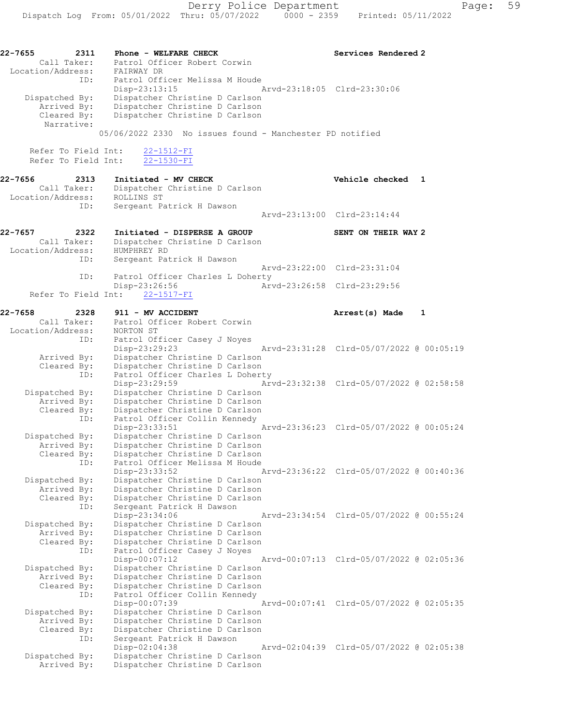| 22-7655<br>Call Taker:<br>Location/Address: | 2311        | Phone - WELFARE CHECK<br>Patrol Officer Robert Corwin<br>FAIRWAY DR                                                 | Services Rendered 2                      |
|---------------------------------------------|-------------|---------------------------------------------------------------------------------------------------------------------|------------------------------------------|
| Dispatched By:<br>Arrived By:               | ID:         | Patrol Officer Melissa M Houde<br>Disp-23:13:15<br>Dispatcher Christine D Carlson<br>Dispatcher Christine D Carlson | Arvd-23:18:05 Clrd-23:30:06              |
| Cleared By:<br>Narrative:                   |             | Dispatcher Christine D Carlson                                                                                      |                                          |
|                                             |             | 05/06/2022 2330 No issues found - Manchester PD notified                                                            |                                          |
| Refer To Field Int:                         |             | $22 - 1512 - FI$                                                                                                    |                                          |
| Refer To Field Int:                         |             | 22-1530-FI                                                                                                          |                                          |
| 22-7656                                     | 2313        | Initiated - MV CHECK                                                                                                | Vehicle checked<br>1                     |
| Call Taker:<br>Location/Address:            |             | Dispatcher Christine D Carlson<br>ROLLINS ST                                                                        |                                          |
|                                             | ID:         | Sergeant Patrick H Dawson                                                                                           |                                          |
|                                             |             |                                                                                                                     | Arvd-23:13:00 Clrd-23:14:44              |
| 22-7657<br>Call Taker:<br>Location/Address: | 2322<br>ID: | Initiated - DISPERSE A GROUP<br>Dispatcher Christine D Carlson<br>HUMPHREY RD<br>Sergeant Patrick H Dawson          | SENT ON THEIR WAY 2                      |
|                                             |             |                                                                                                                     | Arvd-23:22:00 Clrd-23:31:04              |
|                                             | ID:         | Patrol Officer Charles L Doherty<br>Disp-23:26:56                                                                   | Arvd-23:26:58 Clrd-23:29:56              |
| Refer To Field Int:                         |             | $22 - 1517 - FI$                                                                                                    |                                          |
| 22-7658                                     | 2328        | 911 - MV ACCIDENT                                                                                                   | Arrest(s) Made<br>1                      |
| Call Taker:<br>Location/Address:            |             | Patrol Officer Robert Corwin<br>NORTON ST                                                                           |                                          |
|                                             | ID:         | Patrol Officer Casey J Noyes                                                                                        |                                          |
| Arrived By:                                 |             | $Disp-23:29:23$<br>Dispatcher Christine D Carlson                                                                   | Arvd-23:31:28 Clrd-05/07/2022 @ 00:05:19 |
| Cleared By:                                 |             | Dispatcher Christine D Carlson                                                                                      |                                          |
|                                             | ID:         | Patrol Officer Charles L Doherty<br>Disp-23:29:59                                                                   | Arvd-23:32:38 Clrd-05/07/2022 @ 02:58:58 |
| Dispatched By:                              |             | Dispatcher Christine D Carlson                                                                                      |                                          |
| Arrived By:<br>Cleared By:                  |             | Dispatcher Christine D Carlson<br>Dispatcher Christine D Carlson                                                    |                                          |
|                                             | ID:         | Patrol Officer Collin Kennedy                                                                                       |                                          |
| Dispatched By:                              |             | $Disp-23:33:51$<br>Dispatcher Christine D Carlson                                                                   | Arvd-23:36:23 Clrd-05/07/2022 @ 00:05:24 |
| Arrived By:                                 |             | Dispatcher Christine D Carlson                                                                                      |                                          |
| Cleared By:                                 |             | Dispatcher Christine D Carlson                                                                                      |                                          |
|                                             | ID:         | Patrol Officer Melissa M Houde<br>Disp-23:33:52                                                                     | Arvd-23:36:22 Clrd-05/07/2022 @ 00:40:36 |
| Dispatched By:                              |             | Dispatcher Christine D Carlson                                                                                      |                                          |
| Arrived By:                                 |             | Dispatcher Christine D Carlson                                                                                      |                                          |
| Cleared By:                                 | ID:         | Dispatcher Christine D Carlson<br>Sergeant Patrick H Dawson                                                         |                                          |
|                                             |             | Disp-23:34:06                                                                                                       | Arvd-23:34:54 Clrd-05/07/2022 @ 00:55:24 |
| Dispatched By:                              |             | Dispatcher Christine D Carlson                                                                                      |                                          |
| Arrived By:                                 |             | Dispatcher Christine D Carlson                                                                                      |                                          |
| Cleared By:                                 | ID:         | Dispatcher Christine D Carlson<br>Patrol Officer Casey J Noyes                                                      |                                          |
|                                             |             | Disp-00:07:12                                                                                                       | Arvd-00:07:13 Clrd-05/07/2022 @ 02:05:36 |
| Dispatched By:                              |             | Dispatcher Christine D Carlson                                                                                      |                                          |
| Arrived By:<br>Cleared By:                  |             | Dispatcher Christine D Carlson<br>Dispatcher Christine D Carlson                                                    |                                          |
|                                             | ID:         | Patrol Officer Collin Kennedy                                                                                       |                                          |
|                                             |             | Disp-00:07:39                                                                                                       | Arvd-00:07:41 Clrd-05/07/2022 @ 02:05:35 |
| Dispatched By:                              |             | Dispatcher Christine D Carlson                                                                                      |                                          |
| Arrived By:<br>Cleared By:                  |             | Dispatcher Christine D Carlson<br>Dispatcher Christine D Carlson                                                    |                                          |
|                                             | ID:         | Sergeant Patrick H Dawson                                                                                           |                                          |
| Dispatched By:                              |             | Disp-02:04:38<br>Dispatcher Christine D Carlson                                                                     | Arvd-02:04:39 Clrd-05/07/2022 @ 02:05:38 |
| Arrived By:                                 |             | Dispatcher Christine D Carlson                                                                                      |                                          |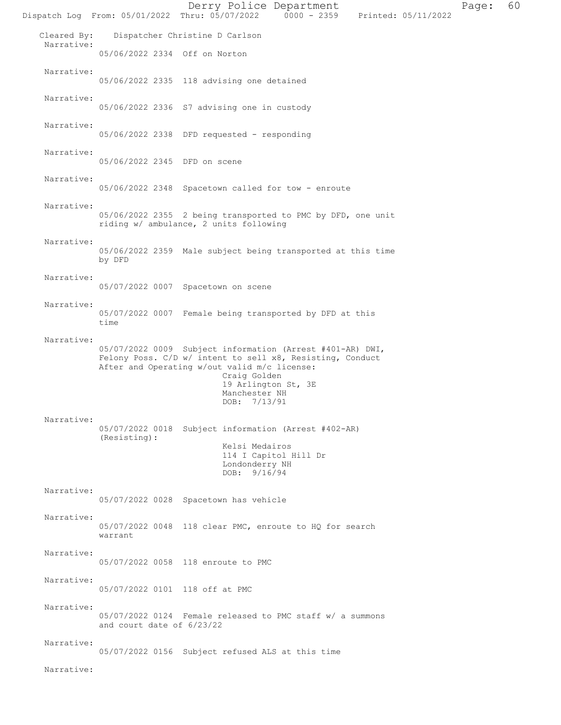Derry Police Department Page: 60 Dispatch Log From: 05/01/2022 Thru: 05/07/2022 Cleared By: Dispatcher Christine D Carlson Narrative: 05/06/2022 2334 Off on Norton Narrative: 05/06/2022 2335 118 advising one detained Narrative: 05/06/2022 2336 S7 advising one in custody Narrative: 05/06/2022 2338 DFD requested - responding Narrative: 05/06/2022 2345 DFD on scene Narrative: 05/06/2022 2348 Spacetown called for tow - enroute Narrative: 05/06/2022 2355 2 being transported to PMC by DFD, one unit riding w/ ambulance, 2 units following Narrative: 05/06/2022 2359 Male subject being transported at this time by DFD Narrative: 05/07/2022 0007 Spacetown on scene Narrative: 05/07/2022 0007 Female being transported by DFD at this time Narrative: 05/07/2022 0009 Subject information (Arrest #401-AR) DWI, Felony Poss. C/D w/ intent to sell x8, Resisting, Conduct After and Operating w/out valid m/c license: Craig Golden 19 Arlington St, 3E Manchester NH DOB: 7/13/91 Narrative: 05/07/2022 0018 Subject information (Arrest #402-AR) (Resisting): Kelsi Medairos 114 I Capitol Hill Dr Londonderry NH DOB: 9/16/94 Narrative: 05/07/2022 0028 Spacetown has vehicle Narrative: 05/07/2022 0048 118 clear PMC, enroute to HQ for search warrant Narrative: 05/07/2022 0058 118 enroute to PMC Narrative: 05/07/2022 0101 118 off at PMC Narrative: 05/07/2022 0124 Female released to PMC staff w/ a summons and court date of 6/23/22 Narrative: 05/07/2022 0156 Subject refused ALS at this time Narrative: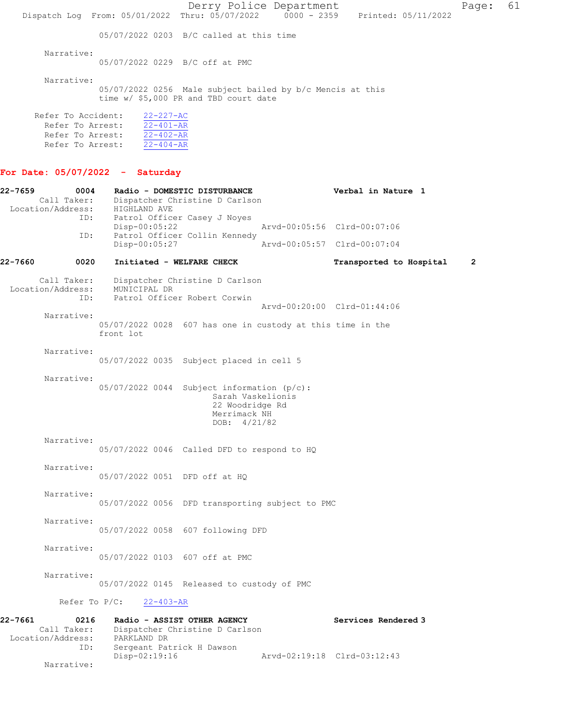|         |                                                                                |                                                                          | Derry Police Department                                                                                                | Dispatch Log From: 05/01/2022 Thru: 05/07/2022   0000 - 2359   Printed: 05/11/2022 | Page: | 61 |
|---------|--------------------------------------------------------------------------------|--------------------------------------------------------------------------|------------------------------------------------------------------------------------------------------------------------|------------------------------------------------------------------------------------|-------|----|
|         |                                                                                |                                                                          | 05/07/2022 0203 B/C called at this time                                                                                |                                                                                    |       |    |
|         | Narrative:                                                                     |                                                                          |                                                                                                                        |                                                                                    |       |    |
|         |                                                                                | 05/07/2022 0229 B/C off at PMC                                           |                                                                                                                        |                                                                                    |       |    |
|         | Narrative:                                                                     |                                                                          |                                                                                                                        |                                                                                    |       |    |
|         |                                                                                |                                                                          | 05/07/2022 0256 Male subject bailed by b/c Mencis at this<br>time w/ \$5,000 PR and TBD court date                     |                                                                                    |       |    |
|         | Refer To Accident:<br>Refer To Arrest:<br>Refer To Arrest:<br>Refer To Arrest: | $22 - 227 - AC$<br>$22 - 401 - AR$<br>$22 - 402 - AR$<br>$22 - 404 - AR$ |                                                                                                                        |                                                                                    |       |    |
|         |                                                                                | For Date: $05/07/2022 -$ Saturday                                        |                                                                                                                        |                                                                                    |       |    |
| 22-7659 | 0004<br>Call Taker:<br>Location/Address:                                       | HIGHLAND AVE                                                             | Radio - DOMESTIC DISTURBANCE<br>Dispatcher Christine D Carlson                                                         | Verbal in Nature 1                                                                 |       |    |
|         | ID:                                                                            | Disp-00:05:22                                                            | Patrol Officer Casey J Noyes                                                                                           | Arvd-00:05:56 Clrd-00:07:06                                                        |       |    |
|         | ID:                                                                            | Disp-00:05:27                                                            | Patrol Officer Collin Kennedy                                                                                          | Arvd-00:05:57 Clrd-00:07:04                                                        |       |    |
| 22-7660 | 0020                                                                           | Initiated - WELFARE CHECK                                                |                                                                                                                        | Transported to Hospital                                                            | 2     |    |
|         | Call Taker:                                                                    |                                                                          | Dispatcher Christine D Carlson                                                                                         |                                                                                    |       |    |
|         | Location/Address:<br>ID:                                                       | MUNICIPAL DR                                                             | Patrol Officer Robert Corwin                                                                                           |                                                                                    |       |    |
|         | Narrative:                                                                     |                                                                          |                                                                                                                        | Arvd-00:20:00 Clrd-01:44:06                                                        |       |    |
|         |                                                                                | front lot                                                                | 05/07/2022 0028 607 has one in custody at this time in the                                                             |                                                                                    |       |    |
|         | Narrative:                                                                     |                                                                          | 05/07/2022 0035 Subject placed in cell 5                                                                               |                                                                                    |       |    |
|         | Narrative:                                                                     |                                                                          | $05/07/2022$ 0044 Subject information (p/c):<br>Sarah Vaskelionis<br>22 Woodridge Rd<br>Merrimack NH<br>DOB: $4/21/82$ |                                                                                    |       |    |
|         | Narrative:                                                                     |                                                                          | 05/07/2022 0046 Called DFD to respond to HQ                                                                            |                                                                                    |       |    |
|         | Narrative:                                                                     | 05/07/2022 0051 DFD off at HQ                                            |                                                                                                                        |                                                                                    |       |    |
|         | Narrative:                                                                     |                                                                          | 05/07/2022 0056 DFD transporting subject to PMC                                                                        |                                                                                    |       |    |
|         | Narrative:                                                                     |                                                                          | 05/07/2022 0058 607 following DFD                                                                                      |                                                                                    |       |    |
|         | Narrative:                                                                     | 05/07/2022 0103 607 off at PMC                                           |                                                                                                                        |                                                                                    |       |    |
|         | Narrative:                                                                     |                                                                          | 05/07/2022 0145 Released to custody of PMC                                                                             |                                                                                    |       |    |
|         |                                                                                | Refer To P/C: 22-403-AR                                                  |                                                                                                                        |                                                                                    |       |    |
| 22-7661 | 0216<br>Call Taker:<br>Location/Address:<br>ID:                                | PARKLAND DR<br>Sergeant Patrick H Dawson<br>Disp-02:19:16                | Radio - ASSIST OTHER AGENCY<br>Dispatcher Christine D Carlson                                                          | Services Rendered 3<br>Arvd-02:19:18 Clrd-03:12:43                                 |       |    |
|         | Narrative:                                                                     |                                                                          |                                                                                                                        |                                                                                    |       |    |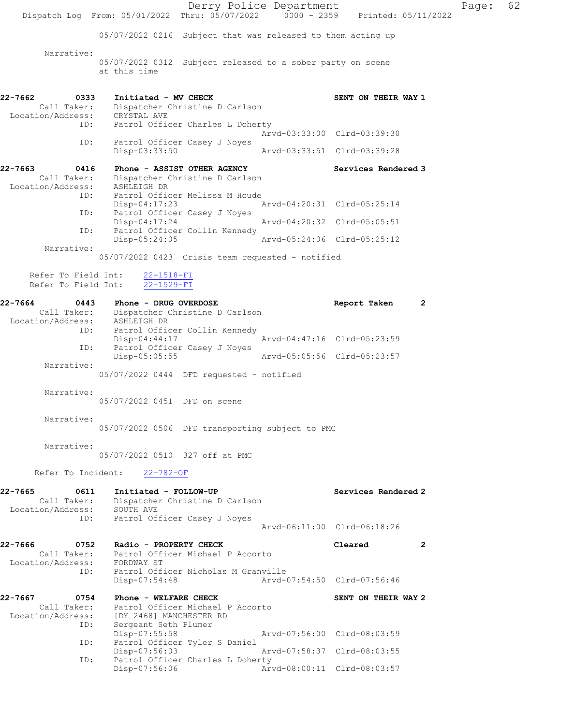Derry Police Department Page: 62 Dispatch Log From: 05/01/2022 Thru: 05/07/2022 0000 - 2359 Printed: 05/11/2022 05/07/2022 0216 Subject that was released to them acting up Narrative: 05/07/2022 0312 Subject released to a sober party on scene at this time 22-7662 0333 Initiated - MV CHECK SENT ON THEIR WAY 1 Call Taker: Dispatcher Christine D Carlson Location/Address: CRYSTAL AVE ID: Patrol Officer Charles L Doherty Arvd-03:33:00 Clrd-03:39:30 ID: Patrol Officer Casey J Noyes<br>Disp-03:33:50 Disp-03:33:50 Arvd-03:33:51 Clrd-03:39:28 22-7663 0416 Phone - ASSIST OTHER AGENCY Services Rendered 3 Call Taker: Dispatcher Christine D Carlson Location/Address: ASHLEIGH DR ID: Patrol Officer Melissa M Houde<br>Disp-04:17:23 A Arvd-04:20:31 Clrd-05:25:14 ID: Patrol Officer Casey J Noyes Disp-04:17:24 Arvd-04:20:32 Clrd-05:05:51 ID: Patrol Officer Collin Kennedy Disp-05:24:05 Arvd-05:24:06 Clrd-05:25:12 Narrative: 05/07/2022 0423 Crisis team requested - notified Refer To Field Int: 22-1518-FI Refer To Field Int: 22-1529-FI 22-7664 0443 Phone - DRUG OVERDOSE Report Taken 2 Call Taker: Dispatcher Christine D Carlson Location/Address: ASHLEIGH DR ID: Patrol Officer Collin Kennedy<br>Disp-04:44:17 Mrvd-04:47:16 Clrd-05:23:59 Disp-04:44:17 Arvd-04:47:16 Clrd-05:23:59 ID: Patrol Officer Casey J Noyes Disp-05:05:55 Arvd-05:05:56 Clrd-05:23:57 Narrative: 05/07/2022 0444 DFD requested - notified Narrative: 05/07/2022 0451 DFD on scene Narrative: 05/07/2022 0506 DFD transporting subject to PMC Narrative: 05/07/2022 0510 327 off at PMC Refer To Incident: 22-782-OF 22-7665 0611 Initiated - FOLLOW-UP Services Rendered 2 Call Taker: Dispatcher Christine D Carlson Location/Address: SOUTH AVE ID: Patrol Officer Casey J Noyes Arvd-06:11:00 Clrd-06:18:26 22-7666 0752 Radio - PROPERTY CHECK Cleared 2 Call Taker: Patrol Officer Michael P Accorto Location/Address: FORDWAY ST ID: Patrol Officer Nicholas M Granville Disp-07:54:48 Arvd-07:54:50 Clrd-07:56:46 22-7667 0754 Phone - WELFARE CHECK SENT ON THEIR WAY 2 Call Taker: Patrol Officer Michael P Accorto Location/Address: [DY 2468] MANCHESTER RD ID: Sergeant Seth Plumer Disp-07:55:58 Arvd-07:56:00 Clrd-08:03:59 ID: Patrol Officer Tyler S Daniel Disp-07:56:03 Arvd-07:58:37 Clrd-08:03:55 ID: Patrol Officer Charles L Doherty<br>Disp-07:56:06 Arv Disp-07:56:06 Arvd-08:00:11 Clrd-08:03:57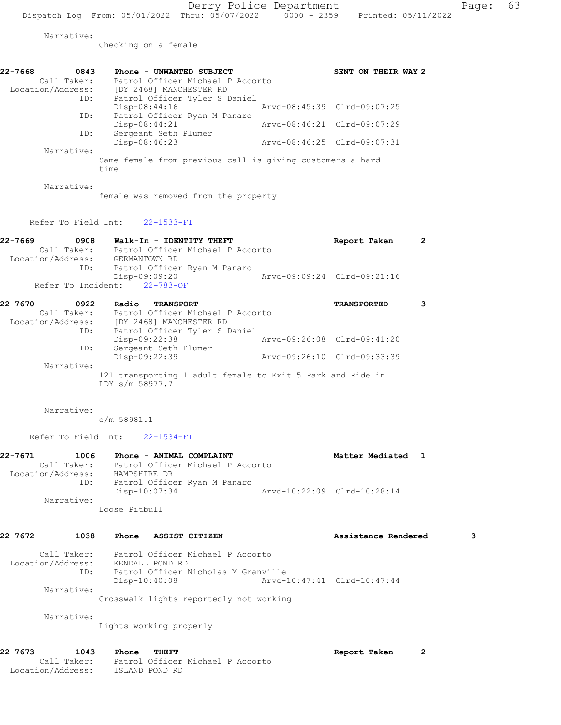Narrative:

Checking on a female

| 22-7668<br>0843 | Phone - UNWANTED SUBJECT                                          | SENT ON THEIR WAY 2         |   |
|-----------------|-------------------------------------------------------------------|-----------------------------|---|
| Call Taker:     | Patrol Officer Michael P Accorto                                  |                             |   |
|                 | Location/Address: [DY 2468] MANCHESTER RD                         |                             |   |
| ID:             | Patrol Officer Tyler S Daniel                                     |                             |   |
|                 | Disp-08:44:16                                                     | Arvd-08:45:39 Clrd-09:07:25 |   |
| ID:             | Patrol Officer Ryan M Panaro                                      |                             |   |
|                 | $Disp-08:44:21$                                                   | Arvd-08:46:21 Clrd-09:07:29 |   |
| ID:             | Sergeant Seth Plumer                                              |                             |   |
|                 | Disp-08:46:23                                                     | Arvd-08:46:25 Clrd-09:07:31 |   |
| Narrative:      |                                                                   |                             |   |
|                 | Same female from previous call is giving customers a hard<br>time |                             |   |
| Narrative:      |                                                                   |                             |   |
|                 | female was removed from the property                              |                             |   |
|                 | Refer To Field Int: 22-1533-FI                                    |                             |   |
| 22-7669<br>0908 | Walk-In - IDENTITY THEFT                                          | Report Taken                | 2 |

| Call Taker:<br>Location/Address:<br>ID: | Patrol Officer Michael P Accorto<br>GERMANTOWN RD<br>Patrol Officer Ryan M Panaro<br>Disp-09:09:20 | Arvd-09:09:24 Clrd-09:21:16 |  |
|-----------------------------------------|----------------------------------------------------------------------------------------------------|-----------------------------|--|
|                                         | Refer To Incident: 22-783-OF                                                                       |                             |  |
|                                         |                                                                                                    |                             |  |
| 22-7670<br>0922                         | Radio - TRANSPORT                                                                                  | <b>TRANSPORTED</b>          |  |
| Call Taker:                             | Patrol Officer Michael P Accorto                                                                   |                             |  |
| Location/Address:<br>ID:                | [DY 2468] MANCHESTER RD<br>Patrol Officer Tyler S Daniel                                           |                             |  |

 ID: Sergeant Seth Plumer Disp-09:22:39 Arvd-09:26:10 Clrd-09:33:39 Narrative: 121 transporting 1 adult female to Exit 5 Park and Ride in LDY s/m 58977.7

Narrative:

e/m 58981.1

Refer To Field Int: 22-1534-FI

| 22-7671<br>1006   | Phone - ANIMAL COMPLAINT         | Matter Mediated 1           |  |
|-------------------|----------------------------------|-----------------------------|--|
| Call Taker:       | Patrol Officer Michael P Accorto |                             |  |
| Location/Address: | HAMPSHIRE DR                     |                             |  |
| ID:               | Patrol Officer Ryan M Panaro     |                             |  |
|                   | Disp-10:07:34                    | Arvd-10:22:09 Clrd-10:28:14 |  |
| Narrative:        |                                  |                             |  |
|                   | Loose Pitbull                    |                             |  |

# 22-7672 1038 Phone - ASSIST CITIZEN Assistance Rendered 3

| Call Taker:       | Patrol Officer Michael P Accorto    |                             |  |
|-------------------|-------------------------------------|-----------------------------|--|
| Location/Address: | KENDALL POND RD                     |                             |  |
| TD:               | Patrol Officer Nicholas M Granville |                             |  |
|                   | Disp-10:40:08                       | Arvd-10:47:41 Clrd-10:47:44 |  |
| Narrative:        |                                     |                             |  |
|                   |                                     |                             |  |

Crosswalk lights reportedly not working

Narrative:

Lights working properly

```
22-7673 1043 Phone - THEFT Report Taken 2 
 Call Taker: Patrol Officer Michael P Accorto
 Location/Address: ISLAND POND RD
```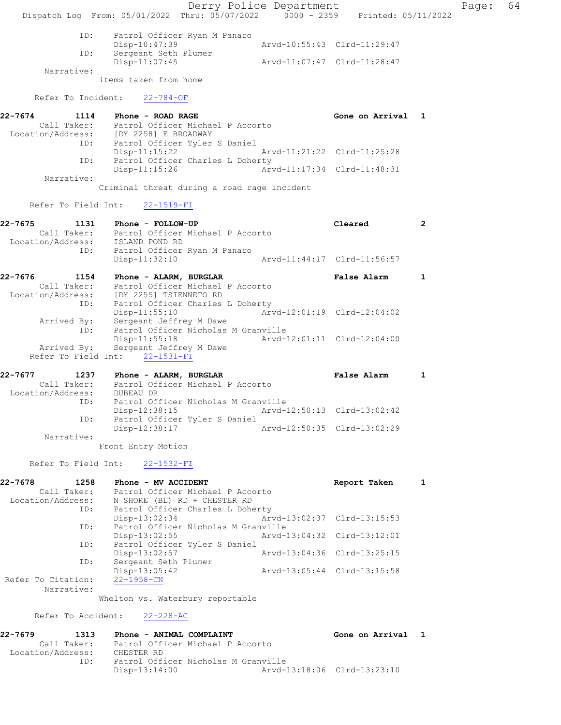Derry Police Department Fage: 64 Dispatch Log From: 05/01/2022 Thru: 05/07/2022 0000 - 2359 Printed: 05/11/2022 ID: Patrol Officer Ryan M Panaro Disp-10:47:39 Arvd-10:55:43 Clrd-11:29:47 ID: Sergeant Seth Plumer Disp-11:07:45 Arvd-11:07:47 Clrd-11:28:47 Narrative: items taken from home Refer To Incident: 22-784-OF 22-7674 1114 Phone - ROAD RAGE Gone on Arrival 1 Call Taker: Patrol Officer Michael P Accorto Location/Address: [DY 2258] E BROADWAY ID: Patrol Officer Tyler S Daniel<br>Disp-11:15:22 Arvd-11:21:22 Clrd-11:25:28 ID: Patrol Officer Charles L Doherty<br>Disp-11:15:26 Arvd-11:17:34 Clrd-11:48:31 Disp-11:15:26 Narrative: Criminal threat during a road rage incident Refer To Field Int: 22-1519-FI 22-7675 1131 Phone - FOLLOW-UP Cleared 2 Call Taker: Patrol Officer Michael P Accorto Location/Address: ISLAND POND RD ID: Patrol Officer Ryan M Panaro Disp-11:32:10 Arvd-11:44:17 Clrd-11:56:57 22-7676 1154 Phone - ALARM, BURGLAR False Alarm 1 Call Taker: Patrol Officer Michael P Accorto Location/Address: [DY 2255] TSIENNETO RD ID: Patrol Officer Charles L Doherty Disp-11:55:10 Arvd-12:01:19 Clrd-12:04:02 Arrived By: Sergeant Jeffrey M Dawe ID: Patrol Officer Nicholas M Granville<br>Disp-11:55:18 Arvd-1 Arvd-12:01:11 Clrd-12:04:00 Arrived By: Sergeant Jeffrey M Dawe Refer To Field Int: 22-1531-FI 22-7677 1237 Phone - ALARM, BURGLAR 1 1237 False Alarm 1 Call Taker: Patrol Officer Michael P Accorto Location/Address: DUBEAU DR ID: Patrol Officer Nicholas M Granville Disp-12:38:15 Arvd-12:50:13 Clrd-13:02:42 ID: Patrol Officer Tyler S Daniel Disp-12:38:17 Arvd-12:50:35 Clrd-13:02:29 Narrative: Front Entry Motion Refer To Field Int: 22-1532-FI 22-7678 1258 Phone - MV ACCIDENT Report Taken 1 Call Taker: Patrol Officer Michael P Accorto Location/Address: N SHORE (BL) RD + CHESTER RD ID: Patrol Officer Charles L Doherty<br>Disp-13:02:34 Arv Disp-13:02:34 Arvd-13:02:37 Clrd-13:15:53<br>ID: Patrol Officer Nicholas M Granville Patrol Officer Nicholas M Granville<br>Disp-13:02:55 Arvd-1 Disp-13:02:55 Arvd-13:04:32 Clrd-13:12:01 ID: Patrol Officer Tyler S Daniel Disp-13:02:57 <br>
D: Sergeant Seth Plumer <br>
Arvd-13:04:36 Clrd-13:25:15 Disp IS.SZ.S.<br>Sergeant Seth Plumer<br>Disp-13:05:42 Disp-13:05:42 <br>22-1958-CN<br>22-1958-CN Refer To Citation: Narrative: Whelton vs. Waterbury reportable Refer To Accident: 22-228-AC 22-7679 1313 Phone - ANIMAL COMPLAINT COMENTRY Cone on Arrival 1 Call Taker: Patrol Officer Michael P Accorto Location/Address: CHESTER RD ID: Patrol Officer Nicholas M Granville Disp-13:14:00 Arvd-13:18:06 Clrd-13:23:10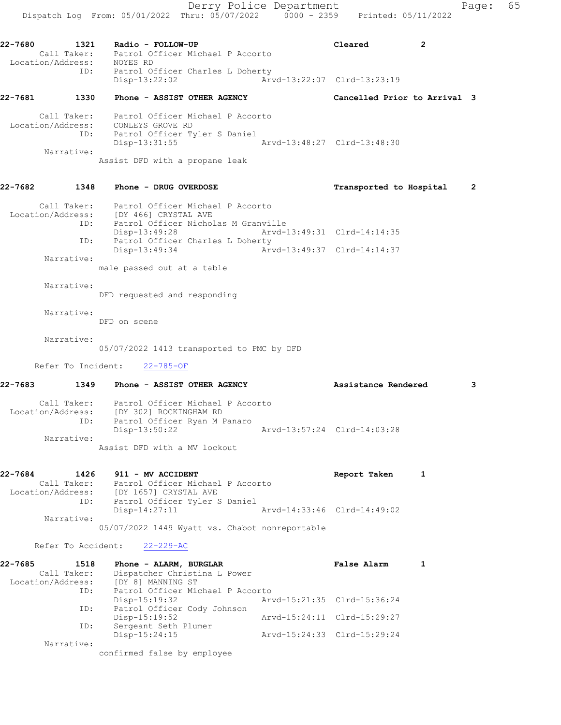Derry Police Department Fage: 65 Dispatch Log From: 05/01/2022 Thru: 05/07/2022 0000 - 2359 Printed: 05/11/2022 22-7680 1321 Radio - FOLLOW-UP Cleared 2 Call Taker: Patrol Officer Michael P Accorto Location/Address: NOYES RD ID: Patrol Officer Charles L Doherty Disp-13:22:02 Arvd-13:22:07 Clrd-13:23:19 22-7681 1330 Phone - ASSIST OTHER AGENCY Cancelled Prior to Arrival 3 Call Taker: Patrol Officer Michael P Accorto Location/Address: CONLEYS GROVE RD ID: Patrol Officer Tyler S Daniel Disp-13:31:55 Arvd-13:48:27 Clrd-13:48:30 Narrative:

Assist DFD with a propane leak

# 22-7682 1348 Phone - DRUG OVERDOSE TRANSPORT Transported to Hospital 2

 Call Taker: Patrol Officer Michael P Accorto Location/Address: [DY 466] CRYSTAL AVE ID: Patrol Officer Nicholas M Granville<br>Disp-13:49:28 Arvd-1 Disp-13:49:28 Arvd-13:49:31 Clrd-14:14:35<br>
Disp-13:49:34 Clrd-14:14:37<br>
Disp-13:49:34 Arvd-13:49:37 Clrd-14:14:37 Patrol Officer Charles L Doherty Disp-13:49:34 Arvd-13:49:37 Clrd-14:14:37 Narrative:

male passed out at a table

Narrative:

DFD requested and responding

# Narrative:

DFD on scene

Narrative:

05/07/2022 1413 transported to PMC by DFD

Refer To Incident: 22-785-OF

| 22-7683           | 1349        | Phone - ASSIST OTHER AGENCY      | Assistance Rendered         | 3 |
|-------------------|-------------|----------------------------------|-----------------------------|---|
|                   | Call Taker: | Patrol Officer Michael P Accorto |                             |   |
| Location/Address: |             | [DY 302] ROCKINGHAM RD           |                             |   |
|                   | ID:         | Patrol Officer Ryan M Panaro     |                             |   |
|                   |             | $Disp-13:50:22$                  | Arvd-13:57:24 Clrd-14:03:28 |   |
|                   | Narrative:  |                                  |                             |   |
|                   |             | Assist DFD with a MV lockout     |                             |   |

## 22-7684 1426 911 - MV ACCIDENT 1 1 22-7684 Report Taken 1 Call Taker: Patrol Officer Michael P Accorto Location/Address: [DY 1657] CRYSTAL AVE ID: Patrol Officer Tyler S Daniel Disp-14:27:11 Arvd-14:33:46 Clrd-14:49:02 Narrative: 05/07/2022 1449 Wyatt vs. Chabot nonreportable

Refer To Accident: 22-229-AC

| 22-7685           | 1518                        | Phone - ALARM, BURGLAR           |  | False Alarm                 |  |
|-------------------|-----------------------------|----------------------------------|--|-----------------------------|--|
|                   | Call Taker:                 | Dispatcher Christina L Power     |  |                             |  |
| Location/Address: |                             | [DY 8] MANNING ST                |  |                             |  |
|                   | ID:                         | Patrol Officer Michael P Accorto |  |                             |  |
|                   |                             | $Disp-15:19:32$                  |  | Arvd-15:21:35 Clrd-15:36:24 |  |
| ID:               | Patrol Officer Cody Johnson |                                  |  |                             |  |
|                   |                             | $Disp-15:19:52$                  |  | Arvd-15:24:11 Clrd-15:29:27 |  |
| ID:               |                             | Sergeant Seth Plumer             |  |                             |  |
|                   |                             | Disp-15:24:15                    |  | Arvd-15:24:33 Clrd-15:29:24 |  |
|                   | Narrative:                  |                                  |  |                             |  |

confirmed false by employee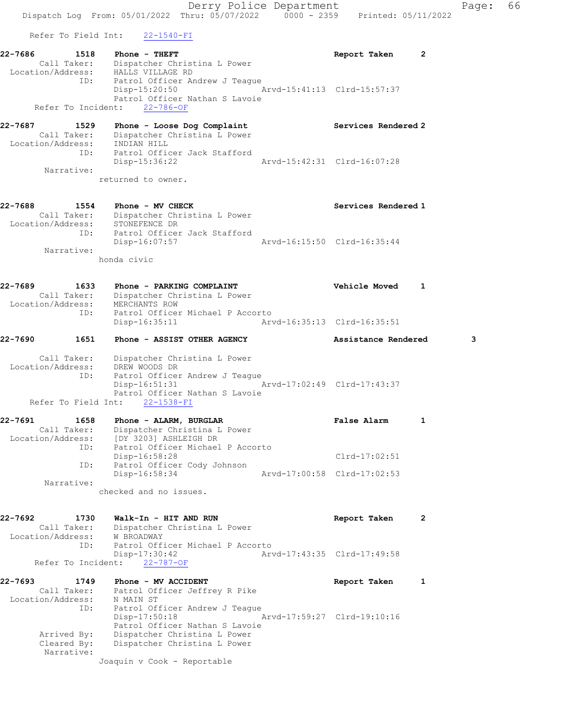Dispatch Log From: 05/01/2022 Thru: 05/07/2022 0000 - 2359 Printed: 05/11/2022 Refer To Field Int: 22-1540-FI 22-7686 1518 Phone - THEFT Report Taken 2 Call Taker: Dispatcher Christina L Power Location/Address: HALLS VILLAGE RD ID: Patrol Officer Andrew J Teague Disp-15:20:50 Arvd-15:41:13 Clrd-15:57:37 Patrol Officer Nathan S Lavoie Refer To Incident: 22-786-OF 22-7687 1529 Phone - Loose Dog Complaint Nervices Rendered 2 Call Taker: Dispatcher Christina L Power Location/Address: INDIAN HILL ID: Patrol Officer Jack Stafford Disp-15:36:22 Arvd-15:42:31 Clrd-16:07:28 Narrative: returned to owner. 22-7688 1554 Phone - MV CHECK Services Rendered 1 Call Taker: Dispatcher Christina L Power Location/Address: STONEFENCE DR ID: Patrol Officer Jack Stafford Disp-16:07:57 Arvd-16:15:50 Clrd-16:35:44 Narrative: honda civic 22-7689 1633 Phone - PARKING COMPLAINT Vehicle Moved 1 Call Taker: Dispatcher Christina L Power Location/Address: MERCHANTS ROW ID: Patrol Officer Michael P Accorto Disp-16:35:11 Arvd-16:35:13 Clrd-16:35:51 22-7690 1651 Phone - ASSIST OTHER AGENCY Assistance Rendered 3 Call Taker: Dispatcher Christina L Power Location/Address: DREW WOODS DR ID: Patrol Officer Andrew J Teague Disp-16:51:31 Arvd-17:02:49 Clrd-17:43:37 Patrol Officer Nathan S Lavoie Refer To Field Int: 22-1538-FI 22-7691 1658 Phone - ALARM, BURGLAR False Alarm 1 Call Taker: Dispatcher Christina L Power Location/Address: [DY 3203] ASHLEIGH DR ID: Patrol Officer Michael P Accorto Disp-16:58:28 Clrd-17:02:51 ID: Patrol Officer Cody Johnson Disp-16:58:34 Arvd-17:00:58 Clrd-17:02:53 Narrative: checked and no issues. 22-7692 1730 Walk-In - HIT AND RUN Report Taken 2 Call Taker: Dispatcher Christina L Power Location/Address: W BROADWAY ID: Patrol Officer Michael P Accorto Disp-17:30:42 Arvd-17:43:35 Clrd-17:49:58 Refer To Incident: 22-787-OF 22-7693 1749 Phone - MV ACCIDENT Report Taken 1 Call Taker: Patrol Officer Jeffrey R Pike Location/Address: N MAIN ST ID: Patrol Officer Andrew J Teague Disp-17:50:18 Arvd-17:59:27 Clrd-19:10:16 Patrol Officer Nathan S Lavoie Arrived By: Dispatcher Christina L Power

Cleared By: Dispatcher Christina L Power

Joaquin v Cook - Reportable

Narrative:

Derry Police Department Fage: 66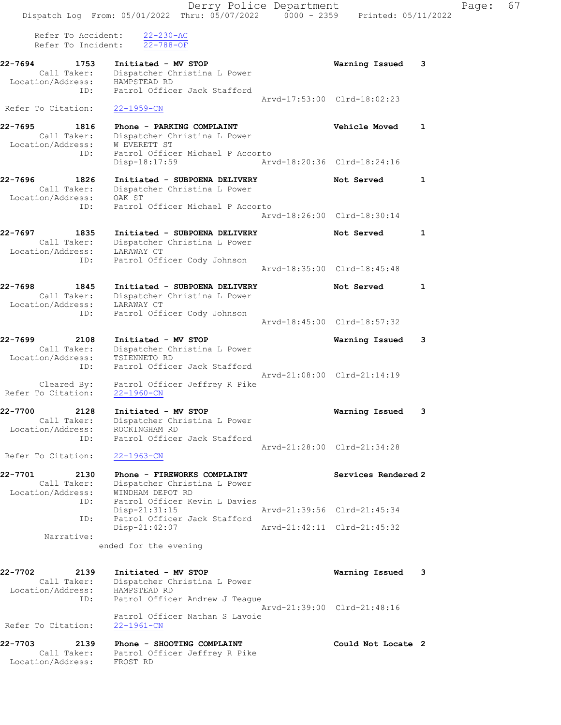Derry Police Department Fage: 67 Dispatch Log From: 05/01/2022 Thru: 05/07/2022 0000 - 2359 Printed: 05/11/2022 Refer To Accident: 22-230-AC Refer To Incident: 22-788-OF 22-7694 1753 Initiated - MV STOP Warning Issued 3 Call Taker: Dispatcher Christina L Power Location/Address: HAMPSTEAD RD ID: Patrol Officer Jack Stafford Arvd-17:53:00 Clrd-18:02:23 Refer To Citation: 22-1959-CN 22-7695 1816 Phone - PARKING COMPLAINT Vehicle Moved 1 Call Taker: Dispatcher Christina L Power Location/Address: W EVERETT ST ID: Patrol Officer Michael P Accorto Disp-18:17:59 Arvd-18:20:36 Clrd-18:24:16 22-7696 1826 Initiated - SUBPOENA DELIVERY Not Served 1 Call Taker: Dispatcher Christina L Power Location/Address: OAK ST ID: Patrol Officer Michael P Accorto Arvd-18:26:00 Clrd-18:30:14 22-7697 1835 Initiated - SUBPOENA DELIVERY Not Served 1 Call Taker: Dispatcher Christina L Power Location/Address: LARAWAY CT ID: Patrol Officer Cody Johnson Arvd-18:35:00 Clrd-18:45:48 22-7698 1845 Initiated - SUBPOENA DELIVERY Not Served 1 Call Taker: Dispatcher Christina L Power Location/Address: LARAWAY CT ID: Patrol Officer Cody Johnson Arvd-18:45:00 Clrd-18:57:32 22-7699 2108 Initiated - MV STOP Warning Issued 3 Call Taker: Dispatcher Christina L Power Location/Address: TSIENNETO RD ID: Patrol Officer Jack Stafford Arvd-21:08:00 Clrd-21:14:19 Cleared By: Patrol Officer Jeffrey R Pike Refer To Citation: 22-1960-CN 22-7700 2128 Initiated - MV STOP Warning Issued 3 Call Taker: Dispatcher Christina L Power Location/Address: ROCKINGHAM RD ID: Patrol Officer Jack Stafford Arvd-21:28:00 Clrd-21:34:28 Refer To Citation: 22-1963-CN 22-7701 2130 Phone - FIREWORKS COMPLAINT Services Rendered 2 Call Taker: Dispatcher Christina L Power Location/Address: WINDHAM DEPOT RD ID: Patrol Officer Kevin L Davies Disp-21:31:15 Arvd-21:39:56 Clrd-21:45:34 ID: Patrol Officer Jack Stafford<br>Disp-21:42:07 Disp-21:42:07 Arvd-21:42:11 Clrd-21:45:32 Narrative: ended for the evening 22-7702 2139 Initiated - MV STOP Warning Issued 3 Call Taker: Dispatcher Christina L Power Location/Address: HAMPSTEAD RD ID: Patrol Officer Andrew J Teague Arvd-21:39:00 Clrd-21:48:16 Patrol Officer Nathan S Lavoie Refer To Citation: 22-1961-CN 22-7703 2139 Phone - SHOOTING COMPLAINT Could Not Locate 2 Call Taker: Patrol Officer Jeffrey R Pike Location/Address: FROST RD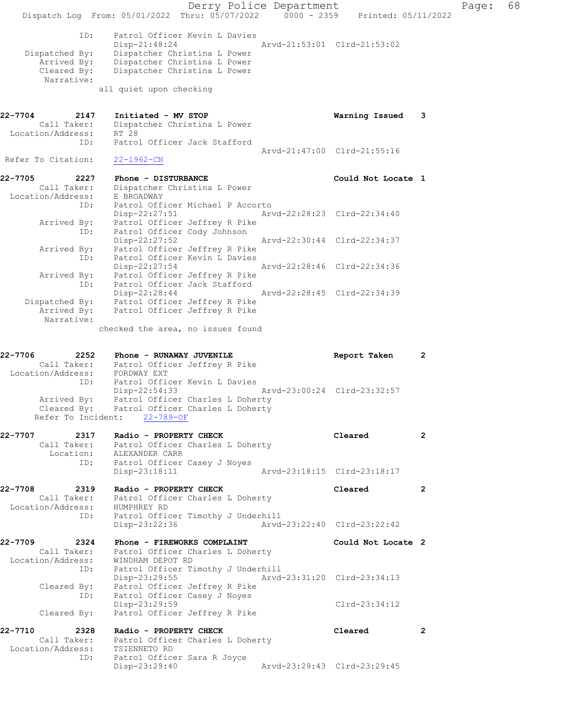Derry Police Department Fage: 68 Dispatch Log From: 05/01/2022 Thru: 05/07/2022 0000 - 2359 Printed: 05/11/2022 ID: Patrol Officer Kevin L Davies Disp-21:48:24 Arvd-21:53:01 Clrd-21:53:02 Dispatched By: Dispatcher Christina L Power Arrived By: Dispatcher Christina L Power Cleared By: Dispatcher Christina L Power Narrative: all quiet upon checking 22-7704 2147 Initiated - MV STOP Warning Issued 3 Call Taker: Dispatcher Christina L Power Location/Address: RT 28 ID: Patrol Officer Jack Stafford Arvd-21:47:00 Clrd-21:55:16 Refer To Citation: 22-1962-CN 22-7705 2227 Phone - DISTURBANCE 2008 2008 Could Not Locate 1 Call Taker: Dispatcher Christina L Power Location/Address: E BROADWAY ID: Patrol Officer Michael P Accorto Disp-22:27:51 Arvd-22:28:23 Clrd-22:34:40 Arrived By: Patrol Officer Jeffrey R Pike ID: Patrol Officer Cody Johnson Disp-22:27:52 Arvd-22:30:44 Clrd-22:34:37 Arrived By: Patrol Officer Jeffrey R Pike ID: Patrol Officer Kevin L Davies Disp-22:27:54 Arvd-22:28:46 Clrd-22:34:36 Arrived By: Patrol Officer Jeffrey R Pike ID: Patrol Officer Jack Stafford Disp-22:28:44 Arvd-22:28:45 Clrd-22:34:39 Dispatched By: Patrol Officer Jeffrey R Pike Arrived By: Patrol Officer Jeffrey R Pike Narrative: checked the area, no issues found 22-7706 2252 Phone - RUNAWAY JUVENILE Report Taken 2 Call Taker: Patrol Officer Jeffrey R Pike Location/Address: FORDWAY EXT ID: Patrol Officer Kevin L Davies Disp-22:54:33 Arvd-23:00:24 Clrd-23:32:57 Arrived By: Patrol Officer Charles L Doherty Cleared By: Patrol Officer Charles L Doherty Refer To Incident: 22-789-OF 22-7707 2317 Radio - PROPERTY CHECK Cleared 2 Call Taker: Patrol Officer Charles L Doherty Location: ALEXANDER CARR ID: Patrol Officer Casey J Noyes Disp-23:18:11 Arvd-23:18:15 Clrd-23:18:17 22-7708 2319 Radio - PROPERTY CHECK Cleared 2 Call Taker: Patrol Officer Charles L Doherty Location/Address: HUMPHREY RD ID: Patrol Officer Timothy J Underhill Disp-23:22:36 Arvd-23:22:40 Clrd-23:22:42 22-7709 2324 Phone - FIREWORKS COMPLAINT Could Not Locate 2 Call Taker: Patrol Officer Charles L Doherty Location/Address: WINDHAM DEPOT RD ID: Patrol Officer Timothy J Underhill Disp-23:29:55 Arvd-23:31:20 Clrd-23:34:13 Cleared By: Patrol Officer Jeffrey R Pike ID: Patrol Officer Casey J Noyes<br>Disp-23:29:59 Disp-23:29:59 Clrd-23:34:12 Cleared By: Patrol Officer Jeffrey R Pike 22-7710 2328 Radio - PROPERTY CHECK Cleared 2 Call Taker: Patrol Officer Charles L Doherty Location/Address: TSIENNETO RD ID: Patrol Officer Sara R Joyce Disp-23:29:40 Arvd-23:29:43 Clrd-23:29:45